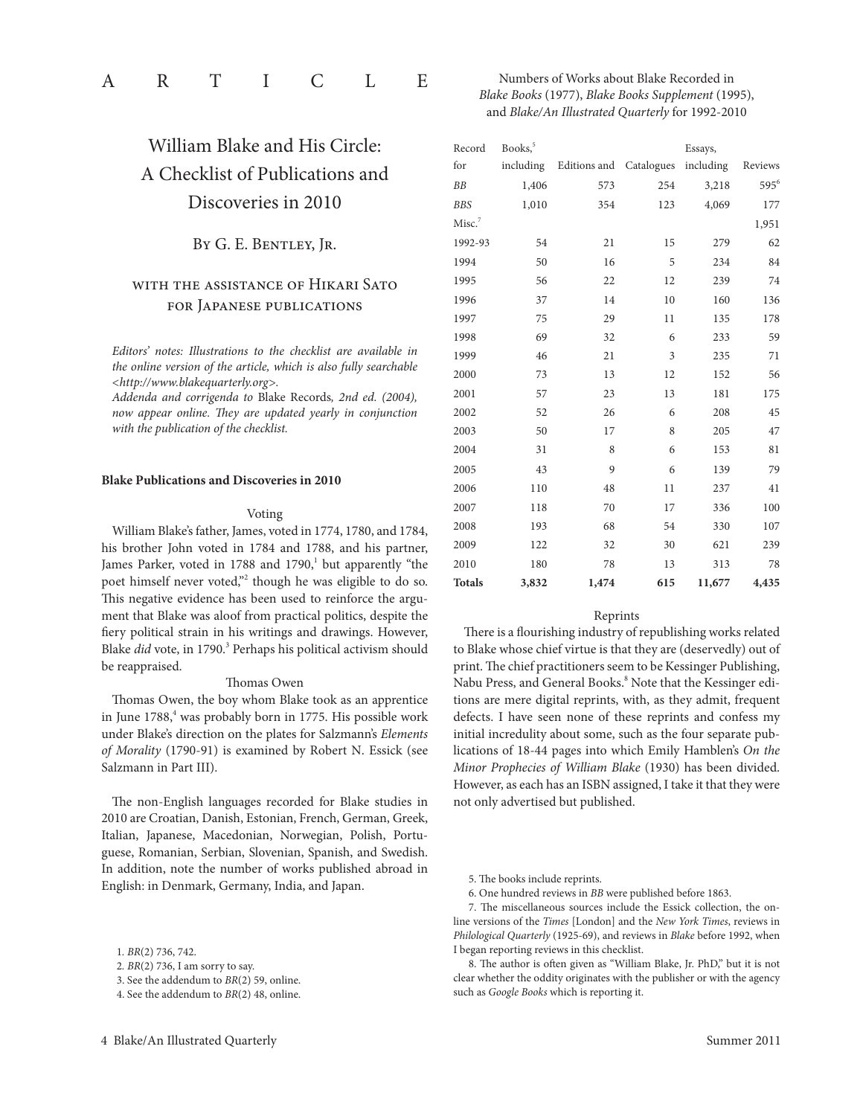William Blake and His circle: A checklist of Publications and Discoveries in 2010

# BY G. E. BENTLEY, JR.

# with the assistance of Hikari Sato for Japanese publications

*Editors' notes: Illustrations to the checklist are available in the online version of the article, which is also fully searchable <http://www.blakequarterly.org>.*

Addenda and corrigenda to Blake Records, 2nd ed. (2004), *now appear online. They are updated yearly in conjunction with the publication of the checklist.*

#### **Blake Publications and Discoveries in 2010**

#### Voting

William Blake's father, James, voted in 1774, 1780, and 1784, his brother John voted in 1784 and 1788, and his partner, James Parker, voted in 1788 and 1790,<sup>1</sup> but apparently "the poet himself never voted,"<sup>2</sup> though he was eligible to do so. This negative evidence has been used to reinforce the argument that Blake was aloof from practical politics, despite the fiery political strain in his writings and drawings. However, Blake *did* vote, in 1790.<sup>3</sup> Perhaps his political activism should be reappraised.

#### Thomas Owen

Thomas Owen, the boy whom Blake took as an apprentice in June 1788,<sup>4</sup> was probably born in 1775. His possible work under Blake's direction on the plates for Salzmann's *Elements*  of Morality (1790-91) is examined by Robert N. Essick (see Salzmann in Part III).

The non-English languages recorded for Blake studies in 2010 are Croatian, Danish, Estonian, French, German, Greek, Italian, Japanese, Macedonian, Norwegian, Polish, Portuguese, Romanian, Serbian, Slovenian, Spanish, and Swedish. In addition, note the number of works published abroad in english: in Denmark, Germany, India, and Japan.

# Numbers of Works about Blake Recorded in *Blake Books* (1977), *Blake Books Supplement* (1995), and *Blake/An Illustrated Quarterly* for 1992-2010

| Record             | Books, <sup>5</sup><br>Essays, |                         |     |           |         |
|--------------------|--------------------------------|-------------------------|-----|-----------|---------|
| for                | including                      | Editions and Catalogues |     | including | Reviews |
| <b>BB</b>          | 1,406                          | 573                     | 254 | 3,218     | $595^6$ |
| <b>BBS</b>         | 1,010                          | 354                     | 123 | 4,069     | 177     |
| Misc. <sup>7</sup> |                                |                         |     |           | 1,951   |
| 1992-93            | 54                             | 21                      | 15  | 279       | 62      |
| 1994               | 50                             | 16                      | 5   | 234       | 84      |
| 1995               | 56                             | 22                      | 12  | 239       | 74      |
| 1996               | 37                             | 14                      | 10  | 160       | 136     |
| 1997               | 75                             | 29                      | 11  | 135       | 178     |
| 1998               | 69                             | 32                      | 6   | 233       | 59      |
| 1999               | 46                             | 21                      | 3   | 235       | 71      |
| 2000               | 73                             | 13                      | 12  | 152       | 56      |
| 2001               | 57                             | 23                      | 13  | 181       | 175     |
| 2002               | 52                             | 26                      | 6   | 208       | 45      |
| 2003               | 50                             | 17                      | 8   | 205       | 47      |
| 2004               | 31                             | 8                       | 6   | 153       | 81      |
| 2005               | 43                             | 9                       | 6   | 139       | 79      |
| 2006               | 110                            | 48                      | 11  | 237       | 41      |
| 2007               | 118                            | 70                      | 17  | 336       | 100     |
| 2008               | 193                            | 68                      | 54  | 330       | 107     |
| 2009               | 122                            | 32                      | 30  | 621       | 239     |
| 2010               | 180                            | 78                      | 13  | 313       | 78      |
| <b>Totals</b>      | 3,832                          | 1,474                   | 615 | 11,677    | 4,435   |

#### Reprints

There is a flourishing industry of republishing works related to Blake whose chief virtue is that they are (deservedly) out of print. The chief practitioners seem to be Kessinger Publishing, Nabu Press, and General Books.<sup>8</sup> Note that the Kessinger editions are mere digital reprints, with, as they admit, frequent defects. I have seen none of these reprints and confess my initial incredulity about some, such as the four separate publications of 18-44 pages into which emily Hamblen's *On the Minor Prophecies of William Blake* (1930) has been divided. However, as each has an ISBN assigned, I take it that they were not only advertised but published.

5. The books include reprints.

6. One hundred reviews in *BB* were published before 1863.

7. The miscellaneous sources include the Essick collection, the online versions of the *Times* [london] and the *New York Times*, reviews in *Philological Quarterly* (1925-69), and reviews in *Blake* before 1992, when I began reporting reviews in this checklist.

8. The author is often given as "William Blake, Jr. PhD," but it is not clear whether the oddity originates with the publisher or with the agency such as *Google Books* which is reporting it.

<sup>1</sup>*. BR*(2) 736, 742.

<sup>2</sup>*. BR*(2) 736, I am sorry to say.

<sup>3.</sup> See the addendum to *BR*(2) 59, online.

<sup>4.</sup> See the addendum to *BR*(2) 48, online.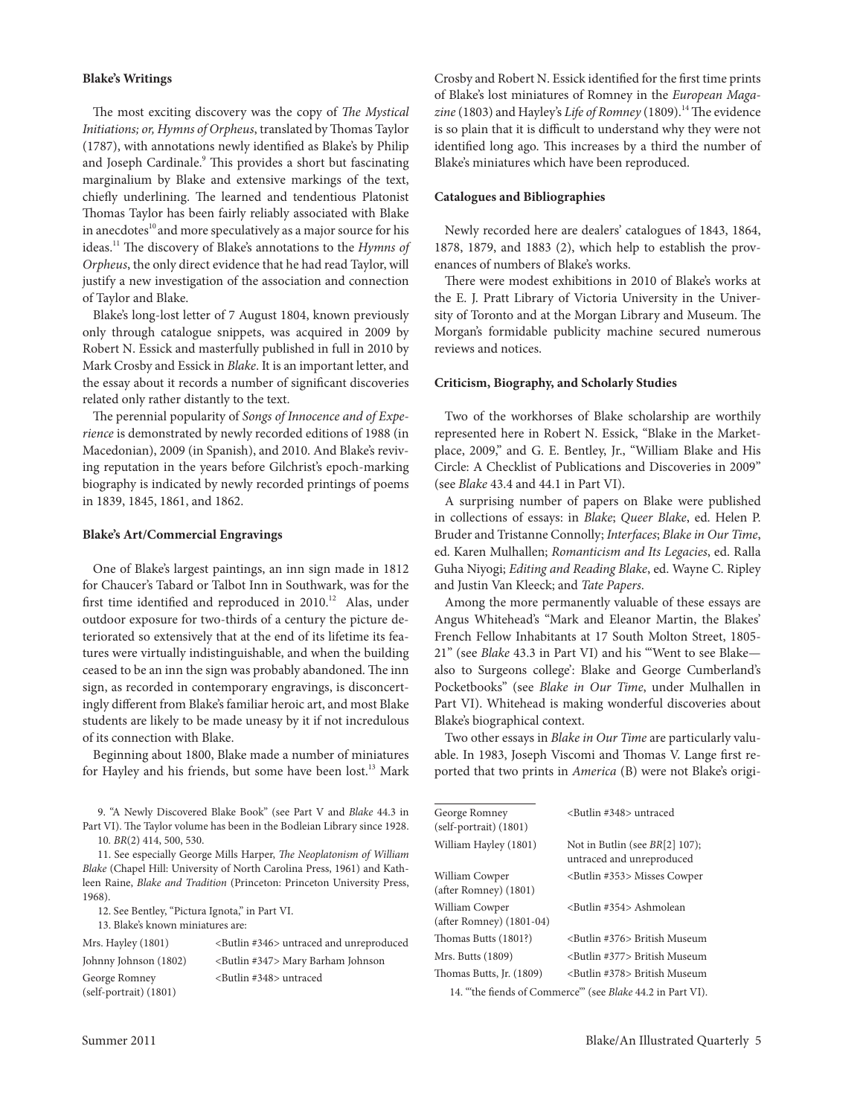## **Blake's Writings**

The most exciting discovery was the copy of *The Mystical*  Initiations; or, Hymns of Orpheus, translated by Thomas Taylor (1787), with annotations newly identified as Blake's by Philip and Joseph Cardinale.<sup>9</sup> This provides a short but fascinating marginalium by Blake and extensive markings of the text, chiefly underlining. The learned and tendentious Platonist Thomas Taylor has been fairly reliably associated with Blake in anecdotes<sup>10</sup> and more speculatively as a major source for his ideas.11 The discovery of Blake's annotations to the *Hymns of*  Orpheus, the only direct evidence that he had read Taylor, will justify a new investigation of the association and connection of Taylor and Blake.

Blake's long-lost letter of 7 August 1804, known previously only through catalogue snippets, was acquired in 2009 by Robert N. Essick and masterfully published in full in 2010 by Mark Crosby and Essick in *Blake*. It is an important letter, and the essay about it records a number of significant discoveries related only rather distantly to the text.

The perennial popularity of *Songs of Innocence and of Experience* is demonstrated by newly recorded editions of 1988 (in Macedonian), 2009 (in Spanish), and 2010. And Blake's reviving reputation in the years before Gilchrist's epoch-marking biography is indicated by newly recorded printings of poems in 1839, 1845, 1861, and 1862.

#### **Blake's Art/Commercial Engravings**

One of Blake's largest paintings, an inn sign made in 1812 for Chaucer's Tabard or Talbot Inn in Southwark, was for the first time identified and reproduced in  $2010$ .<sup>12</sup> Alas, under outdoor exposure for two-thirds of a century the picture deteriorated so extensively that at the end of its lifetime its features were virtually indistinguishable, and when the building ceased to be an inn the sign was probably abandoned. The inn sign, as recorded in contemporary engravings, is disconcertingly different from Blake's familiar heroic art, and most Blake students are likely to be made uneasy by it if not incredulous of its connection with Blake.

Beginning about 1800, Blake made a number of miniatures for Hayley and his friends, but some have been lost.<sup>13</sup> Mark

9. "A Newly Discovered Blake Book" (see Part V and *Blake* 44.3 in Part VI). The Taylor volume has been in the Bodleian Library since 1928. 10*. BR*(2) 414, 500, 530.

11. See especially George Mills Harper, *The Neoplatonism of William Blake* (chapel Hill: University of North carolina Press, 1961) and Kathleen Raine, *Blake and Tradition* (Princeton: Princeton University Press, 1968).

12. See Bentley, "Pictura Ignota," in Part VI.

13. Blake's known miniatures are:

| Mrs. Hayley (1801)       | <butlin #346=""> untraced and unreproduced</butlin> |
|--------------------------|-----------------------------------------------------|
| Johnny Johnson (1802)    | <butlin #347=""> Mary Barham Johnson</butlin>       |
| George Romney            | <butlin #348=""> untraced</butlin>                  |
| $(self-portrait) (1801)$ |                                                     |

Crosby and Robert N. Essick identified for the first time prints of Blake's lost miniatures of Romney in the *European Maga*zine (1803) and Hayley's *Life of Romney* (1809).<sup>14</sup> The evidence is so plain that it is difficult to understand why they were not identified long ago. This increases by a third the number of Blake's miniatures which have been reproduced.

#### **Catalogues and Bibliographies**

Newly recorded here are dealers' catalogues of 1843, 1864, 1878, 1879, and 1883 (2), which help to establish the provenances of numbers of Blake's works.

There were modest exhibitions in 2010 of Blake's works at the E. J. Pratt Library of Victoria University in the University of Toronto and at the Morgan Library and Museum. The Morgan's formidable publicity machine secured numerous reviews and notices.

#### **Criticism, Biography, and Scholarly Studies**

Two of the workhorses of Blake scholarship are worthily represented here in Robert N. Essick, "Blake in the Marketplace, 2009," and G. E. Bentley, Jr., "William Blake and His circle: A checklist of Publications and Discoveries in 2009" (see *Blake* 43.4 and 44.1 in Part VI).

A surprising number of papers on Blake were published in collections of essays: in *Blake*; *Queer Blake*, ed. Helen P. Bruder and Tristanne Connolly; *Interfaces*; *Blake in Our Time*, ed. Karen Mulhallen; Romanticism and Its Legacies, ed. Ralla Guha Niyogi; *Editing and Reading Blake*, ed. Wayne C. Ripley and Justin Van Kleeck; and *Tate Papers*.

Among the more permanently valuable of these essays are Angus Whitehead's "Mark and eleanor Martin, the Blakes' French Fellow Inhabitants at 17 South Molton Street, 1805- 21" (see *Blake* 43.3 in Part VI) and his "'Went to see Blake also to Surgeons college': Blake and George cumberland's Pocketbooks" (see *Blake in Our Time*, under Mulhallen in Part VI). Whitehead is making wonderful discoveries about Blake's biographical context.

Two other essays in *Blake in Our Time* are particularly valuable. In 1983, Joseph Viscomi and Thomas V. lange first reported that two prints in *America* (B) were not Blake's origi-

| George Romney<br>(self-portrait) (1801)                          | <butlin #348=""> untraced</butlin>                            |  |  |  |
|------------------------------------------------------------------|---------------------------------------------------------------|--|--|--|
| William Hayley (1801)                                            | Not in Butlin (see $BR[2]$ 107);<br>untraced and unreproduced |  |  |  |
| William Cowper<br>(after Romney) (1801)                          | <butlin #353=""> Misses Cowper</butlin>                       |  |  |  |
| William Cowper<br>(after Romney) (1801-04)                       | <butlin #354=""> Ashmolean</butlin>                           |  |  |  |
| Thomas Butts (1801?)                                             | <butlin #376=""> British Museum</butlin>                      |  |  |  |
| Mrs. Butts (1809)                                                | <butlin #377=""> British Museum</butlin>                      |  |  |  |
| Thomas Butts, Jr. (1809)                                         | <butlin #378=""> British Museum</butlin>                      |  |  |  |
| 14. "the fiends of Commerce" (see <i>Blake</i> 44.2 in Part VI). |                                                               |  |  |  |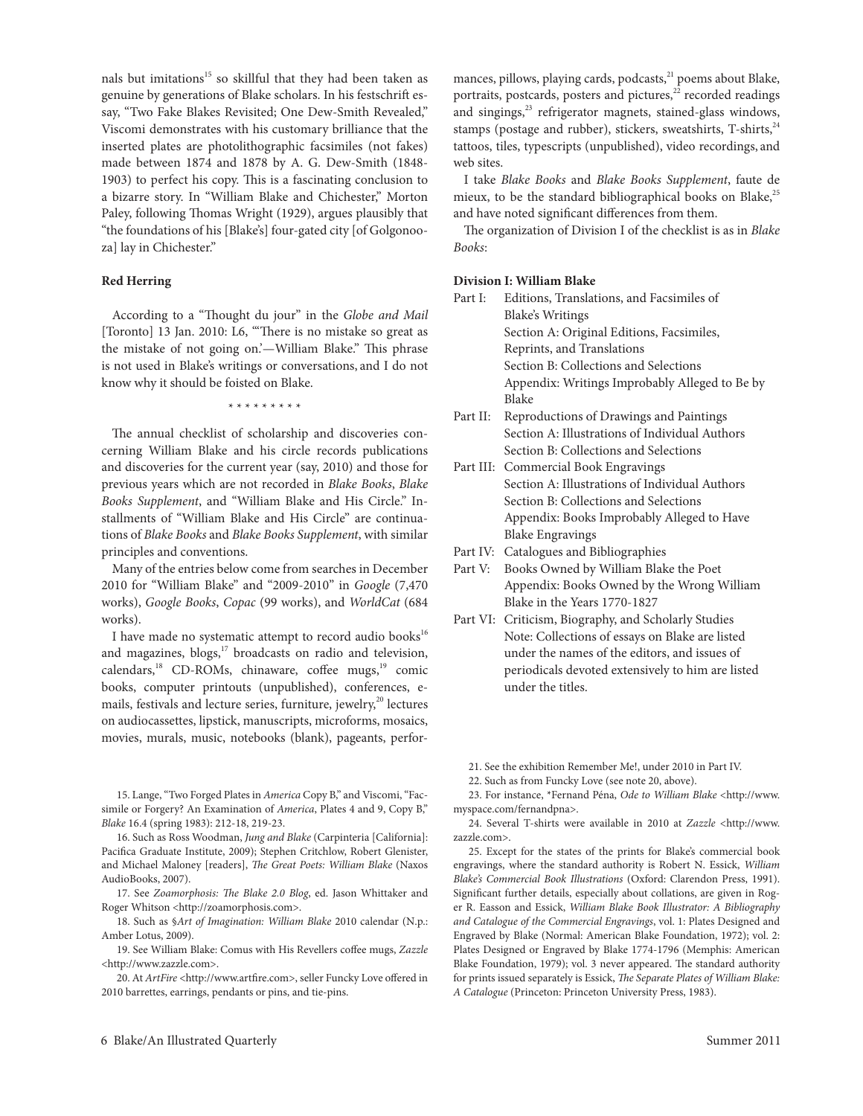nals but imitations<sup>15</sup> so skillful that they had been taken as genuine by generations of Blake scholars. In his festschrift essay, "Two Fake Blakes Revisited; One Dew-Smith Revealed," Viscomi demonstrates with his customary brilliance that the inserted plates are photolithographic facsimiles (not fakes) made between 1874 and 1878 by A. G. Dew-Smith (1848- 1903) to perfect his copy. This is a fascinating conclusion to a bizarre story. In "William Blake and chichester," Morton Paley, following Thomas Wright (1929), argues plausibly that "the foundations of his [Blake's] four-gated city [of Golgonooza] lay in Chichester."

#### **Red Herring**

According to a "Thought du jour" in the *Globe and Mail* [Toronto] 13 Jan. 2010: L6, "There is no mistake so great as the mistake of not going on.'—William Blake." This phrase is not used in Blake's writings or conversations, and I do not know why it should be foisted on Blake.

\* \* \* \* \* \* \* \* \*

The annual checklist of scholarship and discoveries concerning William Blake and his circle records publications and discoveries for the current year (say, 2010) and those for previous years which are not recorded in *Blake Books*, *Blake Books Supplement*, and "William Blake and His circle." Installments of "William Blake and His circle" are continuations of *Blake Books* and *Blake Books Supplement*, with similar principles and conventions.

Many of the entries below come from searches in December 2010 for "William Blake" and "2009-2010" in *Google* (7,470 works), *Google Books*, *Copac* (99 works), and *WorldCat* (684 works).

I have made no systematic attempt to record audio books $^{16}$ and magazines, blogs,<sup>17</sup> broadcasts on radio and television, calendars,<sup>18</sup> CD-ROMs, chinaware, coffee mugs,<sup>19</sup> comic books, computer printouts (unpublished), conferences, emails, festivals and lecture series, furniture, jewelry,<sup>20</sup> lectures on audiocassettes, lipstick, manuscripts, microforms, mosaics, movies, murals, music, notebooks (blank), pageants, perfor-

15. Lange, "Two Forged Plates in *America* Copy B," and Viscomi, "Facsimile or Forgery? An Examination of *America*, Plates 4 and 9, Copy B," *Blake* 16.4 (spring 1983): 212-18, 219-23.

16. Such as Ross Woodman, *Jung and Blake* (Carpinteria [California]: Pacifica Graduate Institute, 2009); Stephen Critchlow, Robert Glenister, and Michael Maloney [readers], *The Great Poets: William Blake* (Naxos AudioBooks, 2007).

17. See *Zoamorphosis: The Blake 2.0 Blog*, ed. Jason Whittaker and Roger Whitson <http://zoamorphosis.com>.

18. Such as §*Art of Imagination: William Blake* 2010 calendar (N.p.: Amber lotus, 2009).

19. See William Blake: comus with His revellers coffee mugs, *Zazzle* <http://www.zazzle.com>.

20. At *ArtFire* <http://www.artfire.com>, seller Funcky Love offered in 2010 barrettes, earrings, pendants or pins, and tie-pins.

mances, pillows, playing cards, podcasts,<sup>21</sup> poems about Blake, portraits, postcards, posters and pictures, $22$  recorded readings and singings, $^{23}$  refrigerator magnets, stained-glass windows, stamps (postage and rubber), stickers, sweatshirts,  $T$ -shirts,  $24$ tattoos, tiles, typescripts (unpublished), video recordings, and web sites.

I take *Blake Books* and *Blake Books Supplement*, faute de mieux, to be the standard bibliographical books on Blake, $^{25}$ and have noted significant differences from them.

The organization of Division I of the checklist is as in *Blake Books*:

## **Division I: William Blake**

| Part I:  | Editions, Translations, and Facsimiles of      |  |  |
|----------|------------------------------------------------|--|--|
|          | Blake's Writings                               |  |  |
|          | Section A: Original Editions, Facsimiles,      |  |  |
|          | Reprints, and Translations                     |  |  |
|          | Section B: Collections and Selections          |  |  |
|          | Appendix: Writings Improbably Alleged to Be by |  |  |
|          | Blake                                          |  |  |
| Part II: | Reproductions of Drawings and Paintings        |  |  |
|          | Section A: Illustrations of Individual Authors |  |  |
|          |                                                |  |  |

 Section B: collections and Selections Part III: Commercial Book Engravings

Section A: Illustrations of Individual Authors Section B: collections and Selections Appendix: Books Improbably Alleged to Have **Blake Engravings** 

- Part IV: Catalogues and Bibliographies
- Part V: Books Owned by William Blake the Poet Appendix: Books Owned by the Wrong William Blake in the Years 1770-1827
- Part VI: Criticism, Biography, and Scholarly Studies Note: collections of essays on Blake are listed under the names of the editors, and issues of periodicals devoted extensively to him are listed under the titles.

21. See the exhibition Remember Me!, under 2010 in Part IV.

22. Such as from Funcky love (see note 20, above).

23. For instance, \*Fernand Péna, *Ode to William Blake* <http://www. myspace.com/fernandpna>.

24. Several T-shirts were available in 2010 at *Zazzle* <http://www. zazzle.com>.

25. Except for the states of the prints for Blake's commercial book engravings, where the standard authority is Robert N. Essick, *William Blake's Commercial Book Illustrations* (Oxford: clarendon Press, 1991). Significant further details, especially about collations, are given in Roger R. Easson and Essick, *William Blake Book Illustrator: A Bibliography and Catalogue of the Commercial Engravings*, vol. 1: Plates Designed and Engraved by Blake (Normal: American Blake Foundation, 1972); vol. 2: Plates Designed or Engraved by Blake 1774-1796 (Memphis: American Blake Foundation, 1979); vol. 3 never appeared. The standard authority for prints issued separately is Essick, *The Separate Plates of William Blake*: *A Catalogue* (Princeton: Princeton University Press, 1983).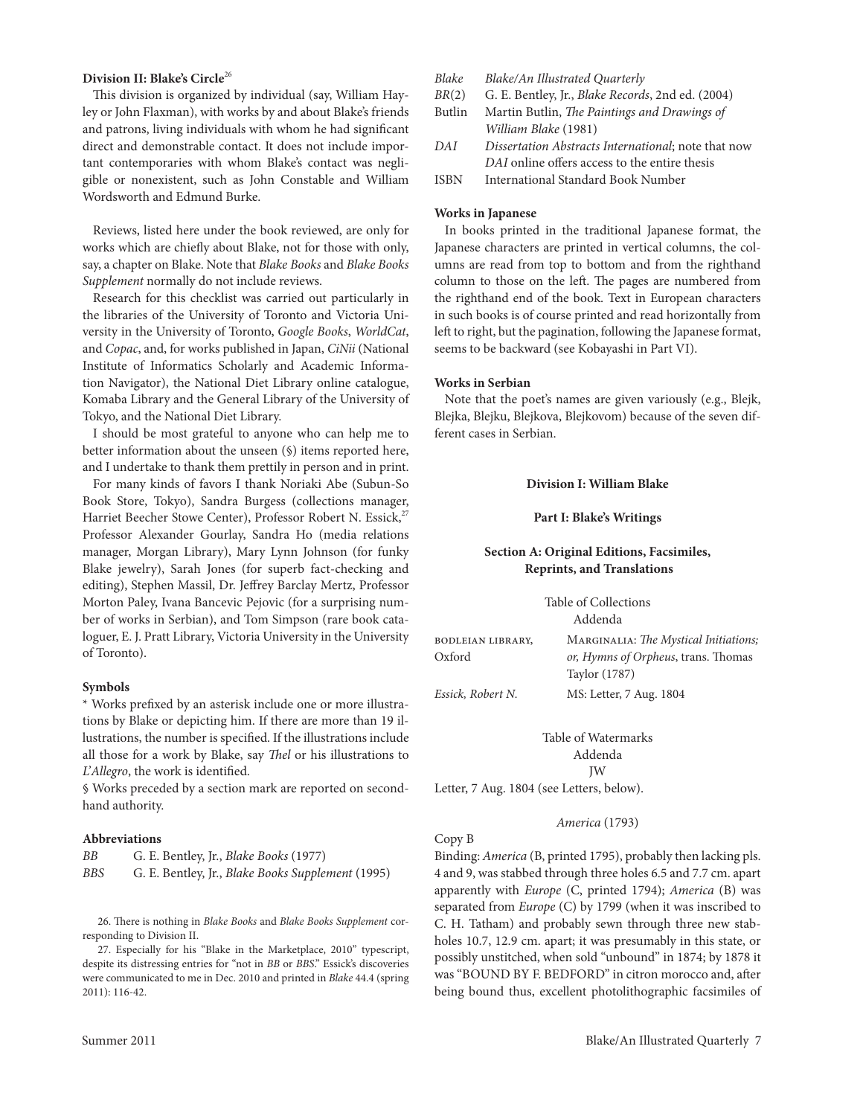#### **Division II: Blake's Circle**<sup>26</sup>

This division is organized by individual (say, William Hayley or John Flaxman), with works by and about Blake's friends and patrons, living individuals with whom he had significant direct and demonstrable contact. It does not include important contemporaries with whom Blake's contact was negligible or nonexistent, such as John constable and William Wordsworth and Edmund Burke.

Reviews, listed here under the book reviewed, are only for works which are chiefly about Blake, not for those with only, say, a chapter on Blake. Note that *Blake Books* and *Blake Books Supplement* normally do not include reviews.

Research for this checklist was carried out particularly in the libraries of the University of Toronto and Victoria University in the University of toronto, *Google Books*, *WorldCat*, and *Copac*, and, for works published in Japan, *CiNii* (National Institute of Informatics Scholarly and Academic Information Navigator), the National Diet library online catalogue, Komaba library and the General library of the University of Tokyo, and the National Diet Library.

I should be most grateful to anyone who can help me to better information about the unseen (§) items reported here, and I undertake to thank them prettily in person and in print.

For many kinds of favors I thank Noriaki Abe (Subun-So Book Store, Tokyo), Sandra Burgess (collections manager, Harriet Beecher Stowe Center), Professor Robert N. Essick,<sup>27</sup> Professor Alexander Gourlay, Sandra Ho (media relations manager, Morgan library), Mary lynn Johnson (for funky Blake jewelry), Sarah Jones (for superb fact-checking and editing), Stephen Massil, Dr. Jeffrey Barclay Mertz, Professor Morton Paley, Ivana Bancevic Pejovic (for a surprising number of works in Serbian), and Tom Simpson (rare book cataloguer, E. J. Pratt Library, Victoria University in the University of Toronto).

#### **Symbols**

\* Works prefixed by an asterisk include one or more illustrations by Blake or depicting him. If there are more than 19 illustrations, the number is specified. If the illustrations include all those for a work by Blake, say *Thel* or his illustrations to *L'Allegro*, the work is identified.

§ Works preceded by a section mark are reported on secondhand authority.

# **Abbreviations**

| BB  | G. E. Bentley, Jr., <i>Blake Books</i> (1977)     |
|-----|---------------------------------------------------|
| BBS | G. E. Bentley, Jr., Blake Books Supplement (1995) |

26. There is nothing in *Blake Books* and *Blake Books Supplement* corresponding to Division II.

27. Especially for his "Blake in the Marketplace, 2010" typescript, despite its distressing entries for "not in *BB* or *BBS*." Essick's discoveries were communicated to me in Dec. 2010 and printed in *Blake* 44.4 (spring 2011): 116-42.

## *Blake Blake/An Illustrated Quarterly*

*BR*(2) G. E. Bentley, Jr., *Blake Records*, 2nd ed. (2004)

- Butlin Martin Butlin, *The Paintings and Drawings of William Blake* (1981)
- *DAI Dissertation Abstracts International*; note that now *DAI* online offers access to the entire thesis
- ISBN International Standard Book Number

## **Works in Japanese**

In books printed in the traditional Japanese format, the Japanese characters are printed in vertical columns, the columns are read from top to bottom and from the righthand column to those on the left. The pages are numbered from the righthand end of the book. Text in European characters in such books is of course printed and read horizontally from left to right, but the pagination, following the Japanese format, seems to be backward (see Kobayashi in Part VI).

#### **Works in Serbian**

Note that the poet's names are given variously (e.g., Blejk, Blejka, Blejku, Blejkova, Blejkovom) because of the seven different cases in Serbian.

#### **Division I: William Blake**

#### **Part I: Blake's Writings**

# **Section A: Original Editions, Facsimiles, Reprints, and Translations**

Table of Collections Addenda

bodleian library, Oxford Marginalia: *The Mystical Initiations; or, Hymns of Orpheus*, trans. Thomas Taylor (1787) *Essick, Robert N.* MS: letter, 7 Aug. 1804

> Table of Watermarks Addenda JW

letter, 7 Aug. 1804 (see letters, below).

# *America* (1793)

#### copy B

Binding: *America* (B, printed 1795), probably then lacking pls. 4 and 9, was stabbed through three holes 6.5 and 7.7 cm. apart apparently with *Europe* (C, printed 1794); *America* (B) was separated from *Europe* (C) by 1799 (when it was inscribed to C. H. Tatham) and probably sewn through three new stabholes 10.7, 12.9 cm. apart; it was presumably in this state, or possibly unstitched, when sold "unbound" in 1874; by 1878 it was "BOUND BY F. BeDFOrD" in citron morocco and, after being bound thus, excellent photolithographic facsimiles of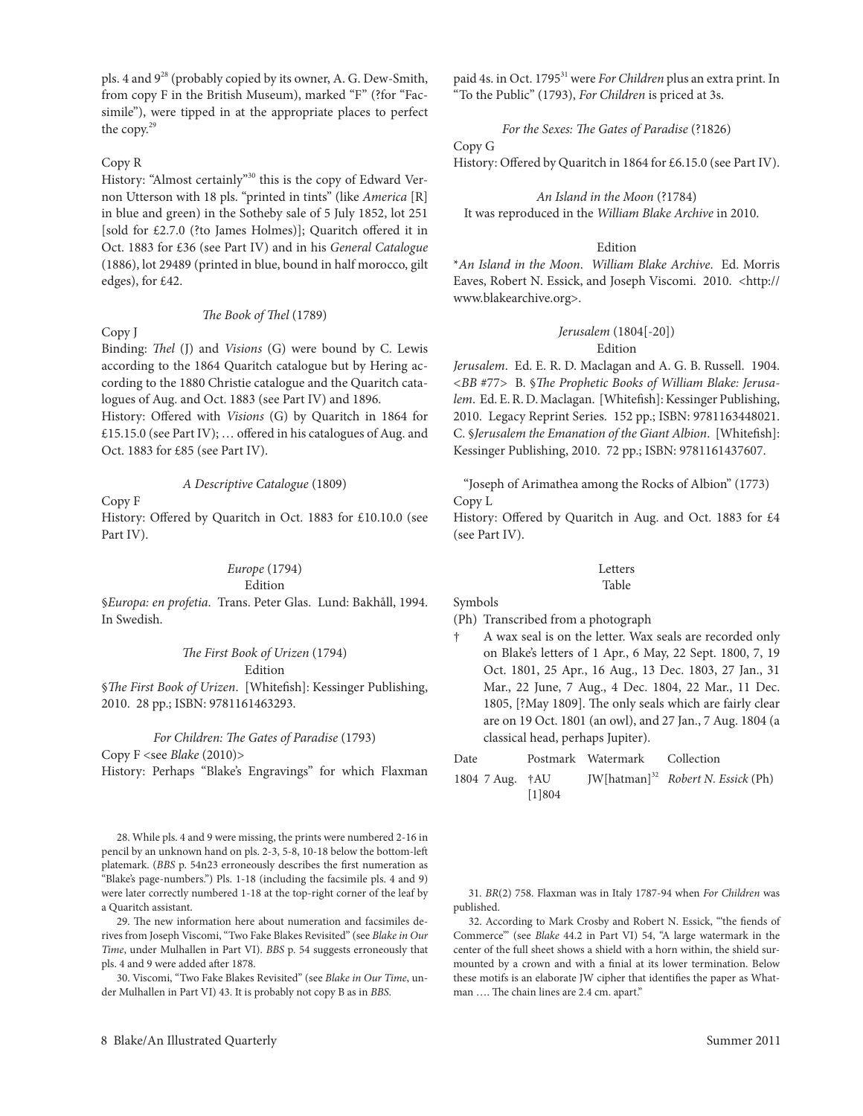pls. 4 and 928 (probably copied by its owner, A. G. Dew-Smith, from copy F in the British Museum), marked "F" (?for "Facsimile"), were tipped in at the appropriate places to perfect the copy.29

# Copy R

History: "Almost certainly"<sup>30</sup> this is the copy of Edward Vernon Utterson with 18 pls. "printed in tints" (like *America* [R] in blue and green) in the Sotheby sale of 5 July 1852, lot 251 [sold for £2.7.0 (?to James Holmes)]; Quaritch offered it in Oct. 1883 for £36 (see Part IV) and in his *General Catalogue* (1886), lot 29489 (printed in blue, bound in half morocco, gilt edges), for £42.

#### *The Book of Thel* (1789)

#### copy J

Binding: *Thel* (J) and *Visions* (G) were bound by c. lewis according to the 1864 Quaritch catalogue but by Hering according to the 1880 christie catalogue and the Quaritch catalogues of Aug. and Oct. 1883 (see Part IV) and 1896.

History: Offered with *Visions* (G) by Quaritch in 1864 for £15.15.0 (see Part IV); … offered in his catalogues of Aug. and Oct. 1883 for £85 (see Part IV).

# *A Descriptive Catalogue* (1809)

copy F

History: Offered by Quaritch in Oct. 1883 for £10.10.0 (see Part IV).

# *Europe* (1794)

Edition

§*Europa: en profetia*. Trans. Peter Glas. Lund: Bakhåll, 1994. In Swedish.

#### *The First Book of Urizen* (1794)

# Edition

§*The First Book of Urizen*. [Whitefish]: Kessinger Publishing, 2010. 28 pp.; ISBN: 9781161463293.

#### *For Children: The Gates of Paradise* (1793)

copy F <see *Blake* (2010)>

History: Perhaps "Blake's Engravings" for which Flaxman

28. While pls. 4 and 9 were missing, the prints were numbered 2-16 in pencil by an unknown hand on pls. 2-3, 5-8, 10-18 below the bottom-left platemark. (*BBS* p. 54n23 erroneously describes the first numeration as "Blake's page-numbers.") Pls. 1-18 (including the facsimile pls. 4 and 9) were later correctly numbered 1-18 at the top-right corner of the leaf by a Quaritch assistant.

29. The new information here about numeration and facsimiles derives from Joseph Viscomi, "two Fake Blakes revisited" (see *Blake in Our Time*, under Mulhallen in Part VI). *BBS* p. 54 suggests erroneously that pls. 4 and 9 were added after 1878.

30. Viscomi, "two Fake Blakes revisited" (see *Blake in Our Time*, under Mulhallen in Part VI) 43. It is probably not copy B as in *BBS*.

8 Blake/An Illustrated Quarterly Summer 2011

paid 4s. in Oct. 1795<sup>31</sup> were *For Children* plus an extra print. In "to the Public" (1793), *For Children* is priced at 3s.

*For the Sexes: The Gates of Paradise* (?1826)

#### copy G

History: Offered by Quaritch in 1864 for £6.15.0 (see Part IV).

*An Island in the Moon* (?1784) It was reproduced in the *William Blake Archive* in 2010.

# Edition

\**An Island in the Moon*. *William Blake Archive*. ed. Morris Eaves, Robert N. Essick, and Joseph Viscomi. 2010. <http:// www.blakearchive.org>.

#### *Jerusalem* (1804[-20]) Edition

*Jerusalem.* Ed. E. R. D. Maclagan and A. G. B. Russell. 1904. *<BB* #77> B. §*The Prophetic Books of William Blake: Jerusa*lem. Ed. E. R. D. Maclagan. [Whitefish]: Kessinger Publishing, 2010. Legacy Reprint Series. 152 pp.; ISBN: 9781163448021. c. §*Jerusalem the Emanation of the Giant Albion*. [Whitefish]: Kessinger Publishing, 2010. 72 pp.; ISBN: 9781161437607.

"Joseph of Arimathea among the rocks of Albion" (1773) Copy L

History: Offered by Quaritch in Aug. and Oct. 1883 for £4 (see Part IV).

#### letters Table

# Symbols

(Ph) Transcribed from a photograph

- † A wax seal is on the letter. Wax seals are recorded only on Blake's letters of 1 Apr., 6 May, 22 Sept. 1800, 7, 19 Oct. 1801, 25 Apr., 16 Aug., 13 Dec. 1803, 27 Jan., 31 Mar., 22 June, 7 Aug., 4 Dec. 1804, 22 Mar., 11 Dec. 1805, [?May 1809]. The only seals which are fairly clear are on 19 Oct. 1801 (an owl), and 27 Jan., 7 Aug. 1804 (a classical head, perhaps Jupiter).
- Date Postmark Watermark Collection
- 1804 7 Aug. †AU [1]804 JW[hatman]32 *Robert N. Essick* (Ph)

31*. BR*(2) 758. Flaxman was in Italy 1787-94 when *For Children* was published.

32. According to Mark Crosby and Robert N. Essick, "the fiends of commerce'" (see *Blake* 44.2 in Part VI) 54, "A large watermark in the center of the full sheet shows a shield with a horn within, the shield surmounted by a crown and with a finial at its lower termination. Below these motifs is an elaborate JW cipher that identifies the paper as Whatman …. The chain lines are 2.4 cm. apart."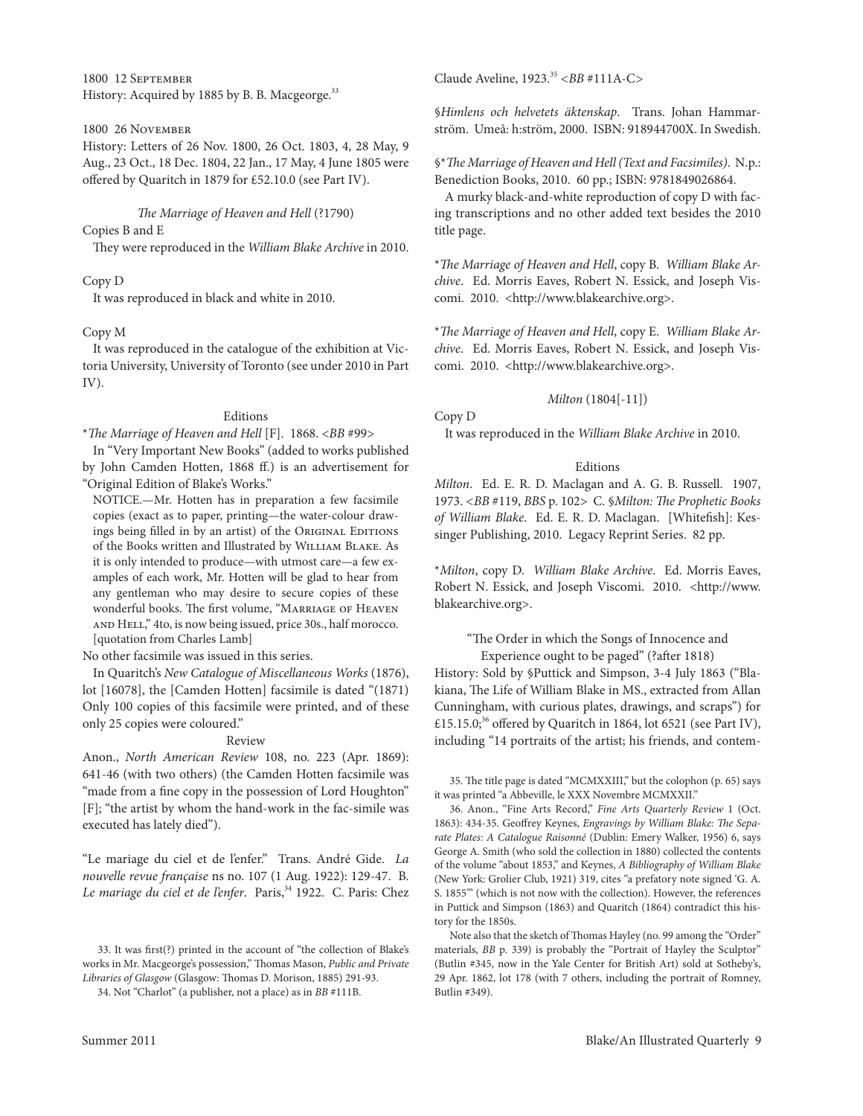1800 12 September History: Acquired by 1885 by B. B. Macgeorge.<sup>33</sup>

#### 1800 26 November

History: letters of 26 Nov. 1800, 26 Oct. 1803, 4, 28 May, 9 Aug., 23 Oct., 18 Dec. 1804, 22 Jan., 17 May, 4 June 1805 were offered by Quaritch in 1879 for £52.10.0 (see Part IV).

*The Marriage of Heaven and Hell* (?1790)

Copies B and E

They were reproduced in the *William Blake Archive* in 2010.

#### copy D

It was reproduced in black and white in 2010.

#### copy M

It was reproduced in the catalogue of the exhibition at Victoria University, University of Toronto (see under 2010 in Part IV).

#### **Editions**

#### \**The Marriage of Heaven and Hell* [F]. 1868. <*BB* #99>

In "Very Important New Books" (added to works published by John camden Hotten, 1868 ff.) is an advertisement for "Original edition of Blake's Works."

NOTICE.—Mr. Hotten has in preparation a few facsimile copies (exact as to paper, printing—the water-colour drawings being filled in by an artist) of the ORIGINAL EDITIONS of the Books written and Illustrated by William Blake. As it is only intended to produce—with utmost care—a few examples of each work, Mr. Hotten will be glad to hear from any gentleman who may desire to secure copies of these wonderful books. The first volume, "Marriage of Heaven and Hell," 4to, is now being issued, price 30s., half morocco. [quotation from charles lamb]

No other facsimile was issued in this series.

In Quaritch's *New Catalogue of Miscellaneous Works* (1876), lot [16078], the [camden Hotten] facsimile is dated "(1871) Only 100 copies of this facsimile were printed, and of these only 25 copies were coloured."

#### Review

Anon., *North American Review* 108, no. 223 (Apr. 1869): 641-46 (with two others) (the camden Hotten facsimile was "made from a fine copy in the possession of Lord Houghton" [F]; "the artist by whom the hand-work in the fac-simile was executed has lately died").

"le mariage du ciel et de l'enfer." trans. André Gide. *La nouvelle revue française* ns no. 107 (1 Aug. 1922): 129-47. B. Le mariage du ciel et de l'enfer. Paris,<sup>34</sup> 1922. C. Paris: Chez claude Aveline, 1923.35 *<BB* #111A-c*>*

§*Himlens och helvetets äktenskap*. Trans. Johan Hammarström. Umeå: h:ström, 2000. ISBN: 918944700X. In Swedish.

§\**The Marriage of Heaven and Hell (Text and Facsimiles)*. N.p.: Benediction Books, 2010. 60 pp.; ISBN: 9781849026864.

A murky black-and-white reproduction of copy D with facing transcriptions and no other added text besides the 2010 title page.

\**The Marriage of Heaven and Hell*, copy B. *William Blake Archive.* Ed. Morris Eaves, Robert N. Essick, and Joseph Viscomi. 2010. <http://www.blakearchive.org>.

\**The Marriage of Heaven and Hell*, copy e. *William Blake Archive.* Ed. Morris Eaves, Robert N. Essick, and Joseph Viscomi. 2010. < http://www.blakearchive.org>.

#### *Milton* (1804[-11])

copy D

It was reproduced in the *William Blake Archive* in 2010.

#### **Editions**

*Milton.* Ed. E. R. D. Maclagan and A. G. B. Russell. 1907, 1973. *<BB* #119, *BBS* p. 102> c. §*Milton: The Prophetic Books*  of William Blake. Ed. E. R. D. Maclagan. [Whitefish]: Kessinger Publishing, 2010. Legacy Reprint Series. 82 pp.

\**Milton*, copy D. *William Blake Archive*. ed. Morris eaves, Robert N. Essick, and Joseph Viscomi. 2010. <http://www. blakearchive.org>.

# "The Order in which the Songs of Innocence and experience ought to be paged" (?after 1818)

History: Sold by §Puttick and Simpson, 3-4 July 1863 ("Blakiana, The life of William Blake in MS., extracted from Allan cunningham, with curious plates, drawings, and scraps") for £15.15.0;<sup>36</sup> offered by Quaritch in 1864, lot 6521 (see Part IV), including "14 portraits of the artist; his friends, and contem-

35. The title page is dated "McMXXIII," but the colophon (p. 65) says it was printed "a Abbeville, le XXX Novembre McMXXII."

36. Anon., "Fine Arts Record," Fine Arts Quarterly Review 1 (Oct. 1863): 434-35. Geoffrey Keynes, *Engravings by William Blake: The Sepa*rate Plates: A Catalogue Raisonné (Dublin: Emery Walker, 1956) 6, says George A. Smith (who sold the collection in 1880) collected the contents of the volume "about 1853," and Keynes, *A Bibliography of William Blake* (New York: Grolier club, 1921) 319, cites "a prefatory note signed 'G. A. S. 1855'" (which is not now with the collection). However, the references in Puttick and Simpson (1863) and Quaritch (1864) contradict this history for the 1850s.

Note also that the sketch of Thomas Hayley (no. 99 among the "Order" materials, *BB* p. 339) is probably the "Portrait of Hayley the Sculptor" (Butlin #345, now in the Yale center for British Art) sold at Sotheby's, 29 Apr. 1862, lot 178 (with 7 others, including the portrait of Romney, Butlin #349).

<sup>33.</sup> It was first(?) printed in the account of "the collection of Blake's works in Mr. Macgeorge's possession," Thomas Mason, *Public and Private Libraries of Glasgow* (Glasgow: Thomas D. Morison, 1885) 291-93.

<sup>34.</sup> Not "charlot" (a publisher, not a place) as in *BB* #111B.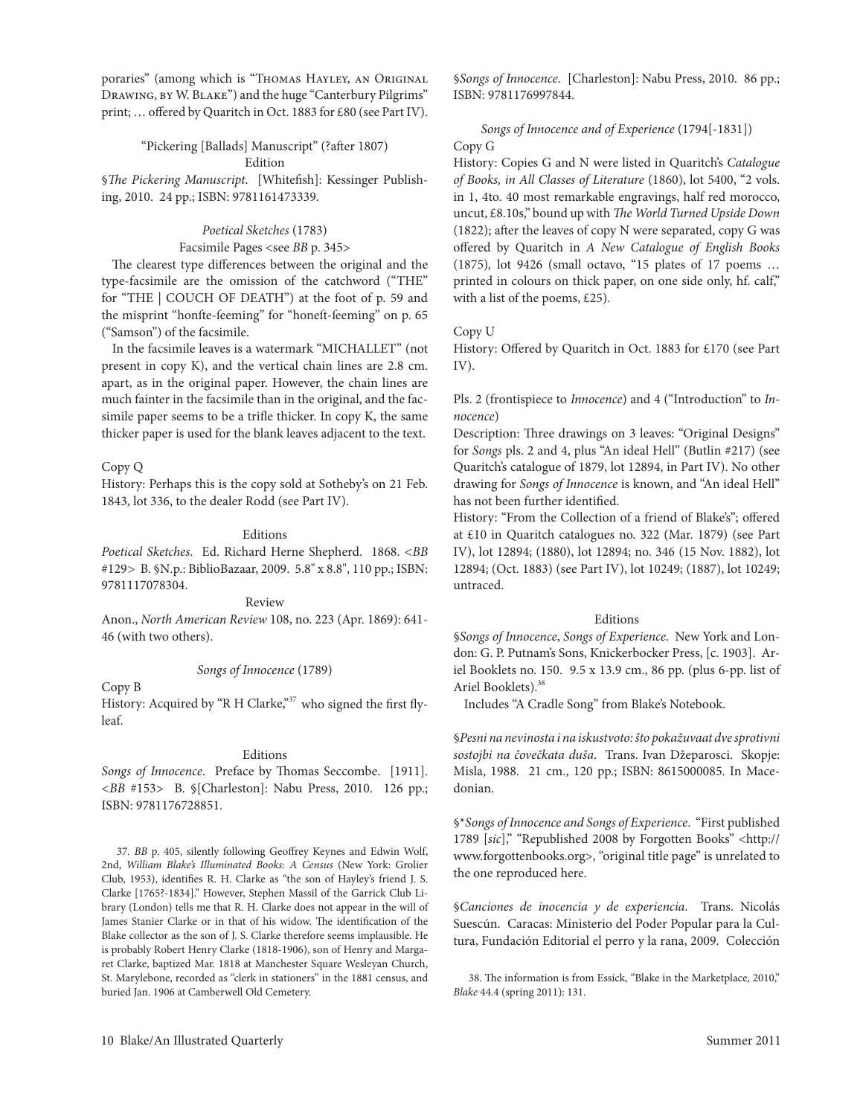poraries" (among which is "THOMAS HAYLEY, AN ORIGINAL Drawing, by W. Blake") and the huge "canterbury Pilgrims" print; … offered by Quaritch in Oct. 1883 for £80 (see Part IV).

## "Pickering [Ballads] Manuscript" (?after 1807) Edition

§*The Pickering Manuscript*. [Whitefish]: Kessinger Publishing, 2010. 24 pp.; ISBN: 9781161473339.

# *Poetical Sketches* (1783)

## Facsimile Pages <see *BB* p. 345>

The clearest type differences between the original and the type-facsimile are the omission of the catchword ("THE" for "THE | COUCH OF DEATH") at the foot of p. 59 and the misprint "honfte-feeming" for "honeft-feeming" on p. 65 ("Samson") of the facsimile.

In the facsimile leaves is a watermark "MICHALLET" (not present in copy K), and the vertical chain lines are 2.8 cm. apart, as in the original paper. However, the chain lines are much fainter in the facsimile than in the original, and the facsimile paper seems to be a trifle thicker. In copy K, the same thicker paper is used for the blank leaves adjacent to the text.

copy Q

History: Perhaps this is the copy sold at Sotheby's on 21 Feb. 1843, lot 336, to the dealer Rodd (see Part IV).

# Editions

*Poetical Sketches.* Ed. Richard Herne Shepherd. 1868. <BB #129*>* B. §N.p.: BiblioBazaar, 2009. 5.8" x 8.8", 110 pp.; ISBN: 9781117078304.

# Review

Anon., *North American Review* 108, no. 223 (Apr. 1869): 641- 46 (with two others).

# *Songs of Innocence* (1789)

copy B

History: Acquired by "R H Clarke,"<sup>37</sup> who signed the first flyleaf.

# Editions

*Songs of Innocence*. Preface by Thomas Seccombe. [1911]. *<BB* #153> B. §[charleston]: Nabu Press, 2010. 126 pp.; ISBN: 9781176728851.

37*. BB* p. 405, silently following Geoffrey Keynes and edwin Wolf, 2nd, *William Blake's Illuminated Books: A Census* (New York: Grolier Club, 1953), identifies R. H. Clarke as "the son of Hayley's friend J. S. clarke [1765?-1834]." However, Stephen Massil of the Garrick club library (London) tells me that R. H. Clarke does not appear in the will of James Stanier clarke or in that of his widow. The identification of the Blake collector as the son of J. S. clarke therefore seems implausible. He is probably Robert Henry Clarke (1818-1906), son of Henry and Margaret clarke, baptized Mar. 1818 at Manchester Square Wesleyan church, St. Marylebone, recorded as "clerk in stationers" in the 1881 census, and buried Jan. 1906 at camberwell Old cemetery.

§*Songs of Innocence*. [charleston]: Nabu Press, 2010. 86 pp.; ISBN: 9781176997844.

*Songs of Innocence and of Experience* (1794[-1831]) copy G

History: copies G and N were listed in Quaritch's *Catalogue of Books, in All Classes of Literature* (1860), lot 5400, "2 vols. in 1, 4to. 40 most remarkable engravings, half red morocco, uncut, £8.10s," bound up with *The World Turned Upside Down* (1822); after the leaves of copy N were separated, copy G was offered by Quaritch in *A New Catalogue of English Books* (1875)*,* lot 9426 (small octavo, "15 plates of 17 poems … printed in colours on thick paper, on one side only, hf. calf," with a list of the poems, £25).

# copy U

History: Offered by Quaritch in Oct. 1883 for £170 (see Part IV).

Pls. 2 (frontispiece to *Innocence*) and 4 ("Introduction" to *Innocence*)

Description: Three drawings on 3 leaves: "Original Designs" for *Songs* pls. 2 and 4, plus "An ideal Hell" (Butlin #217) (see Quaritch's catalogue of 1879, lot 12894, in Part IV). No other drawing for *Songs of Innocence* is known, and "An ideal Hell" has not been further identified.

History: "From the collection of a friend of Blake's"; offered at £10 in Quaritch catalogues no. 322 (Mar. 1879) (see Part IV), lot 12894; (1880), lot 12894; no. 346 (15 Nov. 1882), lot 12894; (Oct. 1883) (see Part IV), lot 10249; (1887), lot 10249; untraced.

# Editions

§*Songs of Innocence*, *Songs of Experience*. New York and london: G. P. Putnam's Sons, Knickerbocker Press, [c. 1903]. Ariel Booklets no. 150. 9.5 x 13.9 cm., 86 pp. (plus 6-pp. list of Ariel Booklets).<sup>38</sup>

Includes "A cradle Song" from Blake's Notebook.

§*Pesni na nevinosta i na iskustvoto: što pokažuvaat dve sprotivni*  sostojbi na čovečkata duša. Trans. Ivan Džeparosci. Skopje: Misla, 1988. 21 cm., 120 pp.; ISBN: 8615000085. In Macedonian.

§\**Songs of Innocence and Songs of Experience*. "First published 1789 [sic]," "Republished 2008 by Forgotten Books" <http:// www.forgottenbooks.org>, "original title page" is unrelated to the one reproduced here.

§Canciones de inocencia y de experiencia. Trans. Nicolás Suescún. Caracas: Ministerio del Poder Popular para la Cultura, Fundación editorial el perro y la rana, 2009. colección

38. The information is from Essick, "Blake in the Marketplace, 2010," *Blake* 44.4 (spring 2011): 131.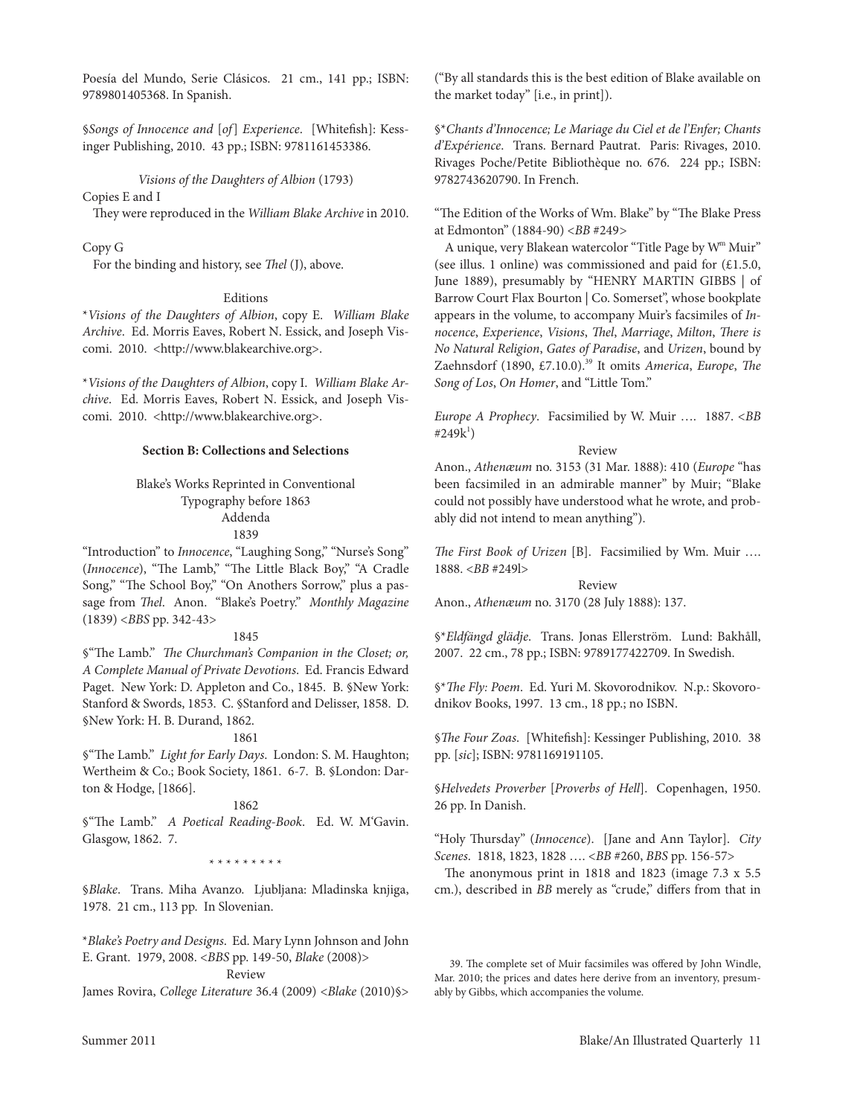Poesía del Mundo, Serie clásicos. 21 cm., 141 pp.; ISBN: 9789801405368. In Spanish.

§*Songs of Innocence and* [*of*] *Experience*. [Whitefish]: Kessinger Publishing, 2010. 43 pp.; ISBN: 9781161453386.

#### *Visions of the Daughters of Albion* (1793)

# Copies E and I

They were reproduced in the *William Blake Archive* in 2010.

# copy G

For the binding and history, see *Thel* (J), above.

#### **Editions**

\**Visions of the Daughters of Albion*, copy e. *William Blake*  Archive. Ed. Morris Eaves, Robert N. Essick, and Joseph Viscomi. 2010. <http://www.blakearchive.org>.

\**Visions of the Daughters of Albion*, copy I. *William Blake Archive.* Ed. Morris Eaves, Robert N. Essick, and Joseph Viscomi. 2010. <http://www.blakearchive.org>.

## **Section B: Collections and Selections**

## Blake's Works Reprinted in Conventional Typography before 1863 Addenda 1839

"Introduction" to *Innocence*, "laughing Song," "Nurse's Song" (*Innocence*), "The lamb," "The little Black Boy," "A cradle Song," "The School Boy," "On Anothers Sorrow," plus a passage from *Thel*. Anon. "Blake's Poetry." *Monthly Magazine* (1839) <*BBS* pp. 342-43>

#### 1845

§"The lamb." *The Churchman's Companion in the Closet; or, A Complete Manual of Private Devotions*. ed. Francis edward Paget. New York: D. Appleton and Co., 1845. B. §New York: Stanford & Swords, 1853. c. §Stanford and Delisser, 1858. D. §New York: H. B. Durand, 1862.

#### 1861

§"The lamb." *Light for Early Days*. london: S. M. Haughton; Wertheim & co.; Book Society, 1861. 6-7. B. §london: Darton & Hodge, [1866].

#### 1862

§"The Lamb." A Poetical Reading-Book. Ed. W. M'Gavin. Glasgow, 1862. 7.

\* \* \* \* \* \* \* \* \*

§*Blake*. Trans. Miha Avanzo. Ljubljana: Mladinska knjiga, 1978. 21 cm., 113 pp. In Slovenian.

\**Blake's Poetry and Designs*. ed. Mary lynn Johnson and John e. Grant. 1979, 2008. <*BBS* pp. 149-50, *Blake* (2008)>

Review

James Rovira, *College Literature* 36.4 (2009) <*Blake* (2010)§>

("By all standards this is the best edition of Blake available on the market today" [i.e., in print]).

§\**Chants d'Innocence; Le Mariage du Ciel et de l'Enfer; Chants d'Expérience*. Trans. Bernard Pautrat. Paris: Rivages, 2010. Rivages Poche/Petite Bibliothèque no. 676. 224 pp.; ISBN: 9782743620790. In French.

"The Edition of the Works of Wm. Blake" by "The Blake Press at edmonton" (1884-90) <*BB* #249*>*

A unique, very Blakean watercolor "Title Page by W<sup>m</sup> Muir" (see illus. 1 online) was commissioned and paid for  $(£1.5.0,$ June 1889), presumably by "HENRY MARTIN GIBBS | of Barrow Court Flax Bourton | Co. Somerset", whose bookplate appears in the volume, to accompany Muir's facsimiles of *Innocence*, *Experience*, *Visions*, *Thel*, *Marriage*, *Milton*, *There is No Natural Religion*, *Gates of Paradise*, and *Urizen*, bound by Zaehnsdorf (1890, £7.10.0).39 It omits *America*, *Europe*, *The*  Song of Los, On Homer, and "Little Tom."

*Europe A Prophecy*. Facsimilied by W. Muir …. 1887. <*BB* #249k<sup>1</sup>)

Review

Anon., *Athenæum* no. 3153 (31 Mar. 1888): 410 (*Europe* "has been facsimiled in an admirable manner" by Muir; "Blake could not possibly have understood what he wrote, and probably did not intend to mean anything").

*The First Book of Urizen* [B]. Facsimilied by Wm. Muir …. 1888. <*BB* #249l>

Review Anon., *Athenæum* no. 3170 (28 July 1888): 137.

§\**Eldfängd glädje*. Trans. Jonas Ellerström. Lund: Bakhåll, 2007. 22 cm., 78 pp.; ISBN: 9789177422709. In Swedish.

§\**The Fly: Poem.* Ed. Yuri M. Skovorodnikov. N.p.: Skovorodnikov Books, 1997. 13 cm., 18 pp.; no ISBN.

§*The Four Zoas*. [Whitefish]: Kessinger Publishing, 2010. 38 pp. [*sic*]; ISBN: 9781169191105.

§*Helvedets Proverber* [*Proverbs of Hell*]. copenhagen, 1950. 26 pp. In Danish.

"Holy Thursday" (*Innocence*). [Jane and Ann taylor]. *City Scenes*. 1818, 1823, 1828 …. <*BB* #260, *BBS* pp. 156-57>

The anonymous print in 1818 and 1823 (image 7.3 x 5.5 cm.), described in *BB* merely as "crude," differs from that in

<sup>39.</sup> The complete set of Muir facsimiles was offered by John Windle, Mar. 2010; the prices and dates here derive from an inventory, presumably by Gibbs, which accompanies the volume.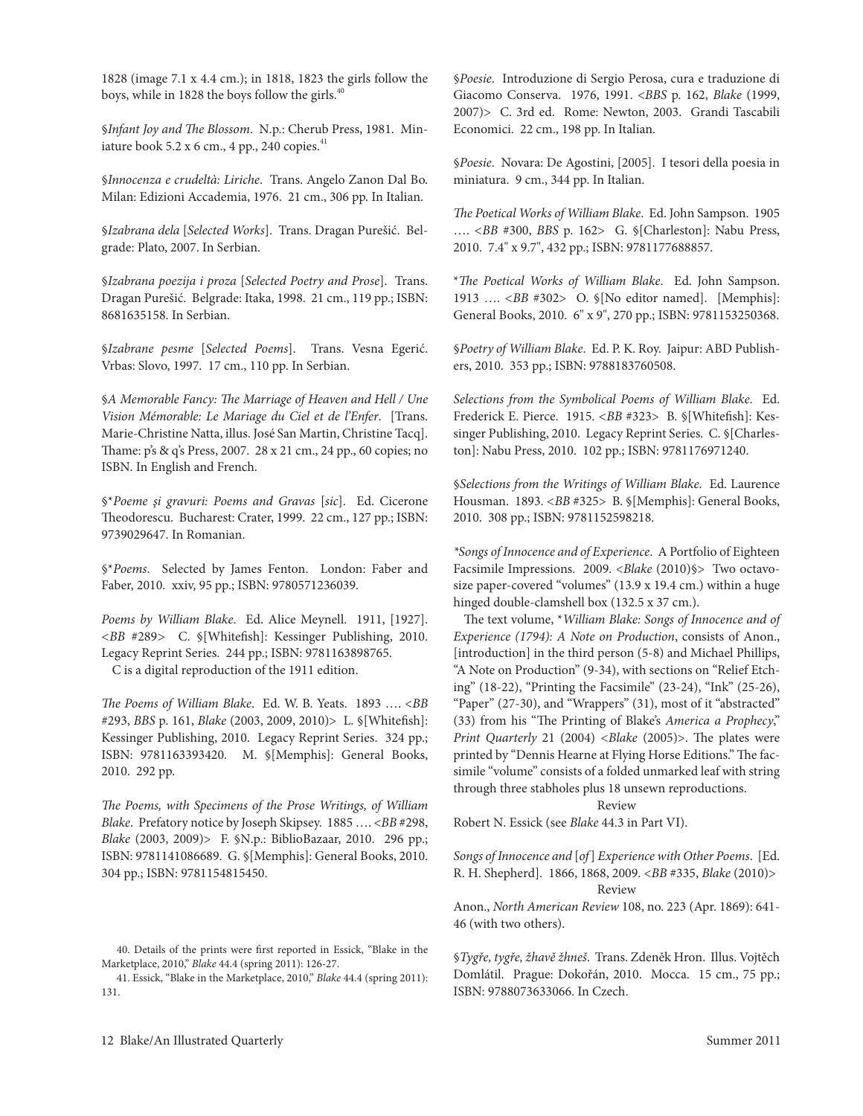1828 (image 7.1 x 4.4 cm.); in 1818, 1823 the girls follow the boys, while in 1828 the boys follow the girls.<sup>40</sup>

§*Infant Joy and The Blossom*. N.p.: cherub Press, 1981. Miniature book 5.2 x 6 cm., 4 pp., 240 copies. $41$ 

§*Innocenza e crudeltà: Liriche*. trans. Angelo Zanon Dal Bo. Milan: Edizioni Accademia, 1976. 21 cm., 306 pp. In Italian.

§*Izabrana dela* [*Selected Works*]. trans. Dragan Purešić. Belgrade: Plato, 2007. In Serbian.

§*Izabrana poezija i proza* [*Selected Poetry and Prose*]. trans. Dragan Purešić. Belgrade: Itaka, 1998. 21 cm., 119 pp.; ISBN: 8681635158. In Serbian.

§*Izabrane pesme* [*Selected Poems*]. Trans. Vesna Egerić. Vrbas: Slovo, 1997. 17 cm., 110 pp. In Serbian.

§*A Memorable Fancy: The Marriage of Heaven and Hell / Une Vision Mémorable: Le Mariage du Ciel et de l'Enfer.* [Trans.] Marie-Christine Natta, illus. José San Martin, Christine Tacq]. Thame: p's & q's Press, 2007. 28 x 21 cm., 24 pp., 60 copies; no ISBN. In English and French.

§\*Poeme și gravuri: Poems and Gravas [sic]. Ed. Cicerone Theodorescu. Bucharest: Crater, 1999. 22 cm., 127 pp.; ISBN: 9739029647. In Romanian.

§\**Poems*. Selected by James Fenton. london: Faber and Faber, 2010. xxiv, 95 pp.; ISBN: 9780571236039.

Poems by William Blake. Ed. Alice Meynell. 1911, [1927]. *<BB* #289*>* c. §[Whitefish]: Kessinger Publishing, 2010. Legacy Reprint Series. 244 pp.; ISBN: 9781163898765. c is a digital reproduction of the 1911 edition.

*The Poems of William Blake*. ed. W. B. Yeats. 1893 …. <*BB* #293, *BBS* p. 161, *Blake* (2003, 2009, 2010)> l. §[Whitefish]: Kessinger Publishing, 2010. Legacy Reprint Series. 324 pp.; ISBN: 9781163393420. M. §[Memphis]: General Books, 2010. 292 pp.

*The Poems, with Specimens of the Prose Writings, of William Blake*. Prefatory notice by Joseph Skipsey. 1885 …. <*BB* #298, *Blake* (2003, 2009)> F. §N.p.: BiblioBazaar, 2010. 296 pp.; ISBN: 9781141086689. G. §[Memphis]: General Books, 2010. 304 pp.; ISBN: 9781154815450.

41. essick, "Blake in the Marketplace, 2010," *Blake* 44.4 (spring 2011): 131.

§*Poesie*. Introduzione di Sergio Perosa, cura e traduzione di Giacomo conserva. 1976, 1991. <*BBS* p. 162, *Blake* (1999, 2007)> C. 3rd ed. Rome: Newton, 2003. Grandi Tascabili Economici. 22 cm., 198 pp. In Italian.

§*Poesie*. Novara: De Agostini, [2005]. I tesori della poesia in miniatura. 9 cm., 344 pp. In Italian.

*The Poetical Works of William Blake*. ed. John Sampson. 1905 …. *<BB* #300, *BBS* p. 162> G. §[charleston]: Nabu Press, 2010. 7.4" x 9.7", 432 pp.; ISBN: 9781177688857.

\**The Poetical Works of William Blake*. ed. John Sampson. 1913 …. *<BB* #302> O. §[No editor named]. [Memphis]: General Books, 2010. 6" x 9", 270 pp.; ISBN: 9781153250368.

§Poetry of William Blake. Ed. P. K. Roy. Jaipur: ABD Publishers, 2010. 353 pp.; ISBN: 9788183760508.

*Selections from the Symbolical Poems of William Blake. Ed.* Frederick E. Pierce. 1915. <BB #323> B. §[Whitefish]: Kessinger Publishing, 2010. Legacy Reprint Series. C. §[Charleston]: Nabu Press, 2010. 102 pp.; ISBN: 9781176971240.

§Selections from the Writings of William Blake. Ed. Laurence Housman. 1893. *<BB* #325> B. §[Memphis]: General Books, 2010. 308 pp.; ISBN: 9781152598218.

\*Songs of Innocence and of Experience. A Portfolio of Eighteen Facsimile Impressions. 2009. <*Blake* (2010)§> Two octavosize paper-covered "volumes" (13.9 x 19.4 cm.) within a huge hinged double-clamshell box (132.5 x 37 cm.).

The text volume, \**William Blake: Songs of Innocence and of Experience (1794): A Note on Production*, consists of Anon., [introduction] in the third person (5-8) and Michael Phillips, "A Note on Production" (9-34), with sections on "Relief Etching" (18-22), "Printing the Facsimile" (23-24), "Ink" (25-26), "Paper" (27-30), and "Wrappers" (31), most of it "abstracted" (33) from his "The Printing of Blake's *America a Prophecy*," *Print Quarterly* 21 (2004) *<Blake* (2005)>. The plates were printed by "Dennis Hearne at Flying Horse Editions." The facsimile "volume" consists of a folded unmarked leaf with string through three stabholes plus 18 unsewn reproductions.

Review

Robert N. Essick (see *Blake* 44.3 in Part VI).

*Songs of Innocence and* [*of*] *Experience with Other Poems*. [ed. r. H. Shepherd]. 1866, 1868, 2009. <*BB* #335, *Blake* (2010)> Review

Anon., *North American Review* 108, no. 223 (Apr. 1869): 641- 46 (with two others).

§*Tygře, tygře, žhavě žhneš*. Trans. Zdeněk Hron. Illus. Vojtěch Domlátil. Prague: Dokořán, 2010. Mocca. 15 cm., 75 pp.; ISBN: 9788073633066. In czech.

<sup>40.</sup> Details of the prints were first reported in Essick, "Blake in the Marketplace, 2010," *Blake* 44.4 (spring 2011): 126-27.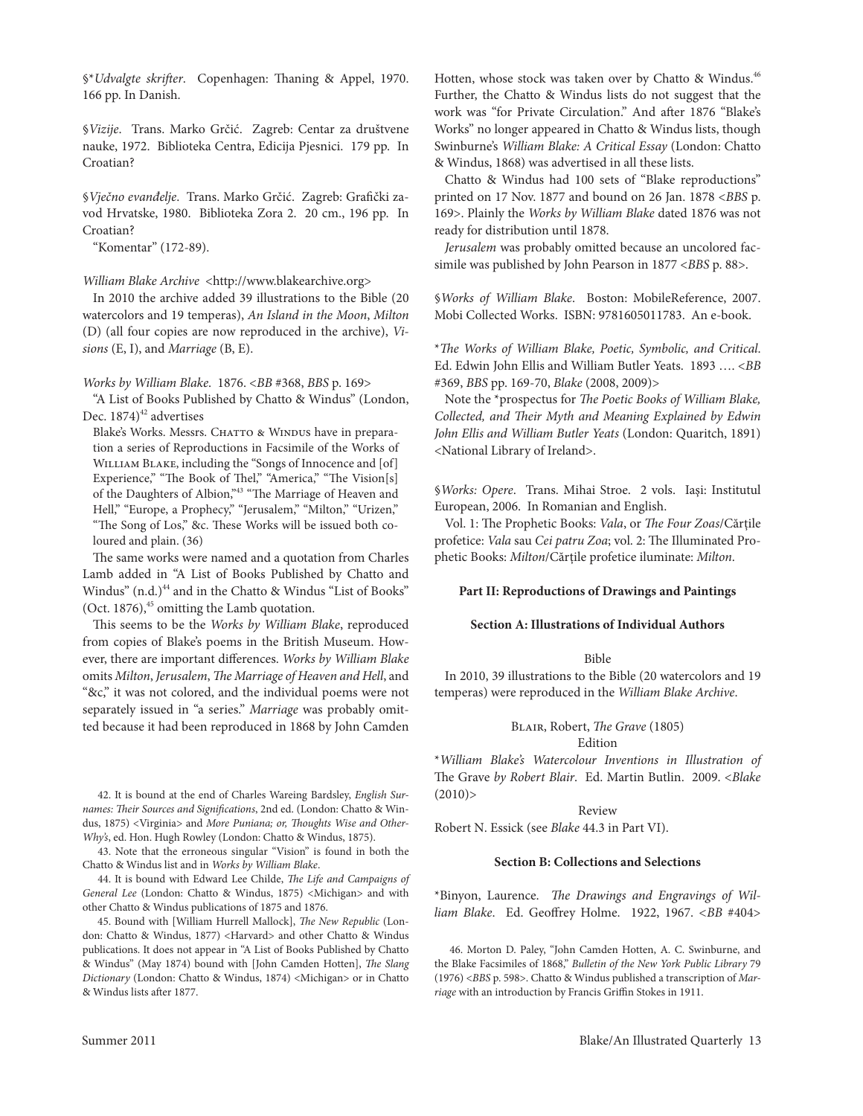§\**Udvalgte skrifter*. copenhagen: Thaning & Appel, 1970. 166 pp. In Danish.

§*Vizije*. Trans. Marko Grčić. Zagreb: Centar za društvene nauke, 1972. Biblioteka centra, edicija Pjesnici. 179 pp. In croatian?

§*Vječno evanđelje*. Trans. Marko Grčić. Zagreb: Grafički zavod Hrvatske, 1980. Biblioteka Zora 2. 20 cm., 196 pp. In croatian?

"Komentar" (172-89).

*William Blake Archive <http://www.blakearchive.org>* 

In 2010 the archive added 39 illustrations to the Bible (20 watercolors and 19 temperas), *An Island in the Moon*, *Milton* (D) (all four copies are now reproduced in the archive), *Visions* (E, I), and *Marriage* (B, E).

#### *Works by William Blake*. 1876. <*BB* #368, *BBS* p. 169>

"A list of Books Published by chatto & Windus" (london, Dec.  $1874)^{42}$  advertises

Blake's Works. Messrs. CHATTO & WINDUS have in preparation a series of Reproductions in Facsimile of the Works of WILLIAM BLAKE, including the "Songs of Innocence and [of] Experience," "The Book of Thel," "America," "The Vision[s] of the Daughters of Albion,"43 "The Marriage of Heaven and Hell," "Europe, a Prophecy," "Jerusalem," "Milton," "Urizen," "The Song of los," &c. These Works will be issued both coloured and plain. (36)

The same works were named and a quotation from charles lamb added in "A list of Books Published by chatto and Windus" (n.d.)<sup>44</sup> and in the Chatto & Windus "List of Books" (Oct. 1876), $45$  omitting the Lamb quotation.

This seems to be the *Works by William Blake*, reproduced from copies of Blake's poems in the British Museum. However, there are important differences. *Works by William Blake* omits *Milton*, *Jerusalem*, *The Marriage of Heaven and Hell*, and "&c," it was not colored, and the individual poems were not separately issued in "a series." *Marriage* was probably omitted because it had been reproduced in 1868 by John camden

42. It is bound at the end of charles Wareing Bardsley, *English Surnames: Their Sources and Significations*, 2nd ed. (london: chatto & Windus, 1875) <Virginia> and *More Puniana; or, Thoughts Wise and Other-Why's*, ed. Hon. Hugh Rowley (London: Chatto & Windus, 1875).

43. Note that the erroneous singular "Vision" is found in both the chatto & Windus list and in *Works by William Blake*.

44. It is bound with edward lee childe, *The Life and Campaigns of General Lee* (london: chatto & Windus, 1875) <Michigan> and with other chatto & Windus publications of 1875 and 1876.

45. Bound with [William Hurrell Mallock], *The New Republic* (london: chatto & Windus, 1877) <Harvard> and other chatto & Windus publications. It does not appear in "A list of Books Published by chatto & Windus" (May 1874) bound with [John camden Hotten], *The Slang Dictionary* (london: chatto & Windus, 1874) <Michigan> or in chatto & Windus lists after 1877.

Hotten, whose stock was taken over by Chatto & Windus.<sup>46</sup> Further, the chatto & Windus lists do not suggest that the work was "for Private circulation." And after 1876 "Blake's Works" no longer appeared in chatto & Windus lists, though Swinburne's *William Blake: A Critical Essay* (london: chatto & Windus, 1868) was advertised in all these lists.

chatto & Windus had 100 sets of "Blake reproductions" printed on 17 Nov. 1877 and bound on 26 Jan. 1878 <*BBS* p. 169>. Plainly the *Works by William Blake* dated 1876 was not ready for distribution until 1878.

*Jerusalem* was probably omitted because an uncolored facsimile was published by John Pearson in 1877 <*BBS* p. 88>.

§*Works of William Blake*. Boston: MobileReference, 2007. Mobi collected Works. ISBN: 9781605011783. An e-book.

\**The Works of William Blake, Poetic, Symbolic, and Critical*. ed. edwin John ellis and William Butler Yeats. 1893 …. <*BB* #369, *BBS* pp. 169-70, *Blake* (2008, 2009)>

Note the \*prospectus for *The Poetic Books of William Blake, Collected, and Their Myth and Meaning Explained by Edwin John Ellis and William Butler Yeats* (london: Quaritch, 1891) <National library of Ireland>.

§*Works: Opere*. Trans. Mihai Stroe. 2 vols. Iași: Institutul European, 2006. In Romanian and English.

Vol. 1: The Prophetic Books: *Vala*, or *The Four Zoas*/cărţile profetice: *Vala* sau *Cei patru Zoa*; vol. 2: The Illuminated Prophetic Books: *Milton*/cărţile profetice iluminate: *Milton*.

## **Part II: Reproductions of Drawings and Paintings**

#### **Section A: Illustrations of Individual Authors**

#### Bible

In 2010, 39 illustrations to the Bible (20 watercolors and 19 temperas) were reproduced in the *William Blake Archive*.

# BLAIR, Robert, *The Grave* (1805)

Edition

\**William Blake's Watercolour Inventions in Illustration of*  The Grave by Robert Blair. Ed. Martin Butlin. 2009. <*Blake*  $(2010)$ 

#### Review

Robert N. Essick (see *Blake* 44.3 in Part VI).

#### **Section B: Collections and Selections**

\*Binyon, laurence. *The Drawings and Engravings of William Blake*. ed. Geoffrey Holme. 1922, 1967. *<BB* #404>

46. Morton D. Paley, "John camden Hotten, A. c. Swinburne, and the Blake Facsimiles of 1868," *Bulletin of the New York Public Library* 79 (1976) <*BBS* p. 598>. chatto & Windus published a transcription of *Marriage* with an introduction by Francis Griffin Stokes in 1911.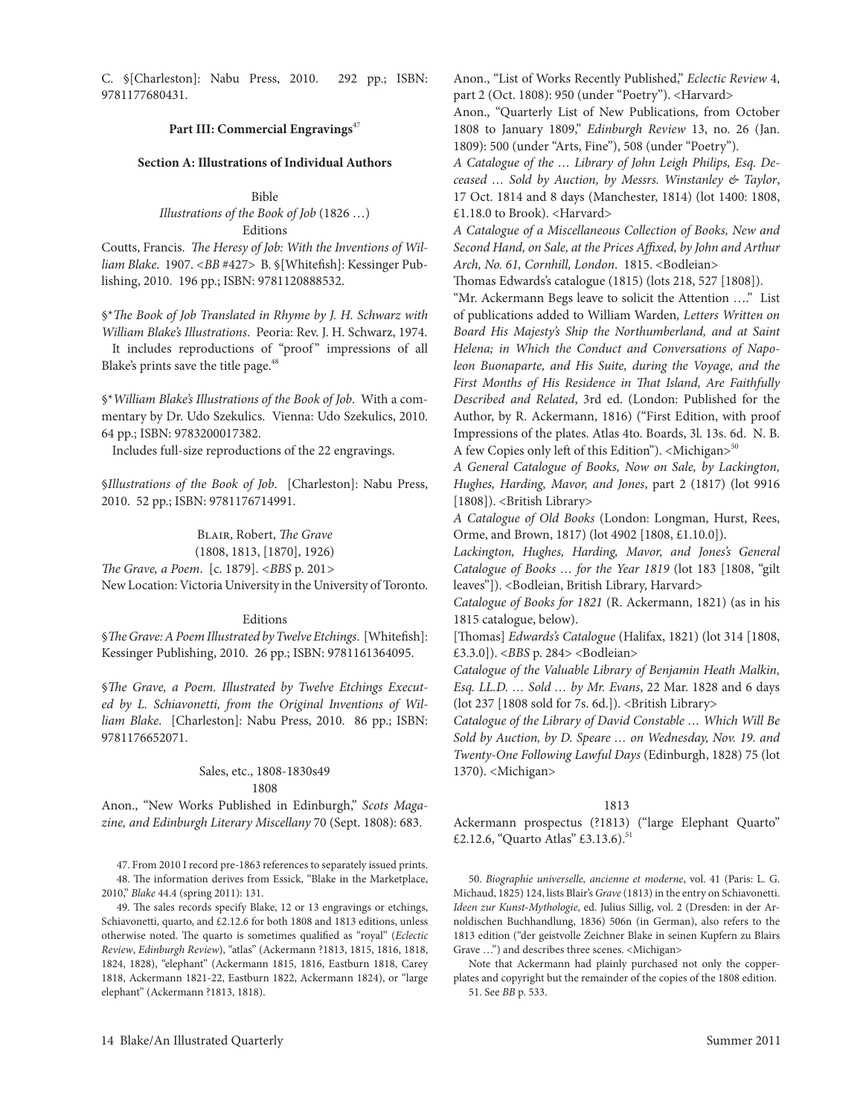c. §[charleston]: Nabu Press, 2010. 292 pp.; ISBN: 9781177680431.

#### **Part III: Commercial Engravings**<sup>47</sup>

#### **Section A: Illustrations of Individual Authors**

#### Bible

#### *Illustrations of the Book of Job* (1826 …) Editions

coutts, Francis. *The Heresy of Job: With the Inventions of William Blake*. 1907. *<BB* #427> B. §[Whitefish]: Kessinger Publishing, 2010. 196 pp.; ISBN: 9781120888532.

§\**The Book of Job Translated in Rhyme by J. H. Schwarz with William Blake's Illustrations. Peoria: Rev. J. H. Schwarz, 1974.* It includes reproductions of "proof" impressions of all

Blake's prints save the title page.<sup>48</sup>

§\**William Blake's Illustrations of the Book of Job*. With a commentary by Dr. Udo Szekulics. Vienna: Udo Szekulics, 2010. 64 pp.; ISBN: 9783200017382.

Includes full-size reproductions of the 22 engravings.

§*Illustrations of the Book of Job*. [charleston]: Nabu Press, 2010. 52 pp.; ISBN: 9781176714991.

BLAIR, Robert, *The Grave* 

(1808, 1813, [1870], 1926)

*The Grave, a Poem*. [c. 1879]. *<BBS* p. 201*>*

New Location: Victoria University in the University of Toronto.

#### Editions

§*The Grave: A Poem Illustrated by Twelve Etchings*. [Whitefish]: Kessinger Publishing, 2010. 26 pp.; ISBN: 9781161364095.

§*The Grave, a Poem. Illustrated by Twelve Etchings Executed by L. Schiavonetti, from the Original Inventions of William Blake*. [charleston]: Nabu Press, 2010. 86 pp.; ISBN: 9781176652071.

# Sales, etc., 1808-1830s49 1808

Anon., "New Works Published in edinburgh," *Scots Magazine, and Edinburgh Literary Miscellany* 70 (Sept. 1808): 683.

47. From 2010 I record pre-1863 references to separately issued prints.

48. The information derives from Essick, "Blake in the Marketplace, 2010," *Blake* 44.4 (spring 2011): 131.

49. The sales records specify Blake, 12 or 13 engravings or etchings, Schiavonetti, quarto, and £2.12.6 for both 1808 and 1813 editions, unless otherwise noted. The quarto is sometimes qualified as "royal" (*Eclectic Review*, *Edinburgh Review*), "atlas" (Ackermann ?1813, 1815, 1816, 1818, 1824, 1828), "elephant" (Ackermann 1815, 1816, Eastburn 1818, Carey 1818, Ackermann 1821-22, eastburn 1822, Ackermann 1824), or "large elephant" (Ackermann ?1813, 1818).

Anon., "List of Works Recently Published," *Eclectic Review 4*, part 2 (Oct. 1808): 950 (under "Poetry"). <Harvard>

Anon., "Quarterly list of New Publications, from October 1808 to January 1809," *Edinburgh Review* 13, no. 26 (Jan. 1809): 500 (under "Arts, Fine"), 508 (under "Poetry").

*A Catalogue of the … Library of John Leigh Philips, Esq. Deceased … Sold by Auction, by Messrs. Winstanley & Taylor*, 17 Oct. 1814 and 8 days (Manchester, 1814) (lot 1400: 1808, £1.18.0 to Brook). <Harvard>

*A Catalogue of a Miscellaneous Collection of Books, New and Second Hand, on Sale, at the Prices Affixed, by John and Arthur Arch, No. 61, Cornhill, London*.1815. <Bodleian>

Thomas edwards's catalogue (1815) (lots 218, 527 [1808]).

"Mr. Ackermann Begs leave to solicit the Attention …." list of publications added to William Warden*, Letters Written on Board His Majesty's Ship the Northumberland, and at Saint Helena; in Which the Conduct and Conversations of Napoleon Buonaparte, and His Suite, during the Voyage, and the First Months of His Residence in That Island, Are Faithfully Described and Related*, 3rd ed. (london: Published for the Author, by R. Ackermann, 1816) ("First Edition, with proof Impressions of the plates. Atlas 4to. Boards, 3l. 13s. 6d. N. B. A few Copies only left of this Edition"). <Michigan><sup>50</sup>

*A General Catalogue of Books, Now on Sale, by Lackington, Hughes, Harding, Mavor, and Jones*, part 2 (1817) (lot 9916 [1808]). <British Library>

A Catalogue of Old Books (London: Longman, Hurst, Rees, Orme, and Brown, 1817) (lot 4902 [1808, £1.10.0]).

*Lackington, Hughes, Harding, Mavor, and Jones's General Catalogue of Books … for the Year 1819* (lot 183 [1808, "gilt leaves"]). <Bodleian, British Library, Harvard>

*Catalogue of Books for 1821* (R. Ackermann, 1821) (as in his 1815 catalogue, below).

[Thomas] *Edwards's Catalogue* (Halifax, 1821) (lot 314 [1808, £3.3.0]). <*BBS* p. 284> <Bodleian>

*Catalogue of the Valuable Library of Benjamin Heath Malkin, Esq. LL.D. … Sold … by Mr. Evans*, 22 Mar. 1828 and 6 days (lot 237 [1808 sold for 7s. 6d.]). <British Library>

*Catalogue of the Library of David Constable … Which Will Be Sold by Auction, by D. Speare … on Wednesday, Nov. 19. and Twenty-One Following Lawful Days* (Edinburgh, 1828) 75 (lot 1370). <Michigan>

#### 1813

Ackermann prospectus (?1813) ("large Elephant Quarto" £2.12.6, "Quarto Atlas" £3.13.6).<sup>51</sup>

50. *Biographie universelle, ancienne et moderne*, vol. 41 (Paris: l. G. Michaud, 1825) 124, lists Blair's *Grave* (1813) in the entry on Schiavonetti. *Ideen zur Kunst-Mythologie*, ed. Julius Sillig, vol. 2 (Dresden: in der Arnoldischen Buchhandlung, 1836) 506n (in German), also refers to the 1813 edition ("der geistvolle Zeichner Blake in seinen Kupfern zu Blairs Grave ...") and describes three scenes. <Michigan>

Note that Ackermann had plainly purchased not only the copperplates and copyright but the remainder of the copies of the 1808 edition. 51. See *BB* p. 533.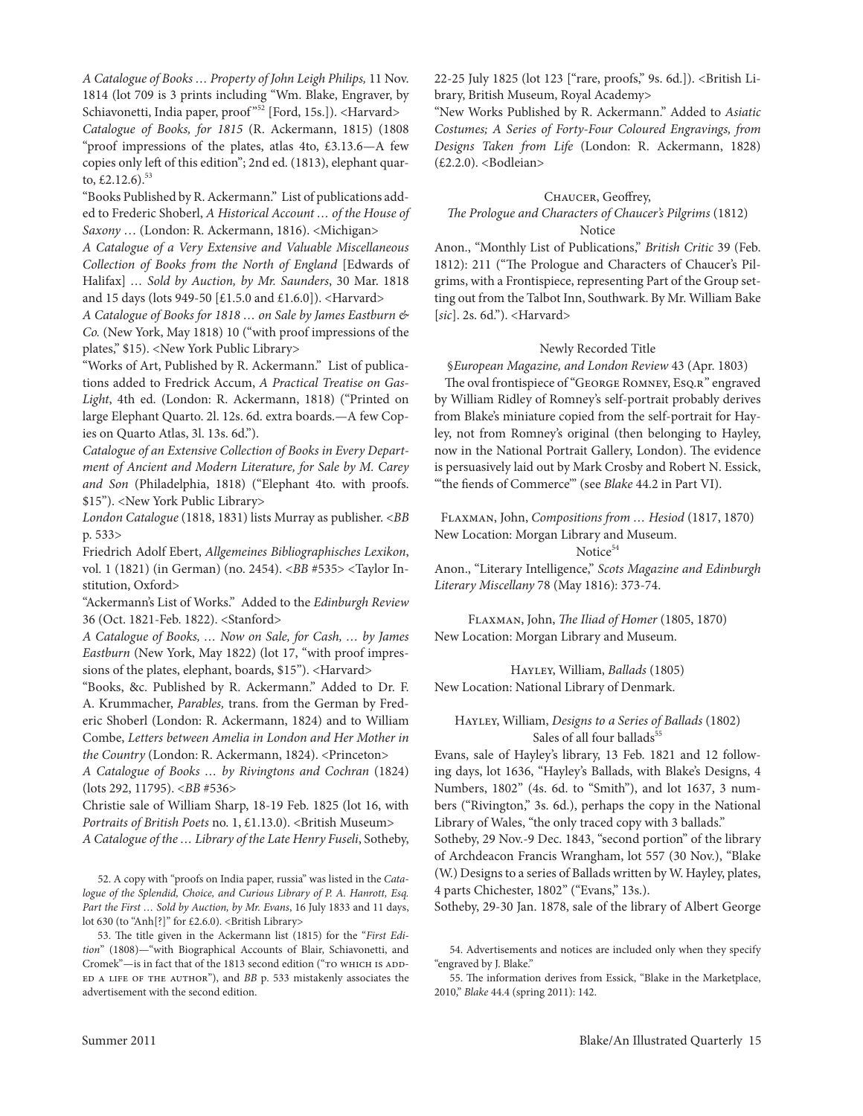*A Catalogue of Books … Property of John Leigh Philips,* 11 Nov. 1814 (lot 709 is 3 prints including "Wm. Blake, engraver, by Schiavonetti, India paper, proof<sup>"52</sup> [Ford, 15s.]). <Harvard> Catalogue of Books, for 1815 (R. Ackermann, 1815) (1808 "proof impressions of the plates, atlas 4to, £3.13.6—A few copies only left of this edition"; 2nd ed. (1813), elephant quarto,  $£2.12.6$ ).<sup>53</sup>

"Books Published by R. Ackermann." List of publications added to Frederic Shoberl, *A Historical Account … of the House of Saxony* ... (London: R. Ackermann, 1816). <Michigan>

*A Catalogue of a Very Extensive and Valuable Miscellaneous Collection of Books from the North of England* [edwards of Halifax] *… Sold by Auction, by Mr. Saunders*, 30 Mar. 1818 and 15 days (lots 949-50 [£1.5.0 and £1.6.0]). <Harvard>

*A Catalogue of Books for 1818 … on Sale by James Eastburn & Co.* (New York, May 1818) 10 ("with proof impressions of the plates," \$15). <New York Public library>

"Works of Art, Published by R. Ackermann." List of publications added to Fredrick Accum, *A Practical Treatise on Gas-*Light, 4th ed. (London: R. Ackermann, 1818) ("Printed on large Elephant Quarto. 2l. 12s. 6d. extra boards.—A few Copies on Quarto Atlas, 3l. 13s. 6d.").

*Catalogue of an Extensive Collection of Books in Every Department of Ancient and Modern Literature, for Sale by M. Carey*  and Son (Philadelphia, 1818) ("Elephant 4to. with proofs. \$15"). <New York Public library>

*London Catalogue* (1818, 1831) lists Murray as publisher. <*BB* p. 533>

Friedrich Adolf ebert, *Allgemeines Bibliographisches Lexikon*, vol. 1 (1821) (in German) (no. 2454). <*BB* #535> <Taylor Institution, Oxford>

"Ackermann's list of Works." Added to the *Edinburgh Review*  36 (Oct. 1821-Feb. 1822). <Stanford>

*A Catalogue of Books, … Now on Sale, for Cash, … by James Eastburn* (New York, May 1822) (lot 17, "with proof impressions of the plates, elephant, boards, \$15"). <Harvard>

"Books, &c. Published by R. Ackermann." Added to Dr. F. A. Krummacher, *Parables,* trans. from the German by Frederic Shoberl (London: R. Ackermann, 1824) and to William combe, *Letters between Amelia in London and Her Mother in the Country* (London: R. Ackermann, 1824). <Princeton>

*A Catalogue of Books … by Rivingtons and Cochran* (1824) (lots 292, 11795). <*BB* #536>

christie sale of William Sharp, 18-19 Feb. 1825 (lot 16, with Portraits of British Poets no. 1, £1.13.0). <British Museum> *A Catalogue of the … Library of the Late Henry Fuseli*, Sotheby,

52. A copy with "proofs on India paper, russia" was listed in the *Catalogue of the Splendid, Choice, and Curious Library of P. A. Hanrott, Esq. Part the First … Sold by Auction, by Mr. Evans*, 16 July 1833 and 11 days, lot 630 (to "Anh[?]" for £2.6.0). <British Library>

53. The title given in the Ackermann list (1815) for the "*First Edition*" (1808)—"with Biographical Accounts of Blair, Schiavonetti, and Cromek"-is in fact that of the 1813 second edition ("TO WHICH IS ADDed a life of the author"), and *BB* p. 533 mistakenly associates the advertisement with the second edition.

22-25 July 1825 (lot 123 ["rare, proofs," 9s. 6d.]). <British library, British Museum, Royal Academy>

"New Works Published by R. Ackermann." Added to *Asiatic Costumes; A Series of Forty-Four Coloured Engravings, from*  Designs Taken from Life (London: R. Ackermann, 1828) (£2.2.0). <Bodleian>

#### chaucer, Geoffrey,

# *The Prologue and Characters of Chaucer's Pilgrims* (1812) Notice

Anon., "Monthly list of Publications," *British Critic* 39 (Feb. 1812): 211 ("The Prologue and characters of chaucer's Pilgrims, with a Frontispiece, representing Part of the Group setting out from the Talbot Inn, Southwark. By Mr. William Bake [*sic*]. 2s. 6d."). <Harvard>

#### Newly Recorded Title

§*European Magazine, and London Review* 43 (Apr. 1803) The oval frontispiece of "GEORGE ROMNEY, ESQ.R" engraved by William Ridley of Romney's self-portrait probably derives from Blake's miniature copied from the self-portrait for Hayley, not from Romney's original (then belonging to Hayley, now in the National Portrait Gallery, london). The evidence is persuasively laid out by Mark Crosby and Robert N. Essick, "'the fiends of commerce'" (see *Blake* 44.2 in Part VI).

Flaxman, John, *Compositions from … Hesiod* (1817, 1870) New location: Morgan library and Museum. Notice $54$ 

Anon., "literary Intelligence," *Scots Magazine and Edinburgh Literary Miscellany* 78 (May 1816): 373-74.

Flaxman, John, *The Iliad of Homer* (1805, 1870) New location: Morgan library and Museum.

Hayley, William, *Ballads* (1805) New location: National library of Denmark.

# Hayley, William, *Designs to a Series of Ballads* (1802) Sales of all four ballads<sup>55</sup>

evans, sale of Hayley's library, 13 Feb. 1821 and 12 following days, lot 1636, "Hayley's Ballads, with Blake's Designs, 4 Numbers, 1802" (4s. 6d. to "Smith"), and lot 1637, 3 numbers ("Rivington," 3s. 6d.), perhaps the copy in the National Library of Wales, "the only traced copy with 3 ballads." Sotheby, 29 Nov.-9 Dec. 1843, "second portion" of the library of Archdeacon Francis Wrangham, lot 557 (30 Nov.), "Blake (W.) Designs to a series of Ballads written by W. Hayley, plates, 4 parts Chichester, 1802" ("Evans," 13s.).

Sotheby, 29-30 Jan. 1878, sale of the library of Albert George

<sup>54.</sup> Advertisements and notices are included only when they specify "engraved by J. Blake."

<sup>55.</sup> The information derives from Essick, "Blake in the Marketplace, 2010," *Blake* 44.4 (spring 2011): 142.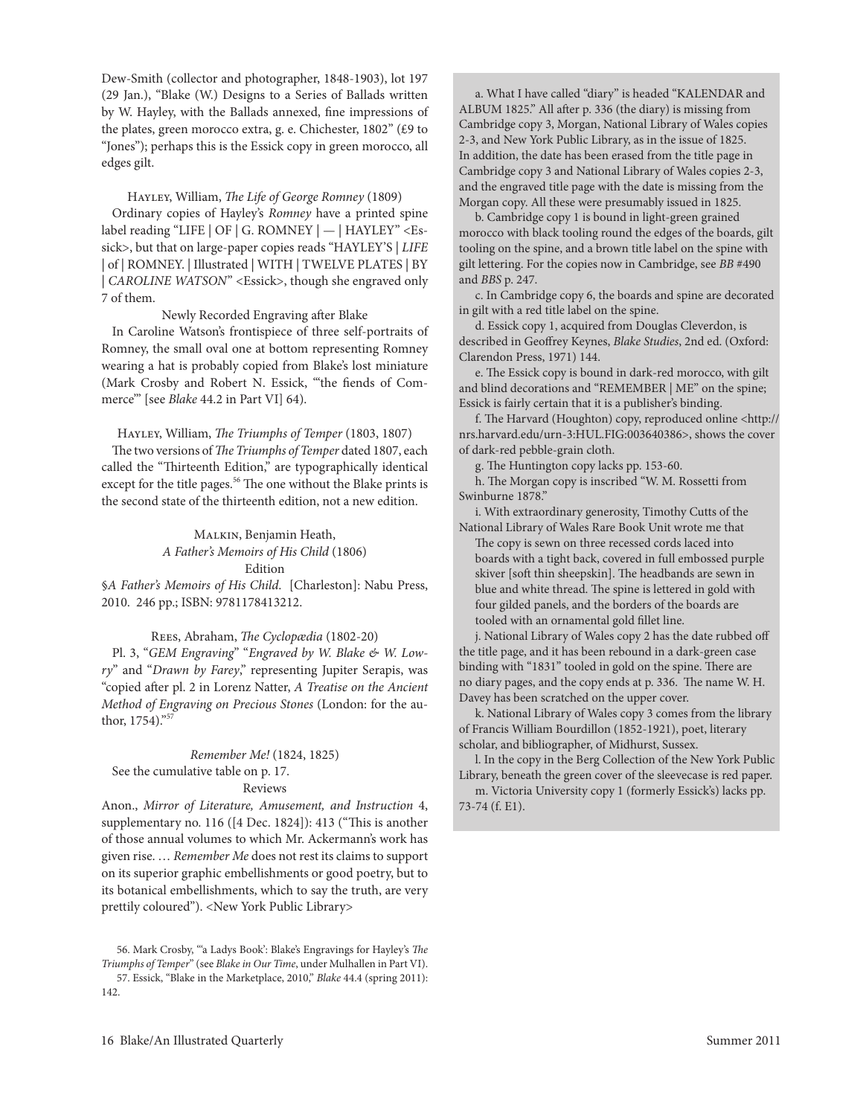Dew-Smith (collector and photographer, 1848-1903), lot 197 (29 Jan.), "Blake (W.) Designs to a Series of Ballads written by W. Hayley, with the Ballads annexed, fine impressions of the plates, green morocco extra, g. e. chichester, 1802" (£9 to "Jones"); perhaps this is the Essick copy in green morocco, all edges gilt.

Hayley, William, *The Life of George Romney* (1809) Ordinary copies of Hayley's *Romney* have a printed spine label reading "LIFE | OF | G. ROMNEY  $| - |$  HAYLEY" < Essick>, but that on large-paper copies reads "HAYleY'S | *LIFE*  | of | ROMNEY. | Illustrated | WITH | TWELVE PLATES | BY | *CAROLINE WATSON*" <Essick>, though she engraved only 7 of them.

Newly Recorded Engraving after Blake

In caroline Watson's frontispiece of three self-portraits of Romney, the small oval one at bottom representing Romney wearing a hat is probably copied from Blake's lost miniature (Mark Crosby and Robert N. Essick, "the fiends of Commerce'" [see *Blake* 44.2 in Part VI] 64).

Hayley, William, *The Triumphs of Temper* (1803, 1807)

The two versions of *The Triumphs of Temper* dated 1807, each called the "Thirteenth Edition," are typographically identical except for the title pages.<sup>56</sup> The one without the Blake prints is the second state of the thirteenth edition, not a new edition.

# Malkin, Benjamin Heath, *A Father's Memoirs of His Child* (1806) Edition

§*A Father's Memoirs of His Child*. [charleston]: Nabu Press, 2010. 246 pp.; ISBN: 9781178413212.

# rees, Abraham, *The Cyclopædia* (1802-20)

Pl. 3, "*GEM Engraving*" "*Engraved by W. Blake & W. Lowry*" and "*Drawn by Farey*," representing Jupiter Serapis, was "copied after pl. 2 in lorenz Natter, *A Treatise on the Ancient Method of Engraving on Precious Stones* (london: for the author, 1754)."57

# *Remember Me!* (1824, 1825) See the cumulative table on p. 17.

# Reviews

Anon., *Mirror of Literature, Amusement, and Instruction* 4, supplementary no. 116 ([4 Dec. 1824]): 413 ("This is another of those annual volumes to which Mr. Ackermann's work has given rise. … *Remember Me* does not rest its claims to support on its superior graphic embellishments or good poetry, but to its botanical embellishments, which to say the truth, are very prettily coloured"). <New York Public library>

a. What I have called "diary" is headed "KALENDAR and AlBUM 1825." All after p. 336 (the diary) is missing from cambridge copy 3, Morgan, National library of Wales copies 2-3, and New York Public library, as in the issue of 1825. In addition, the date has been erased from the title page in cambridge copy 3 and National library of Wales copies 2-3, and the engraved title page with the date is missing from the Morgan copy. All these were presumably issued in 1825.

b. cambridge copy 1 is bound in light-green grained morocco with black tooling round the edges of the boards, gilt tooling on the spine, and a brown title label on the spine with gilt lettering. For the copies now in cambridge, see *BB* #490 and *BBS* p. 247.

c. In cambridge copy 6, the boards and spine are decorated in gilt with a red title label on the spine.

d. Essick copy 1, acquired from Douglas Cleverdon, is described in Geoffrey Keynes, *Blake Studies*, 2nd ed. (Oxford: clarendon Press, 1971) 144.

e. The Essick copy is bound in dark-red morocco, with gilt and blind decorations and "REMEMBER | ME" on the spine; Essick is fairly certain that it is a publisher's binding.

f. The Harvard (Houghton) copy, reproduced online <http:// nrs.harvard.edu/urn-3:HUl.FIG:003640386>, shows the cover of dark-red pebble-grain cloth.

g. The Huntington copy lacks pp. 153-60.

h. The Morgan copy is inscribed "W. M. Rossetti from Swinburne 1878."

i. With extraordinary generosity, Timothy Cutts of the National Library of Wales Rare Book Unit wrote me that

The copy is sewn on three recessed cords laced into boards with a tight back, covered in full embossed purple skiver [soft thin sheepskin]. The headbands are sewn in blue and white thread. The spine is lettered in gold with four gilded panels, and the borders of the boards are tooled with an ornamental gold fillet line.

j. National library of Wales copy 2 has the date rubbed off the title page, and it has been rebound in a dark-green case binding with "1831" tooled in gold on the spine. There are no diary pages, and the copy ends at p. 336. The name W. H. Davey has been scratched on the upper cover.

k. National library of Wales copy 3 comes from the library of Francis William Bourdillon (1852-1921), poet, literary scholar, and bibliographer, of Midhurst, Sussex.

l. In the copy in the Berg collection of the New York Public library, beneath the green cover of the sleevecase is red paper. m. Victoria University copy 1 (formerly Essick's) lacks pp.

73-74 (f. E1).

<sup>56.</sup> Mark crosby, "'a ladys Book': Blake's engravings for Hayley's *The Triumphs of Temper*" (see *Blake in Our Time*, under Mulhallen in Part VI). 57. Essick, "Blake in the Marketplace, 2010," *Blake* 44.4 (spring 2011): 142.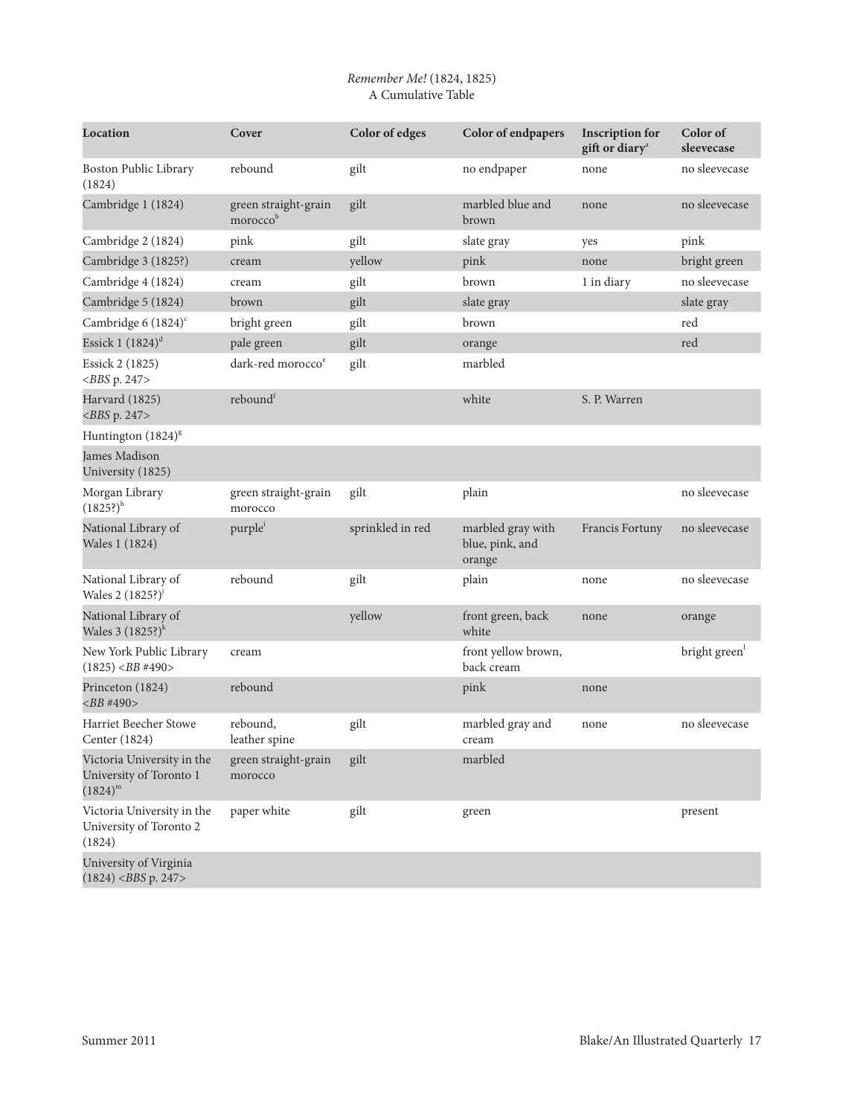# *Remember Me!* (1824, 1825) A Cumulative Table

| Location                                                              | Cover                            | Color of edges   | Color of endpapers                             | <b>Inscription for</b><br>gift or diary <sup>a</sup> | Color of<br>sleevecase |
|-----------------------------------------------------------------------|----------------------------------|------------------|------------------------------------------------|------------------------------------------------------|------------------------|
| Boston Public Library<br>(1824)                                       | rebound                          | gilt             | no endpaper                                    | none                                                 | no sleevecase          |
| Cambridge 1 (1824)                                                    | green straight-grain<br>moroccob | gilt             | marbled blue and<br>brown                      | none                                                 | no sleevecase          |
| Cambridge 2 (1824)                                                    | pink                             | gilt             | slate gray                                     | yes                                                  | pink                   |
| Cambridge 3 (1825?)                                                   | cream                            | yellow           | pink                                           | none                                                 | bright green           |
| Cambridge 4 (1824)                                                    | cream                            | gilt             | brown                                          | 1 in diary                                           | no sleevecase          |
| Cambridge 5 (1824)                                                    | brown                            | gilt             | slate gray                                     |                                                      | slate gray             |
| Cambridge 6 (1824) <sup>c</sup>                                       | bright green                     | gilt             | brown                                          |                                                      | red                    |
| Essick 1 $(1824)^d$                                                   | pale green                       | gilt             | orange                                         |                                                      | red                    |
| Essick 2 (1825)<br>$<$ BBS p. 247>                                    | dark-red morocco <sup>e</sup>    | gilt             | marbled                                        |                                                      |                        |
| Harvard (1825)<br>$<$ BBS p. 247>                                     | reboundf                         |                  | white                                          | S. P. Warren                                         |                        |
| Huntington (1824) <sup>8</sup>                                        |                                  |                  |                                                |                                                      |                        |
| <b>James Madison</b><br>University (1825)                             |                                  |                  |                                                |                                                      |                        |
| Morgan Library<br>$(1825?)^h$                                         | green straight-grain<br>morocco  | gilt             | plain                                          |                                                      | no sleevecase          |
| National Library of<br>Wales 1 (1824)                                 | purple <sup>i</sup>              | sprinkled in red | marbled gray with<br>blue, pink, and<br>orange | Francis Fortuny                                      | no sleevecase          |
| National Library of<br>Wales 2 $(1825$ ?) <sup>j</sup>                | rebound                          | gilt             | plain                                          | none                                                 | no sleevecase          |
| National Library of<br>Wales $3 (1825)^{k}$                           |                                  | yellow           | front green, back<br>white                     | none                                                 | orange                 |
| New York Public Library<br>$(1825)$ <bb #490=""></bb>                 | cream                            |                  | front yellow brown,<br>back cream              |                                                      | bright green           |
| Princeton (1824)<br>$<$ BB#490>                                       | rebound                          |                  | pink                                           | none                                                 |                        |
| <b>Harriet Beecher Stowe</b><br>Center (1824)                         | rebound,<br>leather spine        | gilt             | marbled gray and<br>cream                      | none                                                 | no sleevecase          |
| Victoria University in the<br>University of Toronto 1<br>$(1824)^{m}$ | green straight-grain<br>morocco  | gilt             | marbled                                        |                                                      |                        |
| Victoria University in the<br>University of Toronto 2<br>(1824)       | paper white                      | gilt             | green                                          |                                                      | present                |
| University of Virginia<br>$(1824)$ <bbs 247="" p.=""></bbs>           |                                  |                  |                                                |                                                      |                        |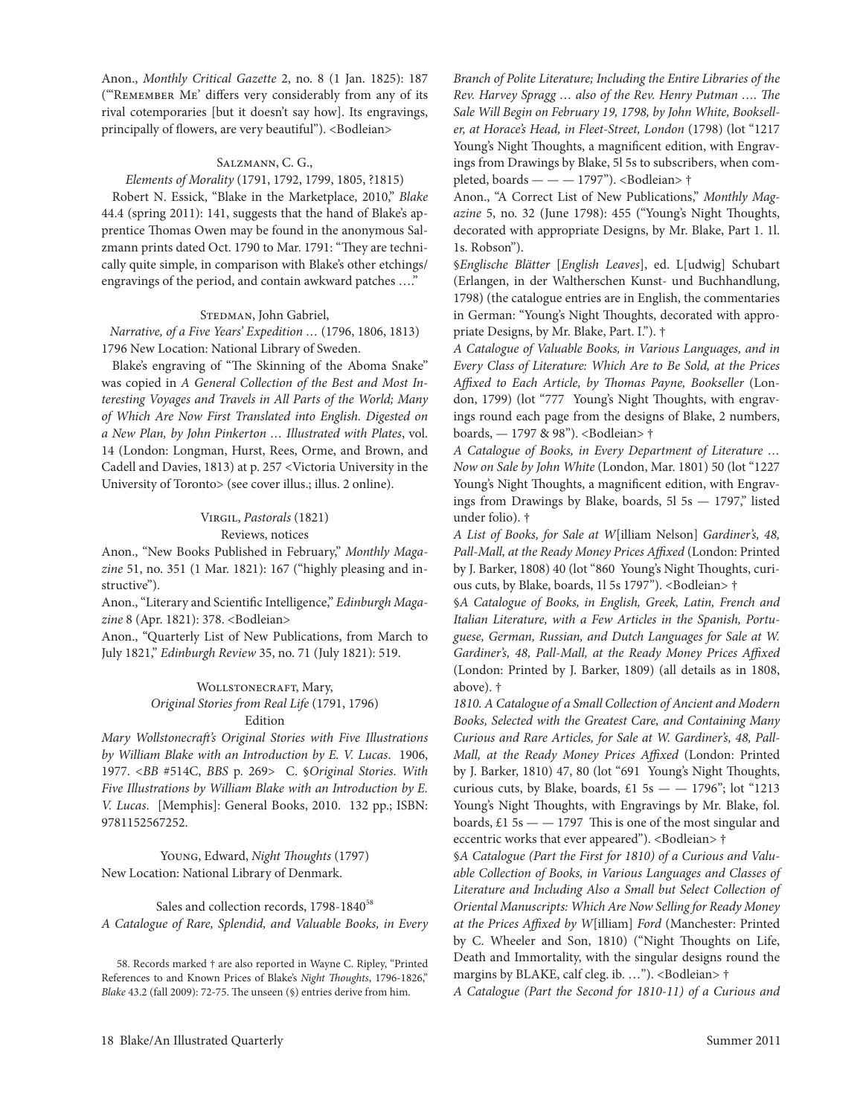Anon., *Monthly Critical Gazette* 2, no. 8 (1 Jan. 1825): 187 ("REMEMBER ME' differs very considerably from any of its rival cotemporaries [but it doesn't say how]. Its engravings, principally of flowers, are very beautiful"). <Bodleian>

#### SALZMANN, C. G.,

#### *Elements of Morality* (1791, 1792, 1799, 1805, ?1815)

Robert N. Essick, "Blake in the Marketplace, 2010," *Blake* 44.4 (spring 2011): 141, suggests that the hand of Blake's apprentice Thomas Owen may be found in the anonymous Salzmann prints dated Oct. 1790 to Mar. 1791: "They are technically quite simple, in comparison with Blake's other etchings/ engravings of the period, and contain awkward patches …."

#### STEDMAN, John Gabriel,

*Narrative, of a Five Years' Expedition …* (1796, 1806, 1813) 1796 New location: National library of Sweden.

Blake's engraving of "The Skinning of the Aboma Snake" was copied in *A General Collection of the Best and Most Interesting Voyages and Travels in All Parts of the World; Many of Which Are Now First Translated into English. Digested on a New Plan, by John Pinkerton … Illustrated with Plates*, vol. 14 (London: Longman, Hurst, Rees, Orme, and Brown, and cadell and Davies, 1813) at p. 257 <Victoria University in the University of Toronto> (see cover illus.; illus. 2 online).

## Virgil, *Pastorals* (1821) Reviews, notices

Anon., "New Books Published in February," *Monthly Magazine* 51, no. 351 (1 Mar. 1821): 167 ("highly pleasing and instructive").

Anon., "literary and Scientific Intelligence," *Edinburgh Maga*zine 8 (Apr. 1821): 378. <Bodleian>

Anon., "Quarterly list of New Publications, from March to July 1821," *Edinburgh Review* 35, no. 71 (July 1821): 519.

# WOLLSTONECRAFT, Mary, *Original Stories from Real Life* (1791, 1796) Edition

*Mary Wollstonecraft's Original Stories with Five Illustrations by William Blake with an Introduction by E. V. Lucas*. 1906, 1977. <*BB* #514c, *BBS* p. 269> c. §*Original Stories*. *With Five Illustrations by William Blake with an Introduction by E. V. Lucas*. [Memphis]: General Books, 2010. 132 pp.; ISBN: 9781152567252.

Young, edward, *Night Thoughts* (1797) New location: National library of Denmark.

Sales and collection records, 1798-1840<sup>58</sup> *A Catalogue of Rare, Splendid, and Valuable Books, in Every*  *Branch of Polite Literature; Including the Entire Libraries of the Rev. Harvey Spragg … also of the Rev. Henry Putman …. The Sale Will Begin on February 19, 1798, by John White, Bookseller, at Horace's Head, in Fleet-Street, London* (1798) (lot "1217 Young's Night Thoughts, a magnificent edition, with Engravings from Drawings by Blake, 5l 5s to subscribers, when completed, boards  $---1797$ "). <Bodleian>  $\dagger$ 

Anon., "A correct list of New Publications," *Monthly Magazine* 5, no. 32 (June 1798): 455 ("Young's Night Thoughts, decorated with appropriate Designs, by Mr. Blake, Part 1. 1l. 1s. Robson").

§*Englische Blätter* [*English Leaves*], ed. l[udwig] Schubart (erlangen, in der Waltherschen Kunst- und Buchhandlung, 1798) (the catalogue entries are in English, the commentaries in German: "Young's Night Thoughts, decorated with appropriate Designs, by Mr. Blake, Part. I."). †

*A Catalogue of Valuable Books, in Various Languages, and in Every Class of Literature: Which Are to Be Sold, at the Prices Affixed to Each Article, by Thomas Payne, Bookseller* (london, 1799) (lot "777 Young's Night Thoughts, with engravings round each page from the designs of Blake, 2 numbers, boards, — 1797 & 98"). <Bodleian> †

*A Catalogue of Books, in Every Department of Literature … Now on Sale by John White* (london, Mar. 1801) 50 (lot "1227 Young's Night Thoughts, a magnificent edition, with Engravings from Drawings by Blake, boards,  $5l$  5s  $-$  1797," listed under folio). †

*A List of Books, for Sale at W*[illiam Nelson] *Gardiner's, 48, Pall-Mall, at the Ready Money Prices Affixed* (london: Printed by J. Barker, 1808) 40 (lot "860 Young's Night Thoughts, curious cuts, by Blake, boards, 1l 5s 1797"). <Bodleian> †

§*A Catalogue of Books, in English, Greek, Latin, French and Italian Literature, with a Few Articles in the Spanish, Portuguese, German, Russian, and Dutch Languages for Sale at W. Gardiner's, 48, Pall-Mall, at the Ready Money Prices Affixed*  (london: Printed by J. Barker, 1809) (all details as in 1808, above). †

*1810. A Catalogue of a Small Collection of Ancient and Modern Books, Selected with the Greatest Care, and Containing Many Curious and Rare Articles, for Sale at W. Gardiner's, 48, Pall-Mall, at the Ready Money Prices Affixed* (london: Printed by J. Barker, 1810) 47, 80 (lot "691 Young's Night Thoughts, curious cuts, by Blake, boards, £1 5s  $-$  1796"; lot "1213 Young's Night Thoughts, with Engravings by Mr. Blake, fol. boards,  $£1$  5s  $-$  1797 This is one of the most singular and eccentric works that ever appeared"). <Bodleian>  $\dagger$ 

§*A Catalogue (Part the First for 1810) of a Curious and Valuable Collection of Books, in Various Languages and Classes of Literature and Including Also a Small but Select Collection of Oriental Manuscripts: Which Are Now Selling for Ready Money at the Prices Affixed by W*[illiam] *Ford* (Manchester: Printed by c. Wheeler and Son, 1810) ("Night Thoughts on life, Death and Immortality, with the singular designs round the margins by BlAKe, calf cleg. ib. …"). <Bodleian> †

*A Catalogue (Part the Second for 1810-11) of a Curious and* 

<sup>58.</sup> Records marked  $\dagger$  are also reported in Wayne C. Ripley, "Printed References to and Known Prices of Blake's *Night Thoughts*, 1796-1826," *Blake* 43.2 (fall 2009): 72-75. The unseen (§) entries derive from him.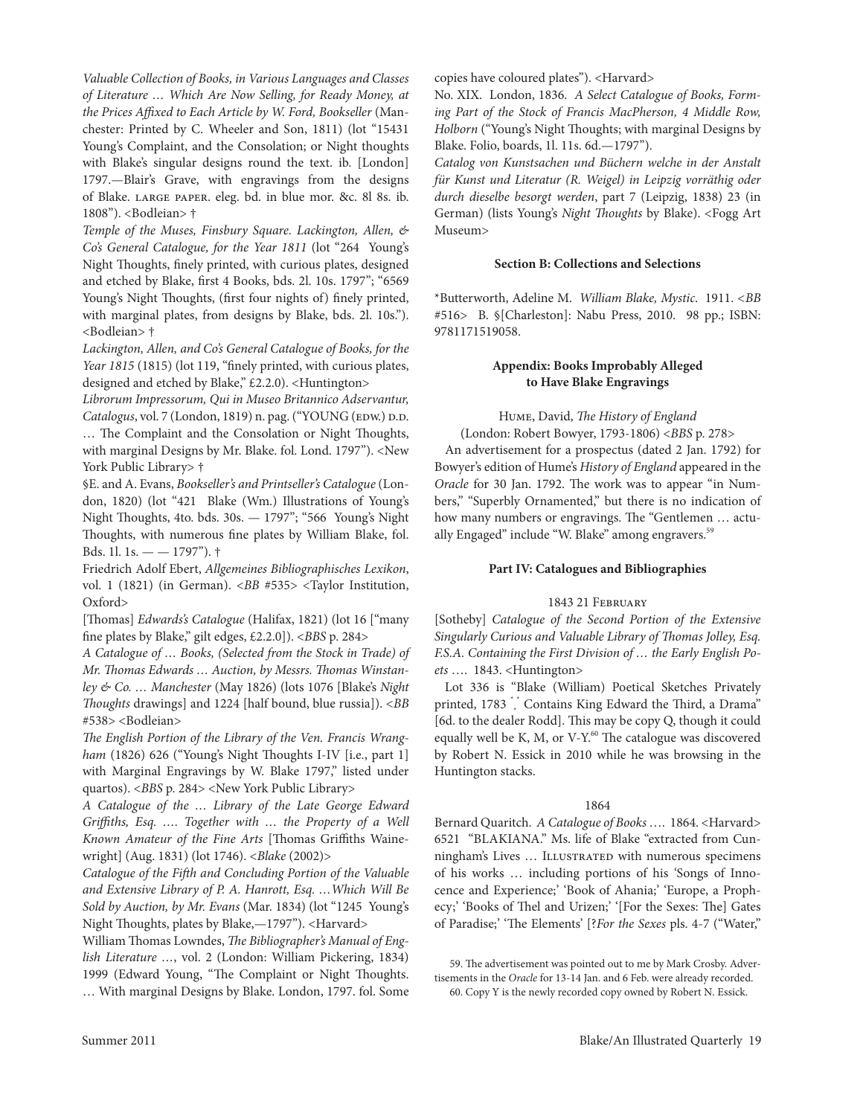*Valuable Collection of Books, in Various Languages and Classes of Literature … Which Are Now Selling, for Ready Money, at the Prices Affixed to Each Article by W. Ford, Bookseller* (Manchester: Printed by c. Wheeler and Son, 1811) (lot "15431 Young's Complaint, and the Consolation; or Night thoughts with Blake's singular designs round the text. ib. [london] 1797.—Blair's Grave, with engravings from the designs of Blake. large paper. eleg. bd. in blue mor. &c. 8l 8s. ib. 1808"). <Bodleian> †

*Temple of the Muses, Finsbury Square. Lackington, Allen, & Co's General Catalogue, for the Year 1811* (lot "264 Young's Night Thoughts, finely printed, with curious plates, designed and etched by Blake, first 4 Books, bds. 2l. 10s. 1797"; "6569 Young's Night Thoughts, (first four nights of) finely printed, with marginal plates, from designs by Blake, bds. 2l. 10s."). <Bodleian> †

*Lackington, Allen, and Co's General Catalogue of Books, for the Year 1815* (1815) (lot 119, "finely printed, with curious plates, designed and etched by Blake," £2.2.0). <Huntington>

*Librorum Impressorum, Qui in Museo Britannico Adservantur,*  Catalogus, vol. 7 (London, 1819) n. pag. ("YOUNG (EDW.) D.D. … The complaint and the consolation or Night Thoughts, with marginal Designs by Mr. Blake. fol. Lond. 1797"). <New York Public Library>  $\dagger$ 

§e. and A. evans, *Bookseller's and Printseller's Catalogue* (london, 1820) (lot "421 Blake (Wm.) Illustrations of Young's Night Thoughts, 4to. bds. 30s. — 1797"; "566 Young's Night Thoughts, with numerous fine plates by William Blake, fol. Bds. 1l. 1s. — — 1797"). †

Friedrich Adolf ebert, *Allgemeines Bibliographisches Lexikon*, vol. 1 (1821) (in German). <*BB* #535> <Taylor Institution, Oxford>

[Thomas] *Edwards's Catalogue* (Halifax, 1821) (lot 16 ["many fine plates by Blake," gilt edges, £2.2.0]). <*BBS* p. 284>

*A Catalogue of … Books, (Selected from the Stock in Trade) of Mr. Thomas Edwards … Auction, by Messrs. Thomas Winstanley & Co. … Manchester* (May 1826) (lots 1076 [Blake's *Night Thoughts* drawings] and 1224 [half bound, blue russia]). <*BB* #538> <Bodleian>

*The English Portion of the Library of the Ven. Francis Wrangham* (1826) 626 ("Young's Night Thoughts I-IV [i.e., part 1] with Marginal Engravings by W. Blake 1797," listed under quartos). <*BBS* p. 284> <New York Public library>

*A Catalogue of the … Library of the Late George Edward Griffiths, Esq. …. Together with … the Property of a Well Known Amateur of the Fine Arts* [Thomas Griffiths Wainewright] (Aug. 1831) (lot 1746). <*Blake* (2002)>

*Catalogue of the Fifth and Concluding Portion of the Valuable and Extensive Library of P. A. Hanrott, Esq. …Which Will Be Sold by Auction, by Mr. Evans* (Mar. 1834) (lot "1245 Young's Night Thoughts, plates by Blake,—1797"). <Harvard>

William Thomas lowndes, *The Bibliographer's Manual of English Literature …*, vol. 2 (london: William Pickering, 1834) 1999 (Edward Young, "The Complaint or Night Thoughts. … With marginal Designs by Blake. london, 1797. fol. Some copies have coloured plates"). <Harvard>

No. XIX. london, 1836. *A Select Catalogue of Books, Forming Part of the Stock of Francis MacPherson, 4 Middle Row, Holborn* ("Young's Night Thoughts; with marginal Designs by Blake. Folio, boards, 1l. 11s. 6d.—1797").

*Catalog von Kunstsachen und Büchern welche in der Anstalt für Kunst und Literatur (R. Weigel) in Leipzig vorräthig oder durch dieselbe besorgt werden*, part 7 (leipzig, 1838) 23 (in German) (lists Young's *Night Thoughts* by Blake). <Fogg Art Museum>

#### **Section B: Collections and Selections**

\*Butterworth, Adeline M. *William Blake, Mystic*.1911. *<BB* #516> B. §[charleston]: Nabu Press, 2010. 98 pp.; ISBN: 9781171519058.

# **Appendix: Books Improbably Alleged to Have Blake Engravings**

Hume, David, *The History of England* (London: Robert Bowyer, 1793-1806) <*BBS* p. 278>

An advertisement for a prospectus (dated 2 Jan. 1792) for Bowyer's edition of Hume's *History of England* appeared in the *Oracle* for 30 Jan. 1792. The work was to appear "in Numbers," "Superbly Ornamented," but there is no indication of how many numbers or engravings. The "Gentlemen … actually Engaged" include "W. Blake" among engravers.<sup>59</sup>

# **Part IV: Catalogues and Bibliographies**

#### 1843 21 February

[Sotheby] *Catalogue of the Second Portion of the Extensive Singularly Curious and Valuable Library of Thomas Jolley, Esq. F.S.A. Containing the First Division of … the Early English Poets* …. 1843. <Huntington>

Lot 336 is "Blake (William) Poetical Sketches Privately printed, 1783<sup>\*</sup>\* Contains King Edward the Third, a Drama" [6d. to the dealer Rodd]. This may be copy Q, though it could equally well be K, M, or V-Y. $60$  The catalogue was discovered by Robert N. Essick in 2010 while he was browsing in the Huntington stacks.

#### 1864

Bernard Quaritch. *A Catalogue of Books* …. 1864. <Harvard> 6521 "BlAKIANA." Ms. life of Blake "extracted from cunningham's Lives ... ILLUSTRATED with numerous specimens of his works … including portions of his 'Songs of Innocence and Experience;' 'Book of Ahania;' 'Europe, a Prophecy;' 'Books of Thel and Urizen;' '[For the Sexes: The] Gates of Paradise;' 'The elements' [?*For the Sexes* pls. 4-7 ("Water,"

59. The advertisement was pointed out to me by Mark crosby. Advertisements in the *Oracle* for 13-14 Jan. and 6 Feb. were already recorded. 60. Copy Y is the newly recorded copy owned by Robert N. Essick.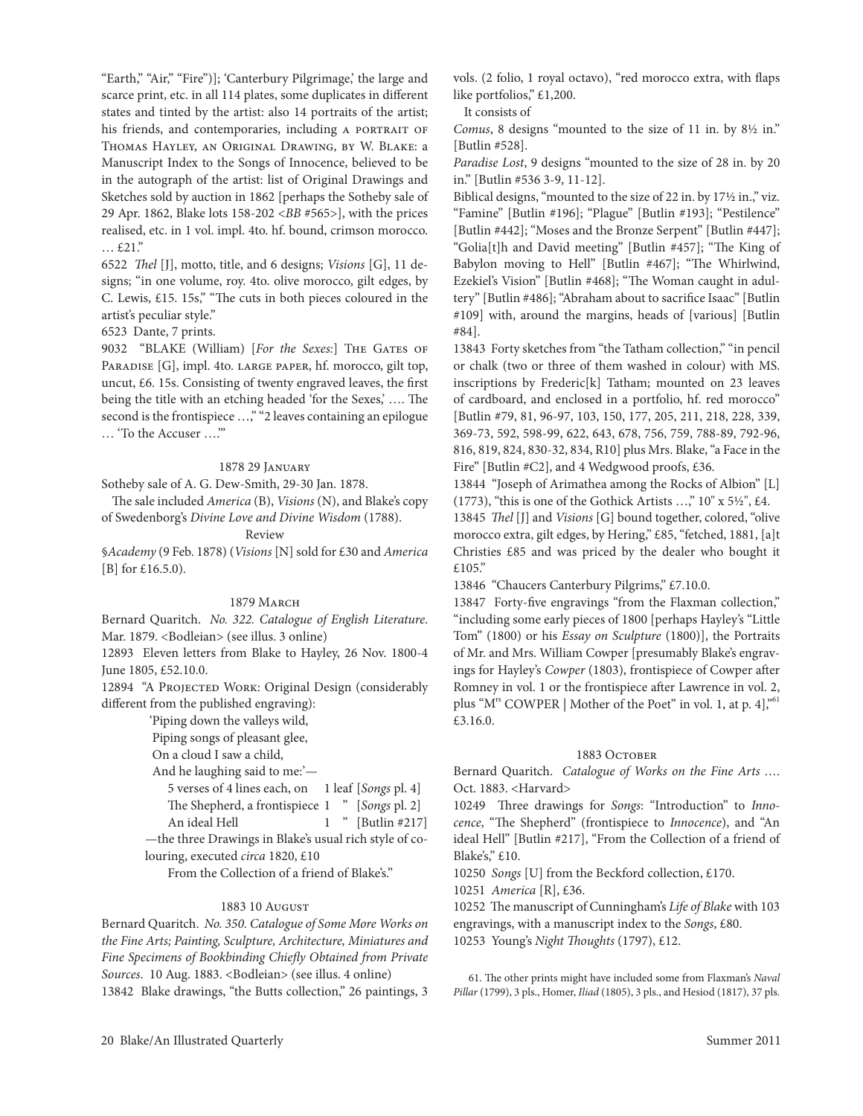"earth," "Air," "Fire")]; 'canterbury Pilgrimage,' the large and scarce print, etc. in all 114 plates, some duplicates in different states and tinted by the artist: also 14 portraits of the artist; his friends, and contemporaries, including A PORTRAIT OF thomas Hayley, an Original Drawing, by W. Blake: a Manuscript Index to the Songs of Innocence, believed to be in the autograph of the artist: list of Original Drawings and Sketches sold by auction in 1862 [perhaps the Sotheby sale of 29 Apr. 1862, Blake lots 158-202 <*BB* #565>], with the prices realised, etc. in 1 vol. impl. 4to. hf. bound, crimson morocco. … £21."

6522 *Thel* [J], motto, title, and 6 designs; *Visions* [G], 11 designs; "in one volume, roy. 4to. olive morocco, gilt edges, by c. lewis, £15. 15s," "The cuts in both pieces coloured in the artist's peculiar style."

6523 Dante, 7 prints.

9032 "BLAKE (William) [For the Sexes:] THE GATES OF PARADISE [G], impl. 4to. LARGE PAPER, hf. morocco, gilt top, uncut,  $£6. 15s$ . Consisting of twenty engraved leaves, the first being the title with an etching headed 'for the Sexes,' …. The second is the frontispiece ...," "2 leaves containing an epilogue … 'to the Accuser ….'"

#### 1878 29 January

Sotheby sale of A. G. Dew-Smith, 29-30 Jan. 1878.

The sale included *America* (B), *Visions* (N), and Blake's copy of Swedenborg's *Divine Love and Divine Wisdom* (1788).

#### Review

§*Academy* (9 Feb. 1878) (*Visions* [N] sold for £30 and *America* [B] for £16.5.0).

#### 1879 March

Bernard Quaritch. *No. 322. Catalogue of English Literature*. Mar. 1879. <Bodleian> (see illus. 3 online)

12893 eleven letters from Blake to Hayley, 26 Nov. 1800-4 June 1805, £52.10.0.

12894 "A PROJECTED WORK: Original Design (considerably different from the published engraving):

'Piping down the valleys wild,

Piping songs of pleasant glee,

On a cloud I saw a child,

And he laughing said to me:'—

5 verses of 4 lines each, on 1 leaf [*Songs* pl. 4] The Shepherd, a frontispiece 1 " [*Songs* pl. 2] An ideal Hell 1 " [Butlin #217] —the three Drawings in Blake's usual rich style of colouring, executed *circa* 1820, £10

From the collection of a friend of Blake's."

## 1883 10 August

Bernard Quaritch. *No. 350. Catalogue of Some More Works on the Fine Arts; Painting, Sculpture, Architecture, Miniatures and Fine Specimens of Bookbinding Chiefly Obtained from Private Sources*. 10 Aug. 1883. <Bodleian> (see illus. 4 online) 13842 Blake drawings, "the Butts collection," 26 paintings, 3 vols. (2 folio, 1 royal octavo), "red morocco extra, with flaps like portfolios," £1,200.

It consists of

*Comus*, 8 designs "mounted to the size of 11 in. by 8½ in." [Butlin #528].

*Paradise Lost*, 9 designs "mounted to the size of 28 in. by 20 in." [Butlin #536 3-9, 11-12].

Biblical designs, "mounted to the size of 22 in. by 17½ in.," viz. "Famine" [Butlin #196]; "Plague" [Butlin #193]; "Pestilence" [Butlin #442]; "Moses and the Bronze Serpent" [Butlin #447]; "Golia[t]h and David meeting" [Butlin #457]; "The King of Babylon moving to Hell" [Butlin #467]; "The Whirlwind, Ezekiel's Vision" [Butlin #468]; "The Woman caught in adultery" [Butlin #486]; "Abraham about to sacrifice Isaac" [Butlin #109] with, around the margins, heads of [various] [Butlin #84].

13843 Forty sketches from "the Tatham collection," "in pencil or chalk (two or three of them washed in colour) with MS. inscriptions by Frederic<sup>[k]</sup> Tatham; mounted on 23 leaves of cardboard, and enclosed in a portfolio, hf. red morocco" [Butlin #79, 81, 96-97, 103, 150, 177, 205, 211, 218, 228, 339, 369-73, 592, 598-99, 622, 643, 678, 756, 759, 788-89, 792-96, 816, 819, 824, 830-32, 834, r10] plus Mrs. Blake, "a Face in the Fire" [Butlin  $\#C2$ ], and 4 Wedgwood proofs, £36.

13844 "Joseph of Arimathea among the Rocks of Albion" [L] (1773), "this is one of the Gothick Artists  $\ldots$ ," 10" x 5½", £4.

13845 *Thel* [J] and *Visions* [G] bound together, colored, "olive morocco extra, gilt edges, by Hering," £85, "fetched, 1881, [a]t christies £85 and was priced by the dealer who bought it £105."

13846 "chaucers canterbury Pilgrims," £7.10.0.

13847 Forty-five engravings "from the Flaxman collection," "including some early pieces of 1800 [perhaps Hayley's "little tom" (1800) or his *Essay on Sculpture* (1800)], the Portraits of Mr. and Mrs. William cowper [presumably Blake's engravings for Hayley's *Cowper* (1803), frontispiece of cowper after Romney in vol. 1 or the frontispiece after Lawrence in vol. 2, plus "M<sup>rs</sup> COWPER | Mother of the Poet" in vol. 1, at p. 4],"<sup>61</sup> £3.16.0.

#### 1883 OCTOBER

Bernard Quaritch. *Catalogue of Works on the Fine Arts …*. Oct. 1883. <Harvard>

10249 Three drawings for *Songs*: "Introduction" to *Innocence*, "The Shepherd" (frontispiece to *Innocence*), and "An ideal Hell" [Butlin #217], "From the collection of a friend of Blake's," £10.

10250 *Songs* [U] from the Beckford collection, £170.

10251 America [R], £36.

10252 The manuscript of cunningham's *Life of Blake* with 103 engravings, with a manuscript index to the *Songs*, £80.

10253 Young's *Night Thoughts* (1797), £12.

61. The other prints might have included some from Flaxman's *Naval Pillar* (1799), 3 pls., Homer, *Iliad* (1805), 3 pls., and Hesiod (1817), 37 pls.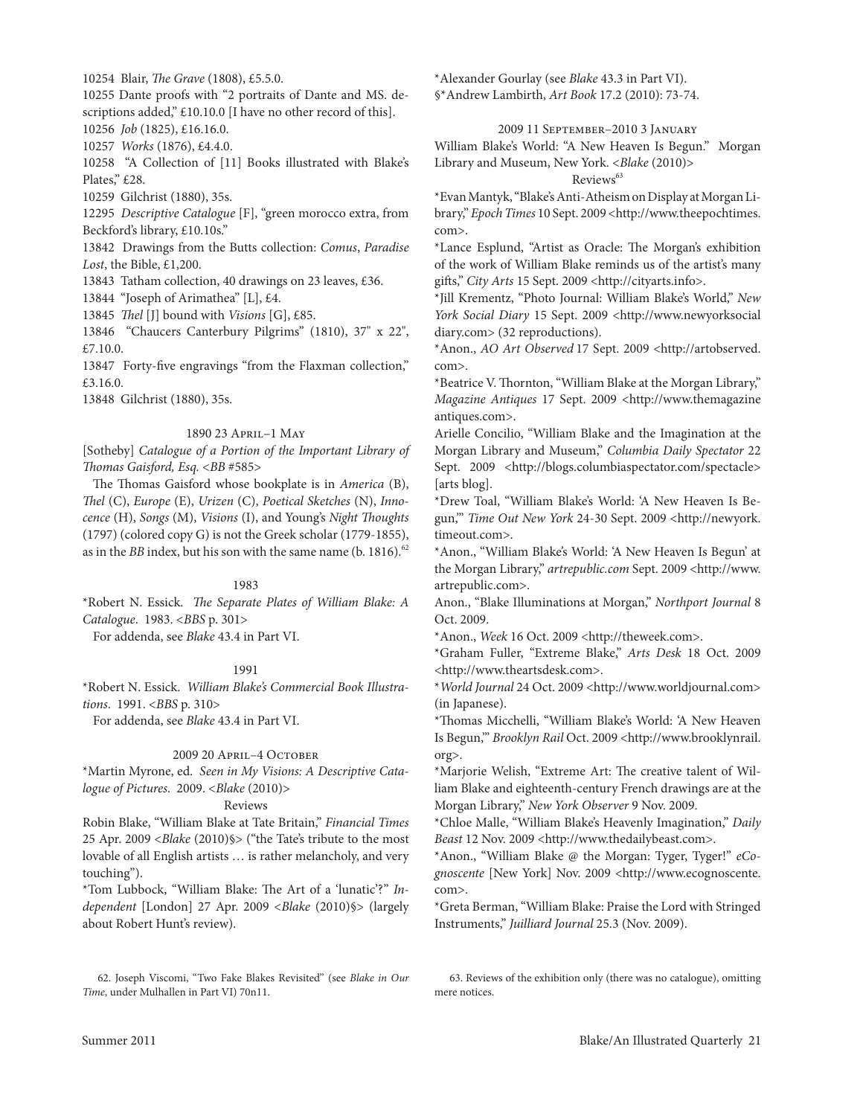10254 Blair, *The Grave* (1808), £5.5.0.

10255 Dante proofs with "2 portraits of Dante and MS. descriptions added," £10.10.0 [I have no other record of this]. 10256 *Job* (1825), £16.16.0.

10257 *Works* (1876), £4.4.0.

10258 "A collection of [11] Books illustrated with Blake's Plates," £28.

10259 Gilchrist (1880), 35s.

12295 *Descriptive Catalogue* [F], "green morocco extra, from Beckford's library, £10.10s."

13842 Drawings from the Butts collection: *Comus*, *Paradise Lost*, the Bible, £1,200.

13843 Tatham collection, 40 drawings on 23 leaves, £36.

13844 "Joseph of Arimathea" [L], £4.

13845 *Thel* [J] bound with *Visions* [G], £85.

13846 "chaucers canterbury Pilgrims" (1810), 37" x 22", £7.10.0.

13847 Forty-five engravings "from the Flaxman collection," £3.16.0.

13848 Gilchrist (1880), 35s.

# 1890 23 April–1 May

[Sotheby] *Catalogue of a Portion of the Important Library of Thomas Gaisford, Esq.* <*BB* #585>

The Thomas Gaisford whose bookplate is in *America* (B), *Thel* (c), *Europe* (e), *Urizen* (c), *Poetical Sketches* (N), *Innocence* (H), *Songs* (M), *Visions* (I), and Young's *Night Thoughts* (1797) (colored copy G) is not the Greek scholar (1779-1855), as in the *BB* index, but his son with the same name (b. 1816).<sup>62</sup>

# 1983

\*robert N. essick. *The Separate Plates of William Blake: A Catalogue*. 1983. <*BBS* p. 301>

For addenda, see *Blake* 43.4 in Part VI.

# 1991

\*robert N. essick. *William Blake's Commercial Book Illustrations*. 1991. <*BBS* p. 310>

For addenda, see *Blake* 43.4 in Part VI.

# 2009 20 April–4 October

\*Martin Myrone, ed. *Seen in My Visions: A Descriptive Catalogue of Pictures*. 2009. <*Blake* (2010)>

# Reviews

robin Blake, "William Blake at tate Britain," *Financial Times* 25 Apr. 2009 <*Blake* (2010)§> ("the Tate's tribute to the most lovable of all English artists ... is rather melancholy, and very touching").

\*tom lubbock, "William Blake: The Art of a 'lunatic'?" *Independent* [london] 27 Apr. 2009 <*Blake* (2010)§> (largely about Robert Hunt's review).

\*Alexander Gourlay (see *Blake* 43.3 in Part VI). §\*Andrew lambirth, *Art Book* 17.2 (2010): 73-74.

# 2009 11 September–2010 3 January

William Blake's World: "A New Heaven Is Begun." Morgan library and Museum, New York. <*Blake* (2010)> Reviews<sup>63</sup>

\*evan Mantyk, "Blake's Anti-Atheism on Display at Morgan library," *Epoch Times* 10 Sept. 2009 <http://www.theepochtimes. com>.

\*Lance Esplund, "Artist as Oracle: The Morgan's exhibition of the work of William Blake reminds us of the artist's many gifts," *City Arts* 15 Sept. 2009 <http://cityarts.info>.

\*Jill Krementz, "Photo Journal: William Blake's World," *New York Social Diary* 15 Sept. 2009 <http://www.newyorksocial diary.com> (32 reproductions).

\*Anon., *AO Art Observed* 17 Sept. 2009 <http://artobserved. com>.

\*Beatrice V. Thornton, "William Blake at the Morgan library," *Magazine Antiques* 17 Sept. 2009 <http://www.themagazine antiques.com>.

Arielle concilio, "William Blake and the Imagination at the Morgan library and Museum," *Columbia Daily Spectator* 22 Sept. 2009 <http://blogs.columbiaspectator.com/spectacle> [arts blog].

\*Drew toal, "William Blake's World: 'A New Heaven Is Begun,'" *Time Out New York* 24-30 Sept. 2009 <http://newyork. timeout.com>.

\*Anon., "William Blake's World: 'A New Heaven Is Begun' at the Morgan library," *artrepublic.com* Sept. 2009 <http://www. artrepublic.com>.

Anon., "Blake Illuminations at Morgan," *Northport Journal* 8 Oct. 2009.

\*Anon., *Week* 16 Oct. 2009 <http://theweek.com>.

\*Graham Fuller, "extreme Blake," *Arts Desk* 18 Oct. 2009 <http://www.theartsdesk.com>.

\**World Journal* 24 Oct. 2009 <http://www.worldjournal.com> (in Japanese).

\*Thomas Micchelli, "William Blake's World: 'A New Heaven Is Begun,'" *Brooklyn Rail* Oct. 2009 <http://www.brooklynrail. org>.

\*Marjorie Welish, "extreme Art: The creative talent of William Blake and eighteenth-century French drawings are at the Morgan library," *New York Observer* 9 Nov. 2009.

\*chloe Malle, "William Blake's Heavenly Imagination," *Daily Beast* 12 Nov. 2009 <http://www.thedailybeast.com>.

\*Anon., "William Blake @ the Morgan: tyger, tyger!" *eCognoscente* [New York] Nov. 2009 <http://www.ecognoscente. com>.

\*Greta Berman, "William Blake: Praise the lord with Stringed Instruments," *Juilliard Journal* 25.3 (Nov. 2009).

63. Reviews of the exhibition only (there was no catalogue), omitting mere notices.

<sup>62.</sup> Joseph Viscomi, "two Fake Blakes revisited" (see *Blake in Our Time*, under Mulhallen in Part VI) 70n11.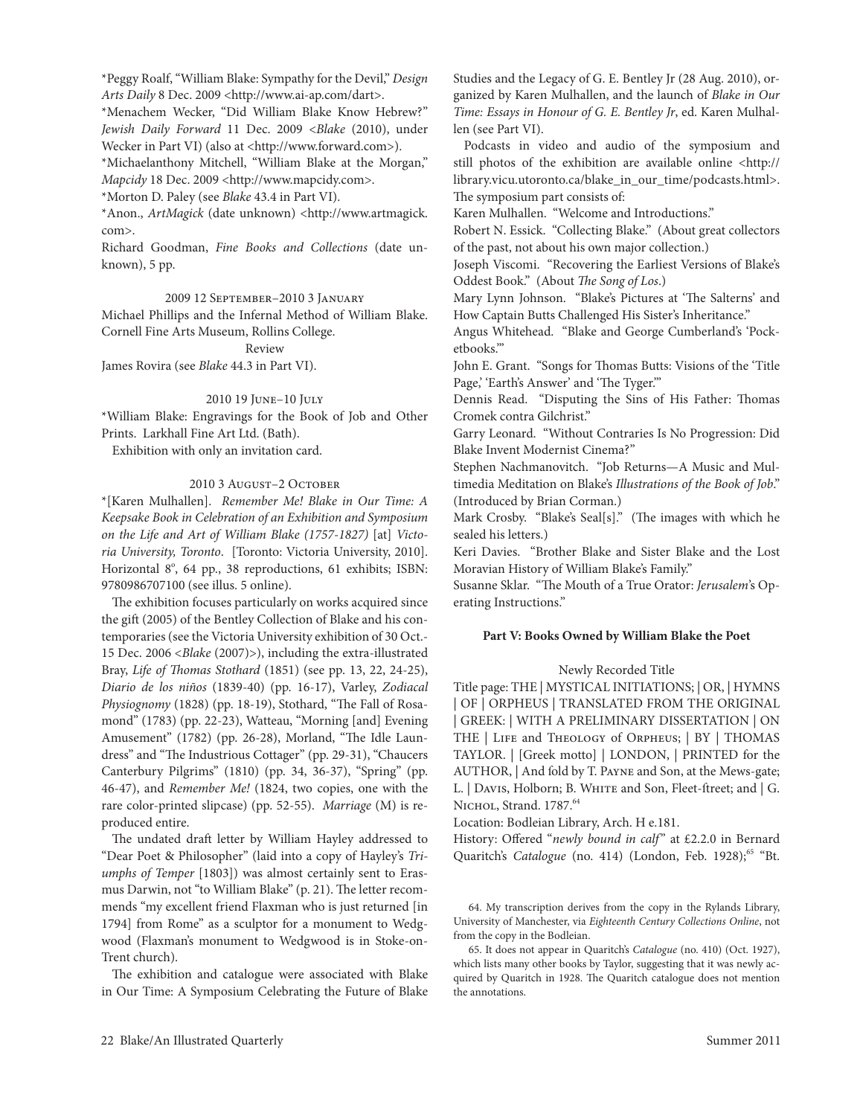\*Peggy roalf, "William Blake: Sympathy for the Devil," *Design Arts Daily* 8 Dec. 2009 <http://www.ai-ap.com/dart>.

\*Menachem Wecker, "Did William Blake Know Hebrew?" *Jewish Daily Forward* 11 Dec. 2009 <*Blake* (2010), under Wecker in Part VI) (also at <http://www.forward.com>).

\*Michaelanthony Mitchell, "William Blake at the Morgan," *Mapcidy* 18 Dec. 2009 <http://www.mapcidy.com>.

\*Morton D. Paley (see *Blake* 43.4 in Part VI).

\*Anon., *ArtMagick* (date unknown) <http://www.artmagick. com>.

Richard Goodman, *Fine Books and Collections* (date unknown), 5 pp.

## 2009 12 September–2010 3 January

Michael Phillips and the Infernal Method of William Blake. Cornell Fine Arts Museum, Rollins College.

Review James Rovira (see *Blake* 44.3 in Part VI).

# 2010 19 June–10 July

\*William Blake: engravings for the Book of Job and Other Prints. larkhall Fine Art ltd. (Bath).

Exhibition with only an invitation card.

# 2010 3 August-2 October

\*[Karen Mulhallen]. *Remember Me! Blake in Our Time: A Keepsake Book in Celebration of an Exhibition and Symposium on the Life and Art of William Blake (1757-1827)* [at] *Victo*ria University, Toronto. [Toronto: Victoria University, 2010]. Horizontal 8°, 64 pp., 38 reproductions, 61 exhibits; ISBN: 9780986707100 (see illus. 5 online).

The exhibition focuses particularly on works acquired since the gift (2005) of the Bentley collection of Blake and his contemporaries (see the Victoria University exhibition of 30 Oct.- 15 Dec. 2006 <*Blake* (2007)>), including the extra-illustrated Bray, *Life of Thomas Stothard* (1851) (see pp. 13, 22, 24-25), *Diario de los niños* (1839-40) (pp. 16-17), Varley, *Zodiacal Physiognomy* (1828) (pp. 18-19), Stothard, "The Fall of Rosamond" (1783) (pp. 22-23), Watteau, "Morning [and] Evening Amusement" (1782) (pp. 26-28), Morland, "The Idle laundress" and "The Industrious cottager" (pp. 29-31), "chaucers canterbury Pilgrims" (1810) (pp. 34, 36-37), "Spring" (pp. 46-47), and *Remember Me!* (1824, two copies, one with the rare color-printed slipcase) (pp. 52-55). *Marriage* (M) is reproduced entire.

The undated draft letter by William Hayley addressed to "Dear Poet & Philosopher" (laid into a copy of Hayley's *Triumphs of Temper* [1803]) was almost certainly sent to Erasmus Darwin, not "to William Blake" (p. 21). The letter recommends "my excellent friend Flaxman who is just returned [in 1794] from Rome" as a sculptor for a monument to Wedgwood (Flaxman's monument to Wedgwood is in Stoke-on-Trent church).

The exhibition and catalogue were associated with Blake in Our Time: A Symposium Celebrating the Future of Blake Studies and the Legacy of G. E. Bentley Jr (28 Aug. 2010), organized by Karen Mulhallen, and the launch of *Blake in Our Time: Essays in Honour of G. E. Bentley Jr*, ed. Karen Mulhallen (see Part VI).

Podcasts in video and audio of the symposium and still photos of the exhibition are available online <http:// library.vicu.utoronto.ca/blake\_in\_our\_time/podcasts.html>. The symposium part consists of:

Karen Mulhallen. "Welcome and Introductions."

Robert N. Essick. "Collecting Blake." (About great collectors of the past, not about his own major collection.)

Joseph Viscomi. "Recovering the Earliest Versions of Blake's Oddest Book." (About *The Song of Los*.)

Mary lynn Johnson. "Blake's Pictures at 'The Salterns' and How captain Butts challenged His Sister's Inheritance."

Angus Whitehead. "Blake and George cumberland's 'Pocketbooks.'"

John E. Grant. "Songs for Thomas Butts: Visions of the 'Title Page, 'Earth's Answer' and 'The Tyger.'"

Dennis Read. "Disputing the Sins of His Father: Thomas cromek contra Gilchrist."

Garry leonard. "Without contraries Is No Progression: Did Blake Invent Modernist cinema?"

Stephen Nachmanovitch. "Job Returns-A Music and Multimedia Meditation on Blake's *Illustrations of the Book of Job*." (Introduced by Brian corman.)

Mark Crosby. "Blake's Seal[s]." (The images with which he sealed his letters.)

Keri Davies. "Brother Blake and Sister Blake and the lost Moravian History of William Blake's Family."

Susanne Sklar. "The Mouth of a true Orator: *Jerusalem*'s Operating Instructions."

# **Part V: Books Owned by William Blake the Poet**

# Newly Recorded Title

Title page: THE | MYSTICAL INITIATIONS; | OR, | HYMNS | OF | OrPHeUS | trANSlAteD FrOM tHe OrIGINAl | GreeK: | WItH A PrelIMINArY DISSertAtION | ON THE | LIFE and THEOLOGY of ORPHEUS; | BY | THOMAS tAYlOr. | [Greek motto] | lONDON, | PrINteD for the AUTHOR, | And fold by T. PAYNE and Son, at the Mews-gate; L. | Davis, Holborn; B. WHITE and Son, Fleet-ftreet; and | G. NICHOL, Strand. 1787.<sup>64</sup>

location: Bodleian library, Arch. H e.181.

History: Offered "*newly bound in calf*" at £2.2.0 in Bernard Quaritch's *Catalogue* (no. 414) (London, Feb. 1928);<sup>65</sup> "Bt.

64. My transcription derives from the copy in the Rylands Library, University of Manchester, via *Eighteenth Century Collections Online*, not from the copy in the Bodleian.

65. It does not appear in Quaritch's *Catalogue* (no. 410) (Oct. 1927), which lists many other books by Taylor, suggesting that it was newly acquired by Quaritch in 1928. The Quaritch catalogue does not mention the annotations.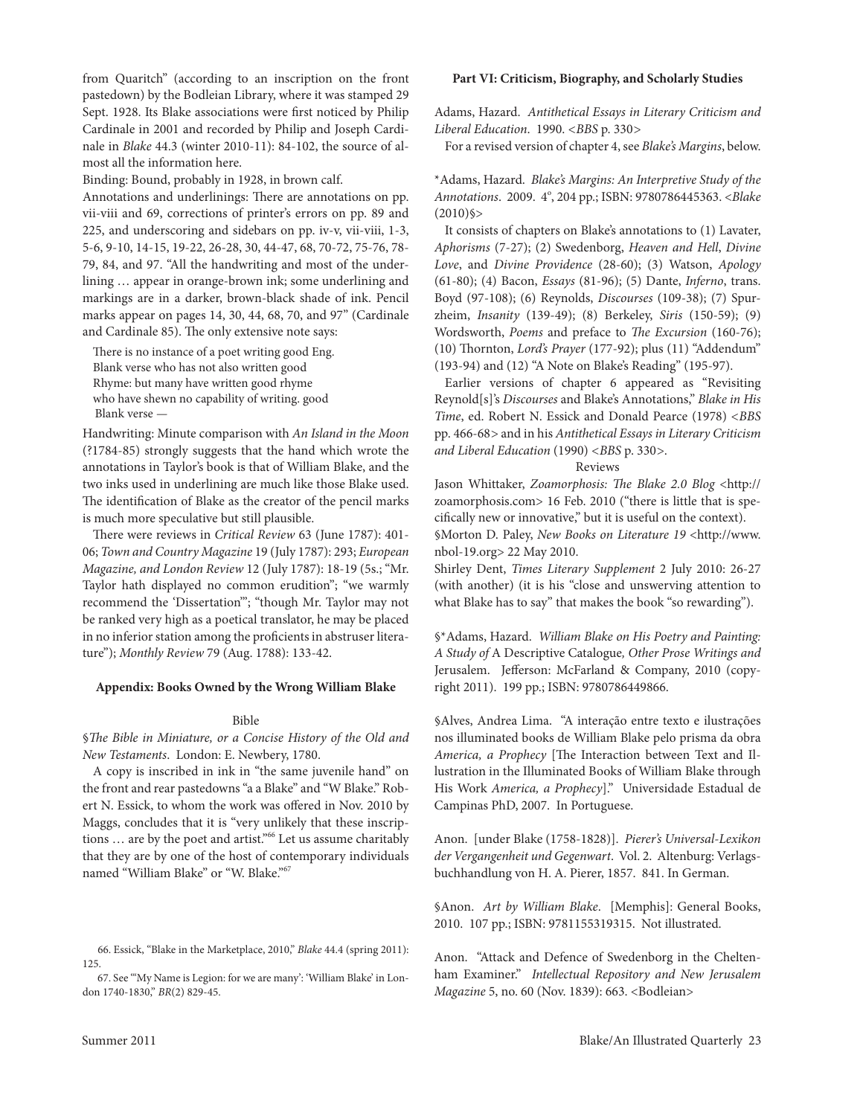from Quaritch" (according to an inscription on the front pastedown) by the Bodleian library, where it was stamped 29 Sept. 1928. Its Blake associations were first noticed by Philip cardinale in 2001 and recorded by Philip and Joseph cardinale in *Blake* 44.3 (winter 2010-11): 84-102, the source of almost all the information here.

Binding: Bound, probably in 1928, in brown calf.

Annotations and underlinings: There are annotations on pp. vii-viii and 69, corrections of printer's errors on pp. 89 and 225, and underscoring and sidebars on pp. iv-v, vii-viii, 1-3, 5-6, 9-10, 14-15, 19-22, 26-28, 30, 44-47, 68, 70-72, 75-76, 78- 79, 84, and 97. "All the handwriting and most of the underlining … appear in orange-brown ink; some underlining and markings are in a darker, brown-black shade of ink. Pencil marks appear on pages 14, 30, 44, 68, 70, and 97" (Cardinale and cardinale 85). The only extensive note says:

There is no instance of a poet writing good Eng. Blank verse who has not also written good Rhyme: but many have written good rhyme who have shewn no capability of writing. good Blank verse *—*

Handwriting: Minute comparison with *An Island in the Moon*  (?1784-85) strongly suggests that the hand which wrote the annotations in Taylor's book is that of William Blake, and the two inks used in underlining are much like those Blake used. The identification of Blake as the creator of the pencil marks is much more speculative but still plausible.

There were reviews in *Critical Review* 63 (June 1787): 401- 06; *Town and Country Magazine* 19 (July 1787): 293; *European Magazine, and London Review* 12 (July 1787): 18-19 (5s.; "Mr. Taylor hath displayed no common erudition"; "we warmly recommend the 'Dissertation"'; "though Mr. Taylor may not be ranked very high as a poetical translator, he may be placed in no inferior station among the proficients in abstruser literature"); *Monthly Review* 79 (Aug. 1788): 133-42.

#### **Appendix: Books Owned by the Wrong William Blake**

#### Bible

§*The Bible in Miniature, or a Concise History of the Old and New Testaments. London: E. Newbery, 1780.* 

A copy is inscribed in ink in "the same juvenile hand" on the front and rear pastedowns "a a Blake" and "W Blake." Robert N. Essick, to whom the work was offered in Nov. 2010 by Maggs, concludes that it is "very unlikely that these inscriptions ... are by the poet and artist."<sup>66</sup> Let us assume charitably that they are by one of the host of contemporary individuals named "William Blake" or "W. Blake."67

67. See "'My Name is legion: for we are many': 'William Blake' in london 1740-1830," *BR*(2) 829-45.

#### **Part VI: Criticism, Biography, and Scholarly Studies**

Adams, Hazard. *Antithetical Essays in Literary Criticism and Liberal Education*. 1990. *<BBS* p. 330*>*

For a revised version of chapter 4, see *Blake's Margins*, below.

\*Adams, Hazard. *Blake's Margins: An Interpretive Study of the*  Annotations. 2009. 4°, 204 pp.; ISBN: 9780786445363. <*Blake*  $(2010)$ §>

It consists of chapters on Blake's annotations to (1) lavater, *Aphorisms* (7-27); (2) Swedenborg, *Heaven and Hell*, *Divine Love*, and *Divine Providence* (28-60); (3) Watson, *Apology* (61-80); (4) Bacon, *Essays* (81-96); (5) Dante, *Inferno*, trans. Boyd (97-108); (6) Reynolds, *Discourses* (109-38); (7) Spurzheim, *Insanity* (139-49); (8) Berkeley, *Siris* (150-59); (9) Wordsworth, *Poems* and preface to *The Excursion* (160-76); (10) Thornton, *Lord's Prayer* (177-92); plus (11) "Addendum" (193-94) and (12) "A Note on Blake's Reading" (195-97).

Earlier versions of chapter 6 appeared as "Revisiting reynold[s]'s *Discourses* and Blake's Annotations," *Blake in His Time*, ed. Robert N. Essick and Donald Pearce (1978) <BBS pp. 466-68*>* and in his *Antithetical Essays in Literary Criticism and Liberal Education* (1990) *<BBS* p. 330*>*.

#### Reviews

Jason Whittaker, *Zoamorphosis: The Blake 2.0 Blog* <http:// zoamorphosis.com> 16 Feb. 2010 ("there is little that is specifically new or innovative," but it is useful on the context).

§Morton D. Paley, *New Books on Literature 19* <http://www. nbol-19.org> 22 May 2010.

Shirley Dent, *Times Literary Supplement* 2 July 2010: 26-27 (with another) (it is his "close and unswerving attention to what Blake has to say" that makes the book "so rewarding").

§\*Adams, Hazard. *William Blake on His Poetry and Painting: A Study of* A Descriptive catalogue*, Other Prose Writings and*  Jerusalem. Jefferson: McFarland & company, 2010 (copyright 2011). 199 pp.; ISBN: 9780786449866.

§Alves, Andrea lima. "A interação entre texto e ilustrações nos illuminated books de William Blake pelo prisma da obra *America, a Prophecy* [The Interaction between Text and Illustration in the Illuminated Books of William Blake through His Work America, a Prophecy]." Universidade Estadual de campinas PhD, 2007. In Portuguese.

Anon. [under Blake (1758-1828)]. *Pierer's Universal-Lexikon der Vergangenheit und Gegenwart*. Vol. 2. Altenburg: Verlagsbuchhandlung von H. A. Pierer, 1857. 841. In German.

§Anon. *Art by William Blake*. [Memphis]: General Books, 2010. 107 pp.; ISBN: 9781155319315. Not illustrated.

Anon. "Attack and Defence of Swedenborg in the cheltenham Examiner." *Intellectual Repository and New Jerusalem Magazine* 5, no. 60 (Nov. 1839): 663. <Bodleian>

<sup>66.</sup> Essick, "Blake in the Marketplace, 2010," *Blake* 44.4 (spring 2011): 125.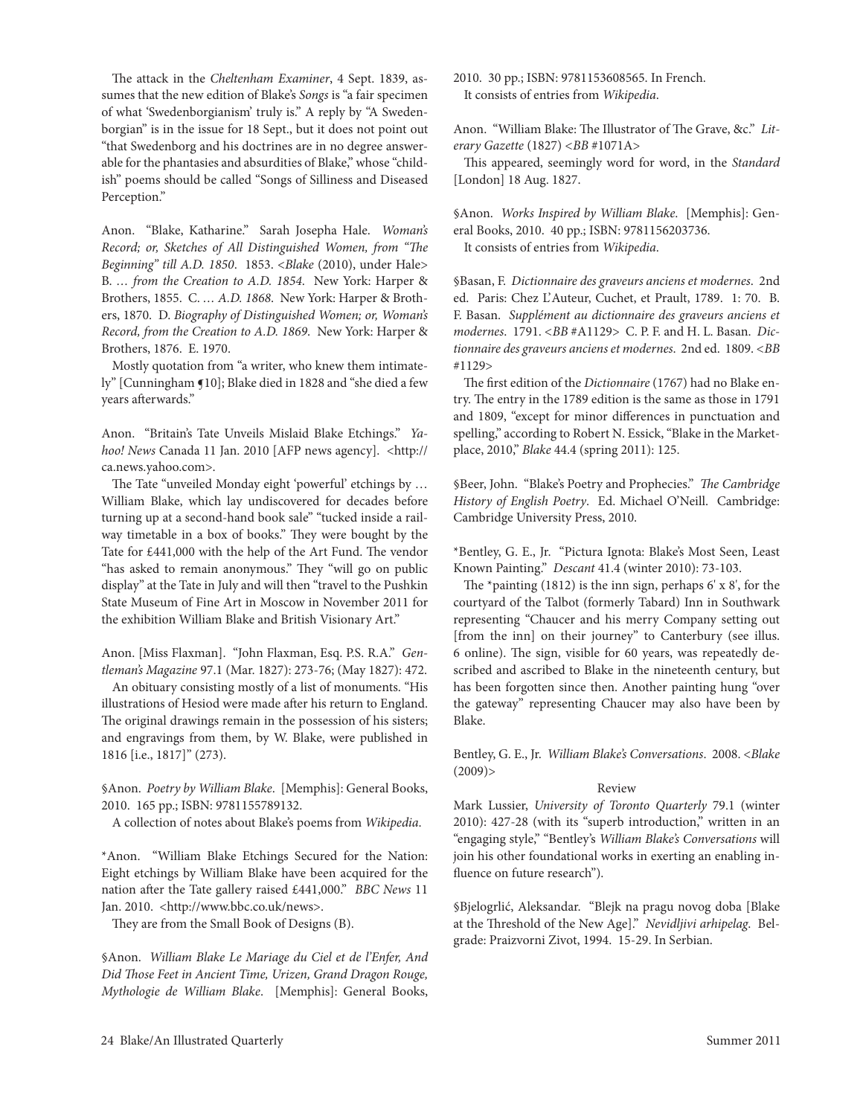The attack in the *Cheltenham Examiner*, 4 Sept. 1839, assumes that the new edition of Blake's *Songs* is "a fair specimen of what 'Swedenborgianism' truly is." A reply by "A Swedenborgian" is in the issue for 18 Sept., but it does not point out "that Swedenborg and his doctrines are in no degree answerable for the phantasies and absurdities of Blake," whose "childish" poems should be called "Songs of Silliness and Diseased Perception."

Anon. "Blake, Katharine." Sarah Josepha Hale. *Woman's Record; or, Sketches of All Distinguished Women, from "The Beginning" till A.D. 1850*. 1853. <*Blake* (2010), under Hale> B. *… from the Creation to A.D. 1854*. New York: Harper & Brothers, 1855. c. *… A.D. 1868*. New York: Harper & Brothers, 1870. D. *Biography of Distinguished Women; or, Woman's Record, from the Creation to A.D. 1869*. New York: Harper & Brothers, 1876. E. 1970.

Mostly quotation from "a writer, who knew them intimately" [cunningham ¶10]; Blake died in 1828 and "she died a few years afterwards."

Anon. "Britain's Tate Unveils Mislaid Blake Etchings." *Yahoo! News* canada 11 Jan. 2010 [AFP news agency]. <http:// ca.news.yahoo.com>.

The Tate "unveiled Monday eight 'powerful' etchings by ... William Blake, which lay undiscovered for decades before turning up at a second-hand book sale" "tucked inside a railway timetable in a box of books." They were bought by the Tate for £441,000 with the help of the Art Fund. The vendor "has asked to remain anonymous." They "will go on public display" at the Tate in July and will then "travel to the Pushkin State Museum of Fine Art in Moscow in November 2011 for the exhibition William Blake and British Visionary Art."

Anon. [Miss Flaxman]. "John Flaxman, Esq. P.S. R.A." *Gentleman's Magazine* 97.1 (Mar. 1827): 273-76; (May 1827): 472.

An obituary consisting mostly of a list of monuments. "His illustrations of Hesiod were made after his return to England. The original drawings remain in the possession of his sisters; and engravings from them, by W. Blake, were published in 1816 [i.e., 1817]" (273).

§Anon. *Poetry by William Blake*. [Memphis]: General Books, 2010. 165 pp.; ISBN: 9781155789132.

A collection of notes about Blake's poems from *Wikipedia*.

\*Anon. "William Blake etchings Secured for the Nation: Eight etchings by William Blake have been acquired for the nation after the Tate gallery raised £441,000." *BBC News* 11 Jan. 2010. < http://www.bbc.co.uk/news>.

They are from the Small Book of Designs (B).

§Anon. *William Blake Le Mariage du Ciel et de l'Enfer, And Did Those Feet in Ancient Time, Urizen, Grand Dragon Rouge, Mythologie de William Blake*. [Memphis]: General Books,

2010. 30 pp.; ISBN: 9781153608565. In French. It consists of entries from *Wikipedia*.

Anon. "William Blake: The Illustrator of The Grave, &c." *Literary Gazette* (1827) *<BB* #1071A>

This appeared, seemingly word for word, in the *Standard*  [london] 18 Aug. 1827.

§Anon. *Works Inspired by William Blake*. [Memphis]: General Books, 2010. 40 pp.; ISBN: 9781156203736. It consists of entries from *Wikipedia*.

§Basan, F. *Dictionnaire des graveurs anciens et modernes*.2nd ed.Paris: chez l' Auteur, cuchet, et Prault, 1789. 1: 70. B. F. Basan. *Supplément au dictionnaire des graveurs anciens et modernes*. 1791. *<BB* #A1129> c. P. F. and H. l. Basan. *Dictionnaire des graveurs anciens et modernes*. 2nd ed. 1809. *<BB* #1129>

The first edition of the *Dictionnaire* (1767) had no Blake entry. The entry in the 1789 edition is the same as those in 1791 and 1809, "except for minor differences in punctuation and spelling," according to Robert N. Essick, "Blake in the Marketplace, 2010," *Blake* 44.4 (spring 2011): 125.

§Beer, John. "Blake's Poetry and Prophecies." *The Cambridge*  History of English Poetry. Ed. Michael O'Neill. Cambridge: cambridge University Press, 2010.

\*Bentley, G. e., Jr. "Pictura Ignota: Blake's Most Seen, least Known Painting." *Descant* 41.4 (winter 2010): 73-103.

The \*painting (1812) is the inn sign, perhaps 6' x 8', for the courtyard of the Talbot (formerly Tabard) Inn in Southwark representing "chaucer and his merry company setting out [from the inn] on their journey" to Canterbury (see illus. 6 online). The sign, visible for 60 years, was repeatedly described and ascribed to Blake in the nineteenth century, but has been forgotten since then. Another painting hung "over the gateway" representing chaucer may also have been by Blake.

Bentley, G. E., Jr. *William Blake's Conversations*. 2008. <*Blake*  $(2009)$ 

# Review

Mark lussier, *University of Toronto Quarterly* 79.1 (winter 2010): 427-28 (with its "superb introduction," written in an "engaging style," "Bentley's *William Blake's Conversations* will join his other foundational works in exerting an enabling influence on future research").

§Bjelogrlić, Aleksandar. "Blejk na pragu novog doba [Blake at the Threshold of the New Age]." *Nevidljivi arhipelag*. Belgrade: Praizvorni Zivot, 1994. 15-29. In Serbian.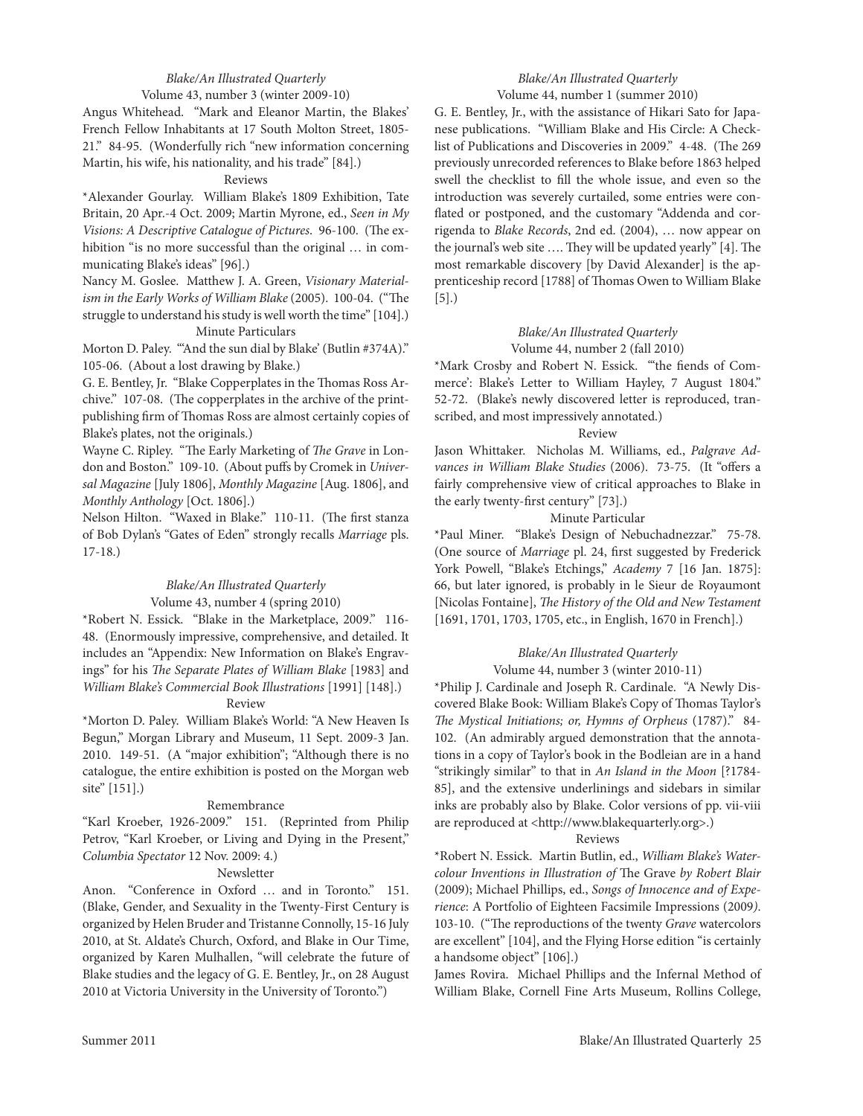# *Blake/An Illustrated Quarterly* Volume 43, number 3 (winter 2009-10)

Angus Whitehead. "Mark and eleanor Martin, the Blakes' French Fellow Inhabitants at 17 South Molton Street, 1805- 21." 84-95. (Wonderfully rich "new information concerning Martin, his wife, his nationality, and his trade" [84].)

## Reviews

\*Alexander Gourlay. William Blake's 1809 exhibition, tate Britain, 20 Apr.-4 Oct. 2009; Martin Myrone, ed., *Seen in My Visions: A Descriptive Catalogue of Pictures*. 96-100. (The exhibition "is no more successful than the original … in communicating Blake's ideas" [96].)

Nancy M. Goslee. Matthew J. A. Green, *Visionary Materialism in the Early Works of William Blake* (2005). 100-04. ("The struggle to understand his study is well worth the time" [104].) Minute Particulars

Morton D. Paley. "'And the sun dial by Blake' (Butlin #374A)." 105-06. (About a lost drawing by Blake.)

G. E. Bentley, Jr. "Blake Copperplates in the Thomas Ross Archive." 107-08. (The copperplates in the archive of the printpublishing firm of Thomas Ross are almost certainly copies of Blake's plates, not the originals.)

Wayne C. Ripley. "The Early Marketing of *The Grave* in London and Boston." 109-10. (About puffs by cromek in *Universal Magazine* [July 1806], *Monthly Magazine* [Aug. 1806], and *Monthly Anthology* [Oct. 1806].)

Nelson Hilton. "Waxed in Blake." 110-11. (The first stanza of Bob Dylan's "Gates of eden" strongly recalls *Marriage* pls. 17-18.)

## *Blake/An Illustrated Quarterly* Volume 43, number 4 (spring 2010)

\*Robert N. Essick. "Blake in the Marketplace, 2009." 116-48. (Enormously impressive, comprehensive, and detailed. It includes an "Appendix: New Information on Blake's Engravings" for his *The Separate Plates of William Blake* [1983] and *William Blake's Commercial Book Illustrations* [1991] [148].)

# Review

\*Morton D. Paley. William Blake's World: "A New Heaven Is Begun," Morgan library and Museum, 11 Sept. 2009-3 Jan. 2010. 149-51. (A "major exhibition"; "Although there is no catalogue, the entire exhibition is posted on the Morgan web site" [151].)

# Remembrance

"Karl Kroeber, 1926-2009." 151. (Reprinted from Philip Petrov, "Karl Kroeber, or living and Dying in the Present," *Columbia Spectator* 12 Nov. 2009: 4.)

#### Newsletter

Anon. "Conference in Oxford ... and in Toronto." 151. (Blake, Gender, and Sexuality in the Twenty-First Century is organized by Helen Bruder and Tristanne Connolly, 15-16 July 2010, at St. Aldate's Church, Oxford, and Blake in Our Time, organized by Karen Mulhallen, "will celebrate the future of Blake studies and the legacy of G. E. Bentley, Jr., on 28 August 2010 at Victoria University in the University of Toronto.")

## *Blake/An Illustrated Quarterly* Volume 44, number 1 (summer 2010)

G. E. Bentley, Jr., with the assistance of Hikari Sato for Japanese publications. "William Blake and His circle: A checklist of Publications and Discoveries in 2009." 4-48. (The 269 previously unrecorded references to Blake before 1863 helped swell the checklist to fill the whole issue, and even so the introduction was severely curtailed, some entries were conflated or postponed, and the customary "Addenda and corrigenda to *Blake Records*, 2nd ed. (2004), … now appear on the journal's web site …. They will be updated yearly" [4]. The most remarkable discovery [by David Alexander] is the apprenticeship record [1788] of Thomas Owen to William Blake [5].)

# *Blake/An Illustrated Quarterly* Volume 44, number 2 (fall 2010)

\*Mark Crosby and Robert N. Essick. "the fiends of Commerce': Blake's letter to William Hayley, 7 August 1804." 52-72. (Blake's newly discovered letter is reproduced, transcribed, and most impressively annotated.)

# Review

Jason Whittaker. Nicholas M. Williams, ed., *Palgrave Advances in William Blake Studies* (2006). 73-75. (It "offers a fairly comprehensive view of critical approaches to Blake in the early twenty-first century" [73].)

# Minute Particular

\*Paul Miner. "Blake's Design of Nebuchadnezzar." 75-78. (One source of *Marriage* pl. 24, first suggested by Frederick York Powell, "Blake's Etchings," *Academy* 7 [16 Jan. 1875]: 66, but later ignored, is probably in le Sieur de Royaumont [Nicolas Fontaine], *The History of the Old and New Testament* [1691, 1701, 1703, 1705, etc., in English, 1670 in French].)

# *Blake/An Illustrated Quarterly*

# Volume 44, number 3 (winter 2010-11)

\*Philip J. cardinale and Joseph r. cardinale. "A Newly Discovered Blake Book: William Blake's Copy of Thomas Taylor's *The Mystical Initiations; or, Hymns of Orpheus* (1787)." 84- 102. (An admirably argued demonstration that the annotations in a copy of Taylor's book in the Bodleian are in a hand "strikingly similar" to that in *An Island in the Moon* [?1784- 85], and the extensive underlinings and sidebars in similar inks are probably also by Blake. color versions of pp. vii-viii are reproduced at <http://www.blakequarterly.org>.)

## Reviews

\*robert N. essick. Martin Butlin, ed., *William Blake's Watercolour Inventions in Illustration of* The Grave *by Robert Blair* (2009); Michael Phillips, ed., *Songs of Innocence and of Experience*: A Portfolio of Eighteen Facsimile Impressions (2009). 103-10. ("The reproductions of the twenty *Grave* watercolors are excellent" [104], and the Flying Horse edition "is certainly a handsome object" [106].)

James Rovira. Michael Phillips and the Infernal Method of William Blake, Cornell Fine Arts Museum, Rollins College,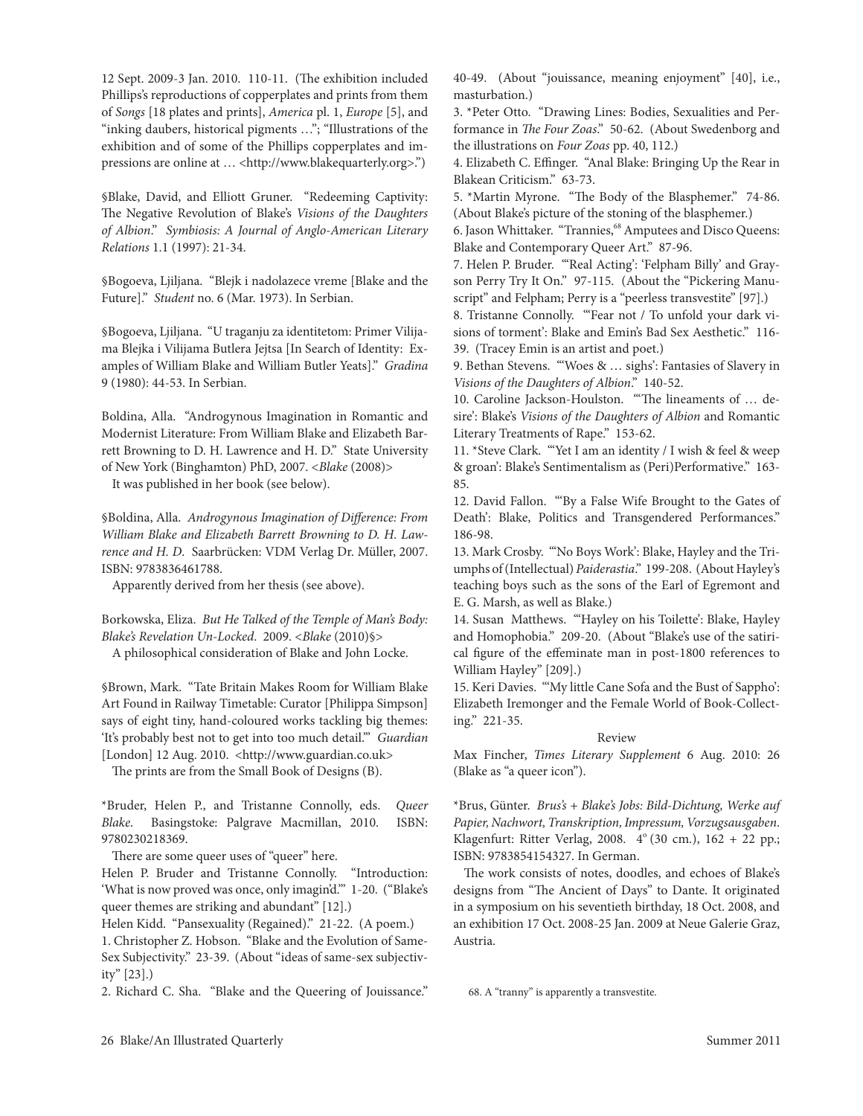12 Sept. 2009-3 Jan. 2010. 110-11. (The exhibition included Phillips's reproductions of copperplates and prints from them of *Songs* [18 plates and prints], *America* pl. 1, *Europe* [5], and "inking daubers, historical pigments …"; "Illustrations of the exhibition and of some of the Phillips copperplates and impressions are online at ... <http://www.blakequarterly.org>.")

§Blake, David, and Elliott Gruner. "Redeeming Captivity: The Negative Revolution of Blake's *Visions of the Daughters of Albion*." *Symbiosis: A Journal of Anglo-American Literary Relations* 1.1 (1997): 21-34.

§Bogoeva, ljiljana. "Blejk i nadolazece vreme [Blake and the Future]." *Student* no. 6 (Mar. 1973). In Serbian.

§Bogoeva, ljiljana. "U traganju za identitetom: Primer Vilijama Blejka i Vilijama Butlera Jejtsa [In Search of Identity: Examples of William Blake and William Butler Yeats]." *Gradina* 9 (1980): 44-53. In Serbian.

Boldina, Alla. "Androgynous Imagination in Romantic and Modernist Literature: From William Blake and Elizabeth Barrett Browning to D. H. lawrence and H. D." State University of New York (Binghamton) PhD, 2007. <*Blake* (2008)>

It was published in her book (see below).

§Boldina, Alla. *Androgynous Imagination of Difference: From William Blake and Elizabeth Barrett Browning to D. H. Lawrence and H. D*.Saarbrücken: VDM Verlag Dr. Müller, 2007. ISBN: 9783836461788.

Apparently derived from her thesis (see above).

Borkowska, eliza. *But He Talked of the Temple of Man's Body: Blake's Revelation Un-Locked*. 2009. <*Blake* (2010)§> A philosophical consideration of Blake and John locke.

§Brown, Mark. "Tate Britain Makes Room for William Blake Art Found in Railway Timetable: Curator [Philippa Simpson] says of eight tiny, hand-coloured works tackling big themes: 'It's probably best not to get into too much detail.'" *Guardian* [London] 12 Aug. 2010. <http://www.guardian.co.uk>

The prints are from the Small Book of Designs (B).

\*Bruder, Helen P., and tristanne connolly, eds. *Queer Blake*. Basingstoke: Palgrave Macmillan, 2010. ISBN: 9780230218369.

There are some queer uses of "queer" here.

Helen P. Bruder and Tristanne Connolly. "Introduction: 'What is now proved was once, only imagin'd.'" 1-20. ("Blake's queer themes are striking and abundant" [12].)

Helen Kidd. "Pansexuality (Regained)." 21-22. (A poem.) 1. christopher Z. Hobson. "Blake and the evolution of Same-Sex Subjectivity." 23-39. (About "ideas of same-sex subjectivity" [23].)

2. Richard C. Sha. "Blake and the Queering of Jouissance."

40-49. (About "jouissance, meaning enjoyment" [40], i.e., masturbation.)

3. \*Peter Otto. "Drawing lines: Bodies, Sexualities and Performance in *The Four Zoas*." 50-62. (About Swedenborg and the illustrations on *Four Zoas* pp. 40, 112.)

4. Elizabeth C. Effinger. "Anal Blake: Bringing Up the Rear in Blakean criticism." 63-73.

5. \*Martin Myrone. "The Body of the Blasphemer." 74-86. (About Blake's picture of the stoning of the blasphemer.)

6. Jason Whittaker. "Trannies,<sup>68</sup> Amputees and Disco Queens: Blake and contemporary Queer Art." 87-96.

7. Helen P. Bruder. "'Real Acting': 'Felpham Billy' and Grayson Perry Try It On." 97-115. (About the "Pickering Manuscript" and Felpham; Perry is a "peerless transvestite" [97].)

8. Tristanne Connolly. "'Fear not / To unfold your dark visions of torment': Blake and Emin's Bad Sex Aesthetic." 116-39. (Tracey Emin is an artist and poet.)

9. Bethan Stevens. "'Woes & … sighs': Fantasies of Slavery in *Visions of the Daughters of Albion*." 140-52.

10. caroline Jackson-Houlston. "'The lineaments of … desire': Blake's Visions of the Daughters of Albion and Romantic Literary Treatments of Rape." 153-62.

11. \*Steve clark. "'Yet I am an identity / I wish & feel & weep & groan': Blake's Sentimentalism as (Peri)Performative." 163- 85.

12. David Fallon. "'By a False Wife Brought to the Gates of Death': Blake, Politics and Transgendered Performances." 186-98.

13. Mark Crosby. ""No Boys Work': Blake, Hayley and the Triumphs of (Intellectual) *Paiderastia*." 199-208. (About Hayley's teaching boys such as the sons of the Earl of Egremont and e. G. Marsh, as well as Blake.)

14. Susan Matthews. "Hayley on his Toilette': Blake, Hayley and Homophobia." 209-20. (About "Blake's use of the satirical figure of the effeminate man in post-1800 references to William Hayley" [209].)

15. Keri Davies. "'My little cane Sofa and the Bust of Sappho': Elizabeth Iremonger and the Female World of Book-Collecting." 221-35.

# Review

Max Fincher, *Times Literary Supplement* 6 Aug. 2010: 26 (Blake as "a queer icon").

\*Brus, Günter. *Brus's + Blake's Jobs: Bild-Dichtung, Werke auf Papier, Nachwort, Transkription, Impressum, Vorzugsausgaben*. Klagenfurt: Ritter Verlag, 2008.  $4^{\circ}$  (30 cm.), 162 + 22 pp.; ISBN: 9783854154327. In German.

The work consists of notes, doodles, and echoes of Blake's designs from "The Ancient of Days" to Dante. It originated in a symposium on his seventieth birthday, 18 Oct. 2008, and an exhibition 17 Oct. 2008-25 Jan. 2009 at Neue Galerie Graz, Austria.

68. A "tranny" is apparently a transvestite.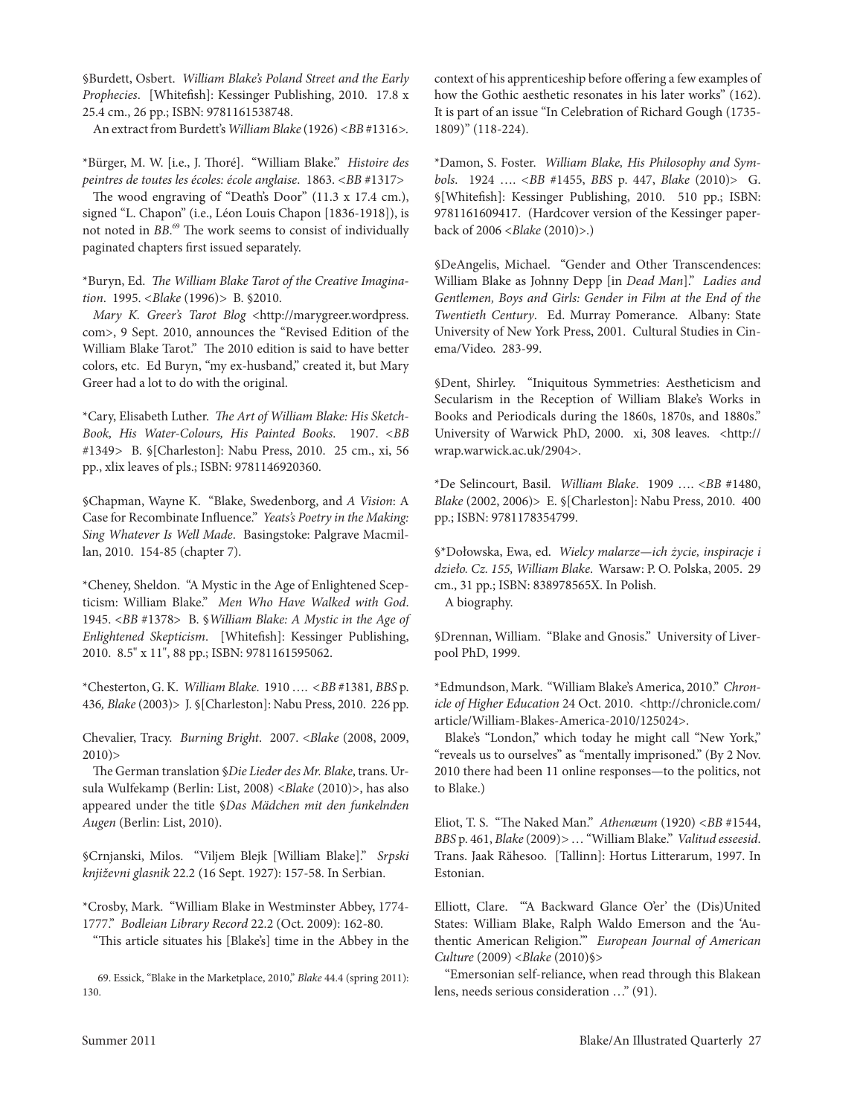§Burdett, Osbert. *William Blake's Poland Street and the Early Prophecies*. [Whitefish]: Kessinger Publishing, 2010. 17.8 x 25.4 cm., 26 pp.; ISBN: 9781161538748.

An extract from Burdett's *William Blake* (1926) *<BB* #1316*>.*

\*Bürger, M. W. [i.e., J. Thoré]. "William Blake." *Histoire des peintres de toutes les écoles: école anglaise*. 1863. *<BB* #1317>

The wood engraving of "Death's Door" (11.3 x 17.4 cm.), signed "L. Chapon" (i.e., Léon Louis Chapon [1836-1918]), is not noted in *BB*. 69 The work seems to consist of individually paginated chapters first issued separately.

\*Buryn, ed. *The William Blake Tarot of the Creative Imagination*. 1995. *<Blake* (1996)*>* B. §2010.

*Mary K. Greer's Tarot Blog* <http://marygreer.wordpress. com>, 9 Sept. 2010, announces the "Revised Edition of the William Blake Tarot." The 2010 edition is said to have better colors, etc. Ed Buryn, "my ex-husband," created it, but Mary Greer had a lot to do with the original.

\*cary, elisabeth luther. *The Art of William Blake: His Sketch-Book, His Water-Colours, His Painted Books*. 1907. *<BB* #1349*>* B. §[charleston]: Nabu Press, 2010. 25 cm., xi, 56 pp., xlix leaves of pls.; ISBN: 9781146920360.

§chapman, Wayne K. "Blake, Swedenborg, and *A Vision*: A Case for Recombinate Influence." *Yeats's Poetry in the Making: Sing Whatever Is Well Made*. Basingstoke: Palgrave Macmillan, 2010. 154-85 (chapter 7).

\*cheney, Sheldon. "A Mystic in the Age of enlightened Scepticism: William Blake." *Men Who Have Walked with God*. 1945. <*BB* #1378> B. §*William Blake: A Mystic in the Age of Enlightened Skepticism*. [Whitefish]: Kessinger Publishing, 2010. 8.5" x 11", 88 pp.; ISBN: 9781161595062.

\*chesterton, G. K. *William Blake*. 1910 …. *<BB* #1381*, BBS* p. 436*, Blake* (2003)> J. §[charleston]: Nabu Press, 2010. 226 pp.

chevalier, tracy. *Burning Bright*. 2007. <*Blake* (2008, 2009,  $2010$ )

The German translation §*Die Lieder des Mr. Blake*, trans. Ursula Wulfekamp (Berlin: list, 2008) <*Blake* (2010)>, has also appeared under the title §*Das Mädchen mit den funkelnden Augen* (Berlin: list, 2010).

§crnjanski, Milos. "Viljem Blejk [William Blake]." *Srpski književni glasnik* 22.2 (16 Sept. 1927): 157-58. In Serbian.

\*crosby, Mark. "William Blake in Westminster Abbey, 1774- 1777." *Bodleian Library Record* 22.2 (Oct. 2009): 162-80.

"This article situates his [Blake's] time in the Abbey in the

69. Essick, "Blake in the Marketplace, 2010," *Blake* 44.4 (spring 2011): 130.

context of his apprenticeship before offering a few examples of how the Gothic aesthetic resonates in his later works" (162). It is part of an issue "In Celebration of Richard Gough (1735-1809)" (118-224).

\*Damon, S. Foster. *William Blake, His Philosophy and Symbols*. 1924 …. *<BB* #1455, *BBS* p. 447, *Blake* (2010)> G. §[Whitefish]: Kessinger Publishing, 2010. 510 pp.; ISBN: 9781161609417. (Hardcover version of the Kessinger paperback of 2006 <*Blake* (2010)>.)

§DeAngelis, Michael. "Gender and Other Transcendences: William Blake as Johnny Depp [in *Dead Man*]." *Ladies and Gentlemen, Boys and Girls: Gender in Film at the End of the Twentieth Century.* Ed. Murray Pomerance. Albany: State University of New York Press, 2001. cultural Studies in cinema/Video. 283-99.

§Dent, Shirley. "Iniquitous Symmetries: Aestheticism and Secularism in the Reception of William Blake's Works in Books and Periodicals during the 1860s, 1870s, and 1880s." University of Warwick PhD, 2000. xi, 308 leaves. <http:// wrap.warwick.ac.uk/2904>.

\*De Selincourt, Basil. *William Blake*. 1909 …. <*BB* #1480, *Blake* (2002, 2006)> E. §[Charleston]: Nabu Press, 2010. 400 pp.; ISBN: 9781178354799.

§\*Dołowska, ewa, ed. *Wielcy malarze—ich życie, inspiracje i dzieło. Cz. 155, William Blake*. Warsaw: P. O. Polska, 2005. 29 cm., 31 pp.; ISBN: 838978565X. In Polish. A biography.

§Drennan, William. "Blake and Gnosis." University of liverpool PhD, 1999.

\*edmundson, Mark. "William Blake's America, 2010." *Chronicle of Higher Education* 24 Oct. 2010. <http://chronicle.com/ article/William-Blakes-America-2010/125024>.

Blake's "london," which today he might call "New York," "reveals us to ourselves" as "mentally imprisoned." (By 2 Nov. 2010 there had been 11 online responses—to the politics, not to Blake.)

eliot, t. S. "The Naked Man." *Athenæum* (1920) *<BB* #1544, *BBS* p. 461, *Blake* (2009)*>* … "William Blake." *Valitud esseesid*. Trans. Jaak Rähesoo. [Tallinn]: Hortus Litterarum, 1997. In Estonian.

elliott, clare. "'A Backward Glance O'er' the (Dis)United States: William Blake, Ralph Waldo Emerson and the 'Authentic American religion.'" *European Journal of American Culture* (2009) <*Blake* (2010)§>

"emersonian self-reliance, when read through this Blakean lens, needs serious consideration …" (91).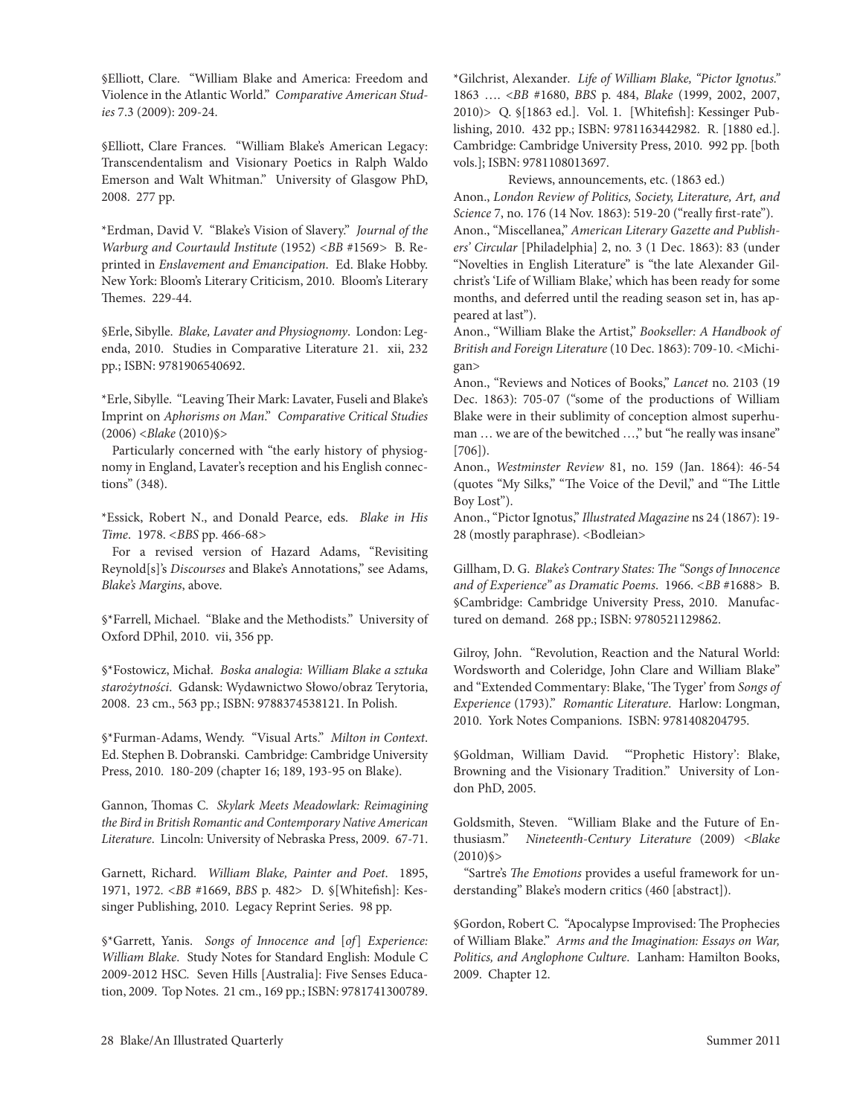§Elliott, Clare. "William Blake and America: Freedom and Violence in the Atlantic World." *Comparative American Studies* 7.3 (2009): 209-24.

§Elliott, Clare Frances. "William Blake's American Legacy: Transcendentalism and Visionary Poetics in Ralph Waldo Emerson and Walt Whitman." University of Glasgow PhD, 2008. 277 pp.

\*erdman, David V. "Blake's Vision of Slavery." *Journal of the Warburg and Courtauld Institute* (1952) <BB #1569> B. Reprinted in *Enslavement and Emancipation*. Ed. Blake Hobby. New York: Bloom's literary criticism, 2010. Bloom's literary Themes. 229-44.

§Erle, Sibylle. *Blake, Lavater and Physiognomy*. London: Legenda, 2010. Studies in comparative literature 21. xii, 232 pp.; ISBN: 9781906540692.

\*erle, Sibylle. "leaving Their Mark: lavater, Fuseli and Blake's Imprint on *Aphorisms on Man*." *Comparative Critical Studies* (2006) <*Blake* (2010)§>

Particularly concerned with "the early history of physiognomy in England, Lavater's reception and his English connections" (348).

\*essick, robert N., and Donald Pearce, eds. *Blake in His Time*. 1978. *<BBS* pp. 466-68*>*

For a revised version of Hazard Adams, "Revisiting reynold[s]'s *Discourses* and Blake's Annotations," see Adams, *Blake's Margins*, above.

§\*Farrell, Michael. "Blake and the Methodists." University of Oxford DPhil, 2010. vii, 356 pp.

§\*Fostowicz, Michał. *Boska analogia: William Blake a sztuka*  starożytności. Gdansk: Wydawnictwo Słowo/obraz Terytoria, 2008. 23 cm., 563 pp.; ISBN: 9788374538121. In Polish.

§\*Furman-Adams, Wendy. "Visual Arts." *Milton in Context*. ed. Stephen B. Dobranski. cambridge: cambridge University Press, 2010. 180-209 (chapter 16; 189, 193-95 on Blake).

Gannon, Thomas c. *Skylark Meets Meadowlark: Reimagining the Bird in British Romantic and Contemporary Native American Literature*. lincoln: University of Nebraska Press, 2009. 67-71.

Garnett, Richard. *William Blake, Painter and Poet*. 1895, 1971, 1972. <*BB* #1669, *BBS* p. 482> D. §[Whitefish]: Kessinger Publishing, 2010. Legacy Reprint Series. 98 pp.

§\*Garrett, Yanis. *Songs of Innocence and* [*of*] *Experience: William Blake.* Study Notes for Standard English: Module C 2009-2012 HSc*.* Seven Hills [Australia]: Five Senses education, 2009. Top Notes. 21 cm., 169 pp.; ISBN: 9781741300789. \*Gilchrist, Alexander*. Life of William Blake, "Pictor Ignotus."* 1863 …. <*BB* #1680, *BBS* p. 484, *Blake* (1999, 2002, 2007, 2010)> Q. §[1863 ed.]. Vol. 1. [Whitefish]: Kessinger Publishing, 2010. 432 pp.; ISBN: 9781163442982. R. [1880 ed.]. cambridge: cambridge University Press, 2010. 992 pp. [both vols.]; ISBN: 9781108013697.

Reviews, announcements, etc. (1863 ed.) Anon., *London Review of Politics, Society, Literature, Art, and Science* 7, no. 176 (14 Nov. 1863): 519-20 ("really first-rate"). Anon., "Miscellanea," *American Literary Gazette and Publishers' Circular* [Philadelphia] 2, no. 3 (1 Dec. 1863): 83 (under "Novelties in English Literature" is "the late Alexander Gilchrist's 'life of William Blake,' which has been ready for some months, and deferred until the reading season set in, has appeared at last").

Anon., "William Blake the Artist," *Bookseller: A Handbook of British and Foreign Literature* (10 Dec. 1863): 709-10. <Michigan>

Anon., "Reviews and Notices of Books," *Lancet* no. 2103 (19 Dec. 1863): 705-07 ("some of the productions of William Blake were in their sublimity of conception almost superhuman ... we are of the bewitched ...," but "he really was insane" [706]).

Anon., *Westminster Review* 81, no. 159 (Jan. 1864): 46-54 (quotes "My Silks," "The Voice of the Devil," and "The little Boy lost").

Anon., "Pictor Ignotus," *Illustrated Magazine* ns 24 (1867): 19- 28 (mostly paraphrase). <Bodleian>

Gillham, D. G. *Blake's Contrary States: The "Songs of Innocence and of Experience" as Dramatic Poems*. 1966. *<BB* #1688> B. §cambridge: cambridge University Press, 2010. Manufactured on demand. 268 pp.; ISBN: 9780521129862.

Gilroy, John. "Revolution, Reaction and the Natural World: Wordsworth and coleridge, John clare and William Blake" and "Extended Commentary: Blake, 'The Tyger' from *Songs of Experience* (1793)." *Romantic Literature*. Harlow: longman, 2010. York Notes companions. ISBN: 9781408204795.

§Goldman, William David. "'Prophetic History': Blake, Browning and the Visionary Tradition." University of London PhD, 2005.

Goldsmith, Steven. "William Blake and the Future of Enthusiasm." *Nineteenth-Century Literature* (2009) <*Blake*  $(2010)$ §>

"Sartre's *The Emotions* provides a useful framework for understanding" Blake's modern critics (460 [abstract]).

§Gordon, Robert C. "Apocalypse Improvised: The Prophecies of William Blake." *Arms and the Imagination: Essays on War, Politics, and Anglophone Culture*. lanham: Hamilton Books, 2009. chapter 12.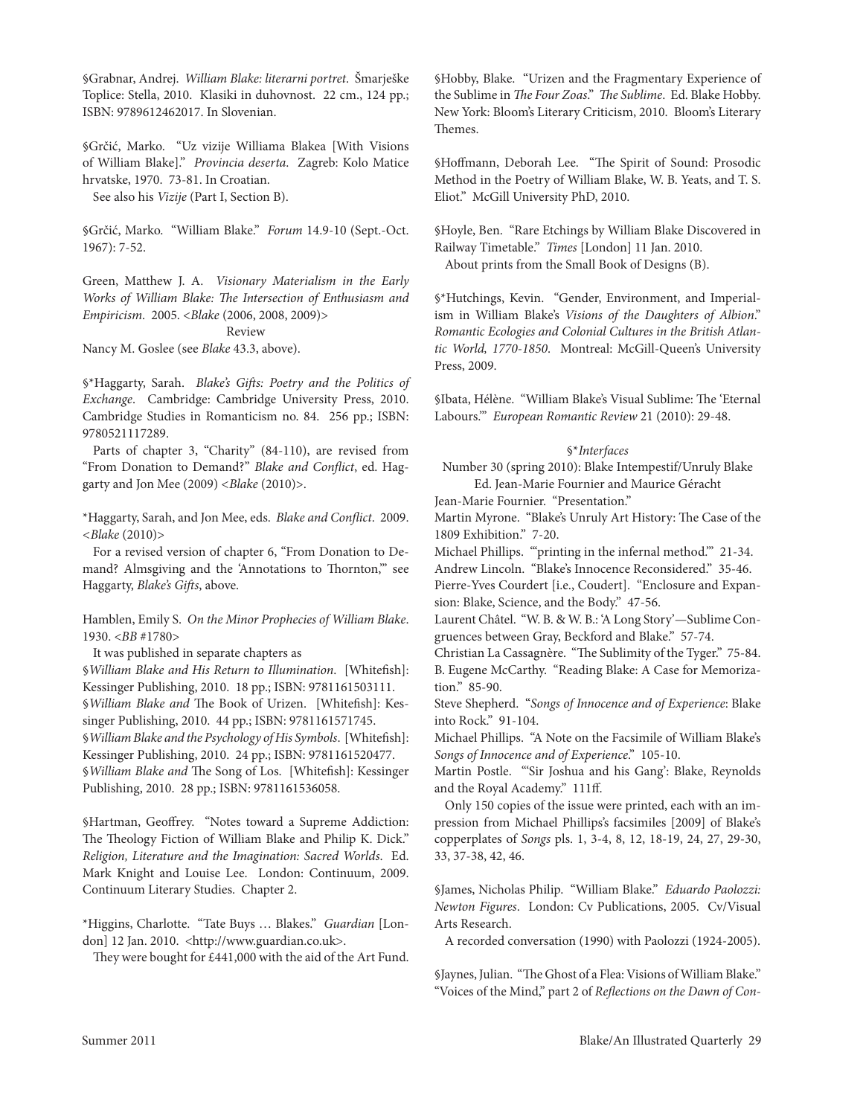§Grabnar, Andrej. *William Blake: literarni portret*. Šmarješke toplice: Stella, 2010. Klasiki in duhovnost. 22 cm., 124 pp.; ISBN: 9789612462017. In Slovenian.

§Grčić, Marko. "Uz vizije Williama Blakea [With Visions of William Blake]." *Provincia deserta*. Zagreb: Kolo Matice hrvatske, 1970. 73-81. In Croatian.

See also his *Vizije* (Part I, Section B).

§Grčić, Marko. "William Blake." *Forum* 14.9-10 (Sept.-Oct. 1967): 7-52.

Green, Matthew J. A. *Visionary Materialism in the Early Works of William Blake: The Intersection of Enthusiasm and Empiricism*. 2005. <*Blake* (2006, 2008, 2009)>

# Review

Nancy M. Goslee (see *Blake* 43.3, above).

§\*Haggarty, Sarah. *Blake's Gifts: Poetry and the Politics of Exchange*.cambridge: cambridge University Press, 2010. Cambridge Studies in Romanticism no. 84. 256 pp.; ISBN: 9780521117289.

Parts of chapter 3, "charity" (84-110), are revised from "From Donation to Demand?" *Blake and Conflict*, ed. Haggarty and Jon Mee (2009) *<Blake* (2010)>.

\*Haggarty, Sarah, and Jon Mee, eds. *Blake and Conflict*. 2009. *<Blake* (2010)>

For a revised version of chapter 6, "From Donation to Demand? Almsgiving and the 'Annotations to Thornton," see Haggarty, *Blake's Gifts*, above.

Hamblen, Emily S. On the Minor Prophecies of William Blake. 1930. <*BB* #1780>

It was published in separate chapters as

§*William Blake and His Return to Illumination*. [Whitefish]: Kessinger Publishing, 2010. 18 pp.; ISBN: 9781161503111. §*William Blake and* The Book of Urizen. [Whitefish]: Kessinger Publishing, 2010. 44 pp.; ISBN: 9781161571745. §*William Blake and the Psychology of His Symbols*. [Whitefish]: Kessinger Publishing, 2010. 24 pp.; ISBN: 9781161520477. §*William Blake and* The Song of los. [Whitefish]: Kessinger Publishing, 2010. 28 pp.; ISBN: 9781161536058.

§Hartman, Geoffrey. "Notes toward a Supreme Addiction: The Theology Fiction of William Blake and Philip K. Dick." *Religion, Literature and the Imagination: Sacred Worlds. Ed.* Mark Knight and louise lee. london: continuum, 2009. continuum literary Studies. chapter 2.

\*Higgins, charlotte. "tate Buys … Blakes." *Guardian* [london] 12 Jan. 2010. <http://www.guardian.co.uk>.

They were bought for £441,000 with the aid of the Art Fund.

§Hobby, Blake. "Urizen and the Fragmentary Experience of the Sublime in *The Four Zoas*." *The Sublime*. ed. Blake Hobby. New York: Bloom's literary criticism, 2010. Bloom's literary Themes.

§Hoffmann, Deborah lee. "The Spirit of Sound: Prosodic Method in the Poetry of William Blake, W. B. Yeats, and T. S. Eliot." McGill University PhD, 2010.

§Hoyle, Ben. "Rare Etchings by William Blake Discovered in Railway Timetable." Times [London] 11 Jan. 2010. About prints from the Small Book of Designs (B).

§\*Hutchings, Kevin. "Gender, environment, and Imperialism in William Blake's *Visions of the Daughters of Albion*." *Romantic Ecologies and Colonial Cultures in the British Atlantic World, 1770-1850*. Montreal: McGill-Queen's University Press, 2009.

§Ibata, Hélène. "William Blake's Visual Sublime: The 'Eternal labours.'" *European Romantic Review* 21 (2010): 29-48.

## §\**Interfaces*

Number 30 (spring 2010): Blake Intempestif/Unruly Blake Ed. Jean-Marie Fournier and Maurice Géracht

Jean-Marie Fournier. "Presentation."

Martin Myrone. "Blake's Unruly Art History: The case of the 1809 exhibition." 7-20.

Michael Phillips. "'printing in the infernal method.'" 21-34.

Andrew Lincoln. "Blake's Innocence Reconsidered." 35-46.

Pierre-Yves Courdert [i.e., Coudert]. "Enclosure and Expansion: Blake, Science, and the Body." 47-56.

laurent châtel. "W. B. & W. B.: 'A long Story'—Sublime congruences between Gray, Beckford and Blake." 57-74.

Christian La Cassagnère. "The Sublimity of the Tyger." 75-84. B. Eugene McCarthy. "Reading Blake: A Case for Memorization." 85-90.

Steve Shepherd. "*Songs of Innocence and of Experience*: Blake into Rock." 91-104.

Michael Phillips. "A Note on the Facsimile of William Blake's *Songs of Innocence and of Experience*." 105-10.

Martin Postle. "'Sir Joshua and his Gang': Blake, Reynolds and the Royal Academy." 111ff.

Only 150 copies of the issue were printed, each with an impression from Michael Phillips's facsimiles [2009] of Blake's copperplates of *Songs* pls. 1, 3-4, 8, 12, 18-19, 24, 27, 29-30, 33, 37-38, 42, 46.

§James, Nicholas Philip. "William Blake." *Eduardo Paolozzi: Newton Figures*. london: cv Publications, 2005. cv/Visual Arts Research.

A recorded conversation (1990) with Paolozzi (1924-2005).

§Jaynes, Julian. "The Ghost of a Flea: Visions of William Blake." "Voices of the Mind," part 2 of *Reflections on the Dawn of Con-*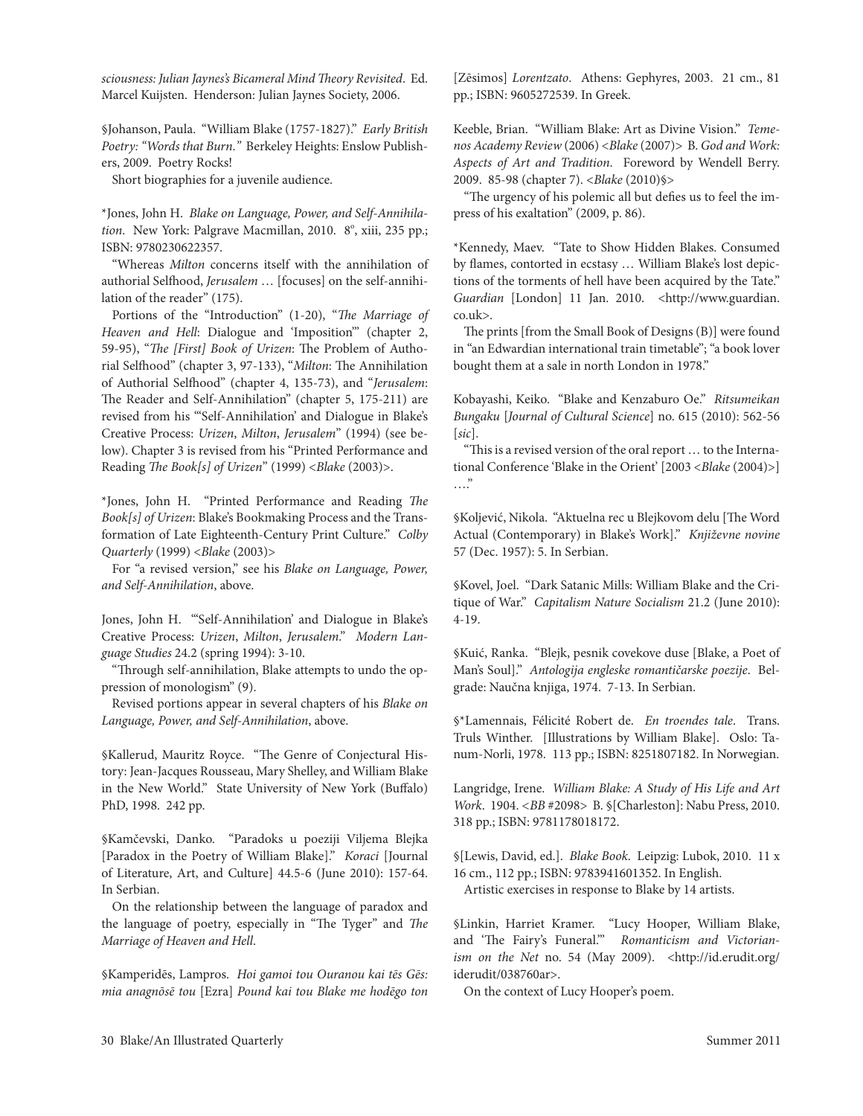*sciousness: Julian Jaynes's Bicameral Mind Theory Revisited*. ed. Marcel Kuijsten. Henderson: Julian Jaynes Society, 2006.

§Johanson, Paula. "William Blake (1757-1827)." *Early British*  Poetry: "Words that Burn." Berkeley Heights: Enslow Publishers, 2009. Poetry Rocks!

Short biographies for a juvenile audience.

\*Jones, John H. *Blake on Language, Power, and Self-Annihila*tion. New York: Palgrave Macmillan, 2010. 8°, xiii, 235 pp.; ISBN: 9780230622357.

"Whereas *Milton* concerns itself with the annihilation of authorial Selfhood, *Jerusalem* … [focuses] on the self-annihilation of the reader" (175).

Portions of the "Introduction" (1-20), "*The Marriage of Heaven and Hell*: Dialogue and 'Imposition'" (chapter 2, 59-95), "*The [First] Book of Urizen*: The Problem of Authorial Selfhood" (chapter 3, 97-133), "*Milton*: The Annihilation of Authorial Selfhood" (chapter 4, 135-73), and "*Jerusalem*: The Reader and Self-Annihilation" (chapter 5, 175-211) are revised from his "'Self-Annihilation' and Dialogue in Blake's creative Process: *Urizen*, *Milton*, *Jerusalem*" (1994) (see below). chapter 3 is revised from his "Printed Performance and reading *The Book[s] of Urizen*" (1999) <*Blake* (2003)>.

\*Jones, John H. "Printed Performance and Reading *The Book[s] of Urizen*: Blake's Bookmaking Process and the Transformation of Late Eighteenth-Century Print Culture." Colby *Quarterly* (1999) <*Blake* (2003)>

For "a revised version," see his *Blake on Language, Power, and Self-Annihilation*, above.

Jones, John H. "'Self-Annihilation' and Dialogue in Blake's creative Process: *Urizen*, *Milton*, *Jerusalem*." *Modern Language Studies* 24.2 (spring 1994): 3-10.

"Through self-annihilation, Blake attempts to undo the oppression of monologism" (9).

Revised portions appear in several chapters of his *Blake on Language, Power, and Self-Annihilation*, above.

§Kallerud, Mauritz Royce. "The Genre of Conjectural History: Jean-Jacques Rousseau, Mary Shelley, and William Blake in the New World." State University of New York (Buffalo) PhD, 1998. 242 pp.

§Kamčevski, Danko. "Paradoks u poeziji Viljema Blejka [Paradox in the Poetry of William Blake]." *Koraci* [Journal of literature, Art, and culture] 44.5-6 (June 2010): 157-64. In Serbian.

On the relationship between the language of paradox and the language of poetry, especially in "The Tyger" and *The Marriage of Heaven and Hell*.

§Kamperidēs, lampros. *Hoi gamoi tou Ouranou kai tēs Gēs: mia anagnōsē tou* [ezra] *Pound kai tou Blake me hodēgo ton*  [Zēsimos] *Lorentzato*.Athens: Gephyres, 2003. 21 cm., 81 pp.; ISBN: 9605272539. In Greek.

Keeble, Brian. "William Blake: Art as Divine Vision." *Temenos Academy Review* (2006) <*Blake* (2007)> B. *God and Work: Aspects of Art and Tradition*. Foreword by Wendell Berry. 2009. 85-98 (chapter 7). <*Blake* (2010)§>

"The urgency of his polemic all but defies us to feel the impress of his exaltation" (2009, p. 86).

\*Kennedy, Maev. "Tate to Show Hidden Blakes. Consumed by flames, contorted in ecstasy … William Blake's lost depictions of the torments of hell have been acquired by the Tate." Guardian [London] 11 Jan. 2010. <http://www.guardian. co.uk>.

The prints [from the Small Book of Designs (B)] were found in "an Edwardian international train timetable"; "a book lover bought them at a sale in north london in 1978."

Kobayashi, Keiko. "Blake and Kenzaburo Oe." *Ritsumeikan Bungaku* [*Journal of Cultural Science*] no. 615 (2010): 562-56 [*sic*].

"This is a revised version of the oral report … to the International conference 'Blake in the Orient' [2003 <*Blake* (2004)>]  $\cdots$ "

§Koljević, Nikola. "Aktuelna rec u Blejkovom delu [The Word Actual (contemporary) in Blake's Work]." *Književne novine*  57 (Dec. 1957): 5. In Serbian.

§Kovel, Joel. "Dark Satanic Mills: William Blake and the Critique of War." *Capitalism Nature Socialism* 21.2 (June 2010): 4-19.

§Kuić, Ranka. "Blejk, pesnik covekove duse [Blake, a Poet of Man's Soul]." *Antologija engleske romantičarske poezije*. Belgrade: Naučna knjiga, 1974. 7-13. In Serbian.

§\*Lamennais, Félicité Robert de. *En troendes tale*. Trans. Truls Winther. [Illustrations by William Blake]. Oslo: Tanum-Norli, 1978. 113 pp.; ISBN: 8251807182. In Norwegian.

langridge, Irene. *William Blake: A Study of His Life and Art Work*. 1904. *<BB* #2098> B. §[charleston]: Nabu Press, 2010. 318 pp.; ISBN: 9781178018172.

§[lewis, David, ed.]. *Blake Book*.leipzig: lubok, 2010. 11 x 16 cm., 112 pp.; ISBN: 9783941601352. In English. Artistic exercises in response to Blake by 14 artists.

§linkin, Harriet Kramer. "lucy Hooper, William Blake, and 'The Fairy's Funeral.'" *Romanticism and Victorianism on the Net* no. 54 (May 2009). <http://id.erudit.org/ iderudit/038760ar>.

On the context of lucy Hooper's poem.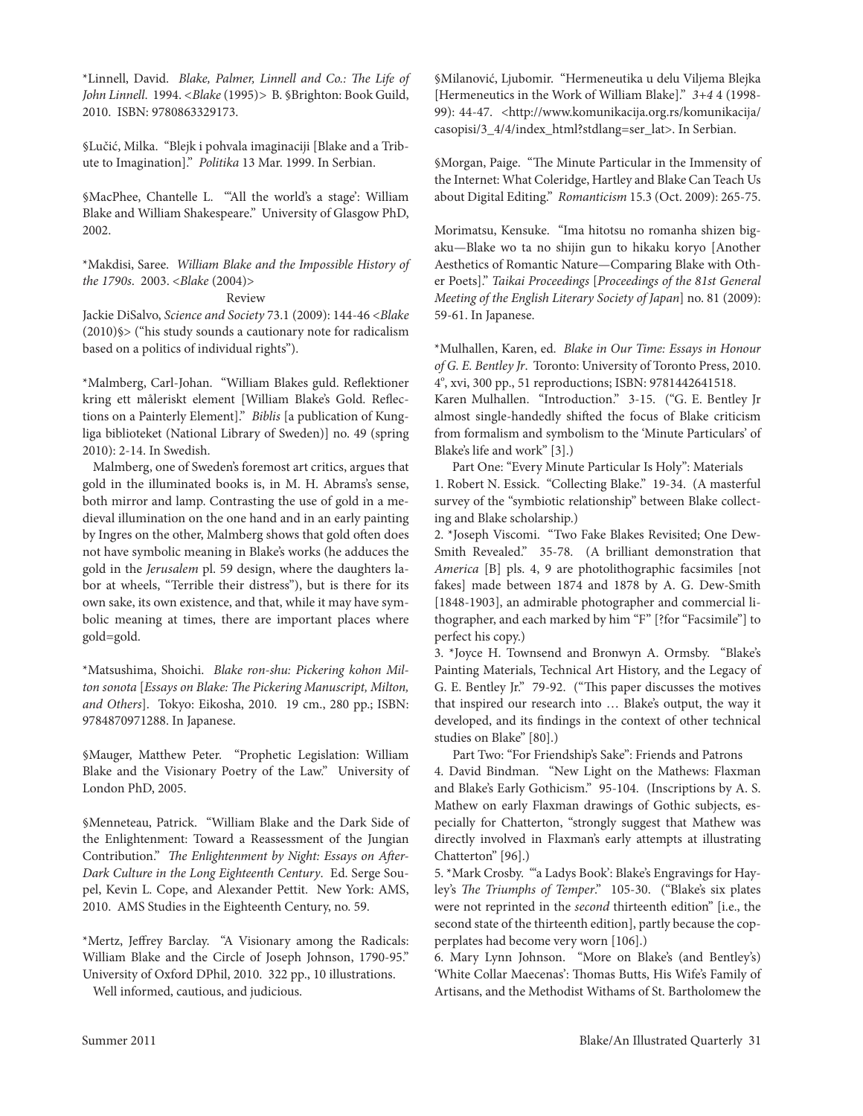\*linnell, David. *Blake, Palmer, Linnell and Co.: The Life of John Linnell*. 1994. *<Blake* (1995)*>* B. §Brighton: Book Guild, 2010. ISBN: 9780863329173.

§Lučić, Milka. "Blejk i pohvala imaginaciji [Blake and a Tribute to Imagination]." *Politika* 13 Mar. 1999. In Serbian.

§MacPhee, chantelle l. '"All the world's a stage': William Blake and William Shakespeare." University of Glasgow PhD, 2002.

\*Makdisi, Saree. *William Blake and the Impossible History of the 1790s*. 2003. <*Blake* (2004)>

```
Review
```
Jackie DiSalvo, *Science and Society* 73.1 (2009): 144-46 <*Blake* (2010)§> ("his study sounds a cautionary note for radicalism based on a politics of individual rights").

\*Malmberg, Carl-Johan. "William Blakes guld. Reflektioner kring ett måleriskt element [William Blake's Gold. Reflections on a Painterly element]." *Biblis* [a publication of Kungliga biblioteket (National library of Sweden)] no. 49 (spring 2010): 2-14. In Swedish.

Malmberg, one of Sweden's foremost art critics, argues that gold in the illuminated books is, in M. H. Abrams's sense, both mirror and lamp. Contrasting the use of gold in a medieval illumination on the one hand and in an early painting by Ingres on the other, Malmberg shows that gold often does not have symbolic meaning in Blake's works (he adduces the gold in the *Jerusalem* pl. 59 design, where the daughters labor at wheels, "Terrible their distress"), but is there for its own sake, its own existence, and that, while it may have symbolic meaning at times, there are important places where gold=gold.

\*Matsushima, Shoichi. *Blake ron-shu: Pickering kohon Milton sonota* [*Essays on Blake: The Pickering Manuscript, Milton,*  and Others]. Tokyo: Eikosha, 2010. 19 cm., 280 pp.; ISBN: 9784870971288. In Japanese.

§Mauger, Matthew Peter. "Prophetic legislation: William Blake and the Visionary Poetry of the law." University of London PhD, 2005.

§Menneteau, Patrick. "William Blake and the Dark Side of the Enlightenment: Toward a Reassessment of the Jungian contribution." *The Enlightenment by Night: Essays on After-*Dark Culture in the Long Eighteenth Century. Ed. Serge Soupel, Kevin l. cope, and Alexander Pettit. New York: AMS, 2010. AMS Studies in the Eighteenth Century, no. 59.

\*Mertz, Jeffrey Barclay. "A Visionary among the Radicals: William Blake and the circle of Joseph Johnson, 1790-95." University of Oxford DPhil, 2010. 322 pp., 10 illustrations.

Well informed, cautious, and judicious.

§Milanović, ljubomir. "Hermeneutika u delu Viljema Blejka [Hermeneutics in the Work of William Blake]." *3+4* 4 (1998- 99): 44-47. <http://www.komunikacija.org.rs/komunikacija/ casopisi/3\_4/4/index\_html?stdlang=ser\_lat>. In Serbian.

§Morgan, Paige. "The Minute Particular in the Immensity of the Internet: What Coleridge, Hartley and Blake Can Teach Us about Digital editing." *Romanticism* 15.3 (Oct. 2009): 265-75.

Morimatsu, Kensuke. "Ima hitotsu no romanha shizen bigaku—Blake wo ta no shijin gun to hikaku koryo [Another Aesthetics of Romantic Nature—Comparing Blake with Other Poets]." *Taikai Proceedings* [*Proceedings of the 81st General Meeting of the English Literary Society of Japan*] no. 81 (2009): 59-61. In Japanese.

\*Mulhallen, Karen, ed. *Blake in Our Time: Essays in Honour*  of G. E. Bentley Jr. Toronto: University of Toronto Press, 2010. 4°, xvi, 300 pp., 51 reproductions; ISBN: 9781442641518.

Karen Mulhallen. "Introduction." 3-15. ("G. E. Bentley Jr almost single-handedly shifted the focus of Blake criticism from formalism and symbolism to the 'Minute Particulars' of Blake's life and work" [3].)

Part One: "Every Minute Particular Is Holy": Materials 1. Robert N. Essick. "Collecting Blake." 19-34. (A masterful survey of the "symbiotic relationship" between Blake collecting and Blake scholarship.)

2. \*Joseph Viscomi. "Two Fake Blakes Revisited; One Dew-Smith Revealed." 35-78. (A brilliant demonstration that *America* [B] pls. 4, 9 are photolithographic facsimiles [not fakes] made between 1874 and 1878 by A. G. Dew-Smith [1848-1903], an admirable photographer and commercial lithographer, and each marked by him "F" [?for "Facsimile"] to perfect his copy.)

3. \*Joyce H. townsend and Bronwyn A. Ormsby. "Blake's Painting Materials, Technical Art History, and the Legacy of G. E. Bentley Jr." 79-92. ("This paper discusses the motives that inspired our research into … Blake's output, the way it developed, and its findings in the context of other technical studies on Blake" [80].)

Part Two: "For Friendship's Sake": Friends and Patrons

4. David Bindman. "New light on the Mathews: Flaxman and Blake's Early Gothicism." 95-104. (Inscriptions by A. S. Mathew on early Flaxman drawings of Gothic subjects, especially for chatterton, "strongly suggest that Mathew was directly involved in Flaxman's early attempts at illustrating chatterton" [96].)

5. \*Mark Crosby. ""a Ladys Book': Blake's Engravings for Hayley's *The Triumphs of Temper*." 105-30. ("Blake's six plates were not reprinted in the *second* thirteenth edition" [i.e., the second state of the thirteenth edition], partly because the copperplates had become very worn [106].)

6. Mary lynn Johnson. "More on Blake's (and Bentley's) 'White collar Maecenas': Thomas Butts, His Wife's Family of Artisans, and the Methodist Withams of St. Bartholomew the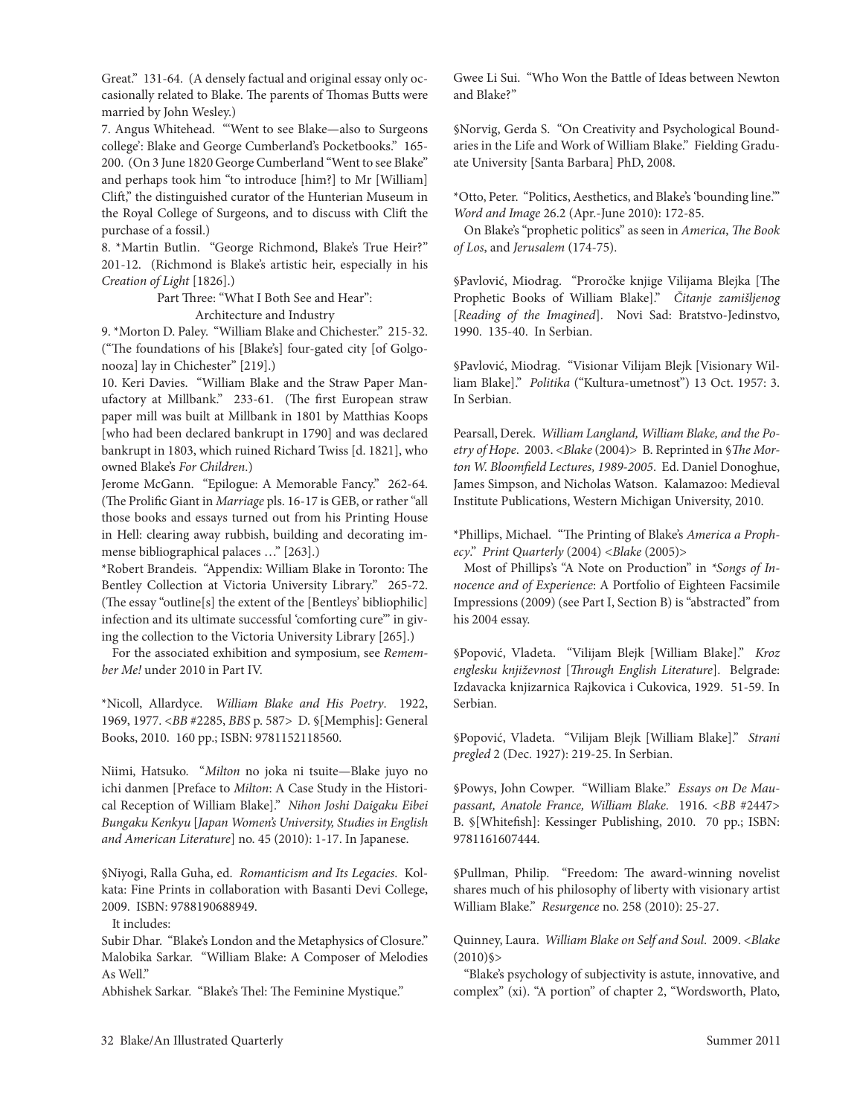Great." 131-64. (A densely factual and original essay only occasionally related to Blake. The parents of Thomas Butts were married by John Wesley.)

7. Angus Whitehead. "'Went to see Blake—also to Surgeons college': Blake and George cumberland's Pocketbooks." 165- 200. (On 3 June 1820 George Cumberland "Went to see Blake" and perhaps took him "to introduce [him?] to Mr [William] clift," the distinguished curator of the Hunterian Museum in the Royal College of Surgeons, and to discuss with Clift the purchase of a fossil.)

8. \*Martin Butlin. "George Richmond, Blake's True Heir?" 201-12. (Richmond is Blake's artistic heir, especially in his *Creation of Light* [1826].)

Part Three: "What I Both See and Hear":

Architecture and Industry

9. \*Morton D. Paley. "William Blake and chichester." 215-32. ("The foundations of his [Blake's] four-gated city [of Golgonooza] lay in chichester" [219].)

10. Keri Davies. "William Blake and the Straw Paper Manufactory at Millbank." 233-61. (The first European straw paper mill was built at Millbank in 1801 by Matthias Koops [who had been declared bankrupt in 1790] and was declared bankrupt in 1803, which ruined Richard Twiss [d. 1821], who owned Blake's *For Children*.)

Jerome McGann. "Epilogue: A Memorable Fancy." 262-64. (The Prolific Giant in *Marriage* pls. 16-17 is GeB, or rather "all those books and essays turned out from his Printing House in Hell: clearing away rubbish, building and decorating immense bibliographical palaces …" [263].)

\*robert Brandeis. "Appendix: William Blake in toronto: The Bentley collection at Victoria University library." 265-72. (The essay "outline[s] the extent of the [Bentleys' bibliophilic] infection and its ultimate successful 'comforting cure'" in giving the collection to the Victoria University library [265].)

For the associated exhibition and symposium, see *Remember Me!* under 2010 in Part IV.

\*Nicoll, Allardyce. *William Blake and His Poetry*. 1922, 1969, 1977. <*BB* #2285, *BBS* p. 587> D. §[Memphis]: General Books, 2010. 160 pp.; ISBN: 9781152118560.

Niimi, Hatsuko. "*Milton* no joka ni tsuite—Blake juyo no ichi danmen [Preface to *Milton*: A Case Study in the Historical reception of William Blake]." *Nihon Joshi Daigaku Eibei Bungaku Kenkyu* [*Japan Women's University, Studies in English and American Literature*] no. 45 (2010): 1-17. In Japanese.

§Niyogi, Ralla Guha, ed. Romanticism and Its Legacies. Kolkata: Fine Prints in collaboration with Basanti Devi college, 2009. ISBN: 9788190688949.

It includes:

Subir Dhar. "Blake's london and the Metaphysics of closure." Malobika Sarkar. "William Blake: A composer of Melodies As Well."

Abhishek Sarkar. "Blake's Thel: The Feminine Mystique."

Gwee li Sui. "Who Won the Battle of Ideas between Newton and Blake?"

§Norvig, Gerda S. "On creativity and Psychological Boundaries in the life and Work of William Blake." Fielding Graduate University [Santa Barbara] PhD, 2008.

\*Otto, Peter. "Politics, Aesthetics, and Blake's 'bounding line.'" *Word and Image* 26.2 (Apr.-June 2010): 172-85.

On Blake's "prophetic politics" as seen in *America*, *The Book of Los*, and *Jerusalem* (174-75).

§Pavlović, Miodrag. "Proročke knjige Vilijama Blejka [The Prophetic Books of William Blake]." *Čitanje zamišljenog*  [*Reading of the Imagined*]. Novi Sad: Bratstvo-Jedinstvo, 1990. 135-40. In Serbian.

§Pavlović, Miodrag. "Visionar Vilijam Blejk [Visionary William Blake]." *Politika* ("Kultura-umetnost") 13 Oct. 1957: 3. In Serbian.

Pearsall, Derek. *William Langland, William Blake, and the Po*etry of Hope. 2003. <*Blake* (2004)> B. Reprinted in §*The Mor*ton W. Bloomfield Lectures, 1989-2005. Ed. Daniel Donoghue, James Simpson, and Nicholas Watson. Kalamazoo: Medieval Institute Publications, Western Michigan University, 2010.

\*Phillips, Michael. "The Printing of Blake's *America a Prophecy*." *Print Quarterly* (2004) *<Blake* (2005)>

Most of Phillips's "A Note on Production" in *\*Songs of In*nocence and of Experience: A Portfolio of Eighteen Facsimile Impressions (2009) (see Part I, Section B) is "abstracted" from his 2004 essay.

§Popović, Vladeta. "Vilijam Blejk [William Blake]." *Kroz englesku književnost* [*Through English Literature*]. Belgrade: Izdavacka knjizarnica Rajkovica i Cukovica, 1929. 51-59. In Serbian.

§Popović, Vladeta. "Vilijam Blejk [William Blake]." *Strani pregled* 2 (Dec. 1927): 219-25. In Serbian.

§Powys, John cowper. "William Blake." *Essays on De Maupassant, Anatole France, William Blake*. 1916. <*BB* #2447> B. §[Whitefish]: Kessinger Publishing, 2010. 70 pp.; ISBN: 9781161607444.

§Pullman, Philip. "Freedom: The award-winning novelist shares much of his philosophy of liberty with visionary artist William Blake." *Resurgence* no. 258 (2010): 25-27.

Quinney, laura. *William Blake on Self and Soul*. 2009. <*Blake*  $(2010)$ §>

"Blake's psychology of subjectivity is astute, innovative, and complex" (xi). "A portion" of chapter 2, "Wordsworth, Plato,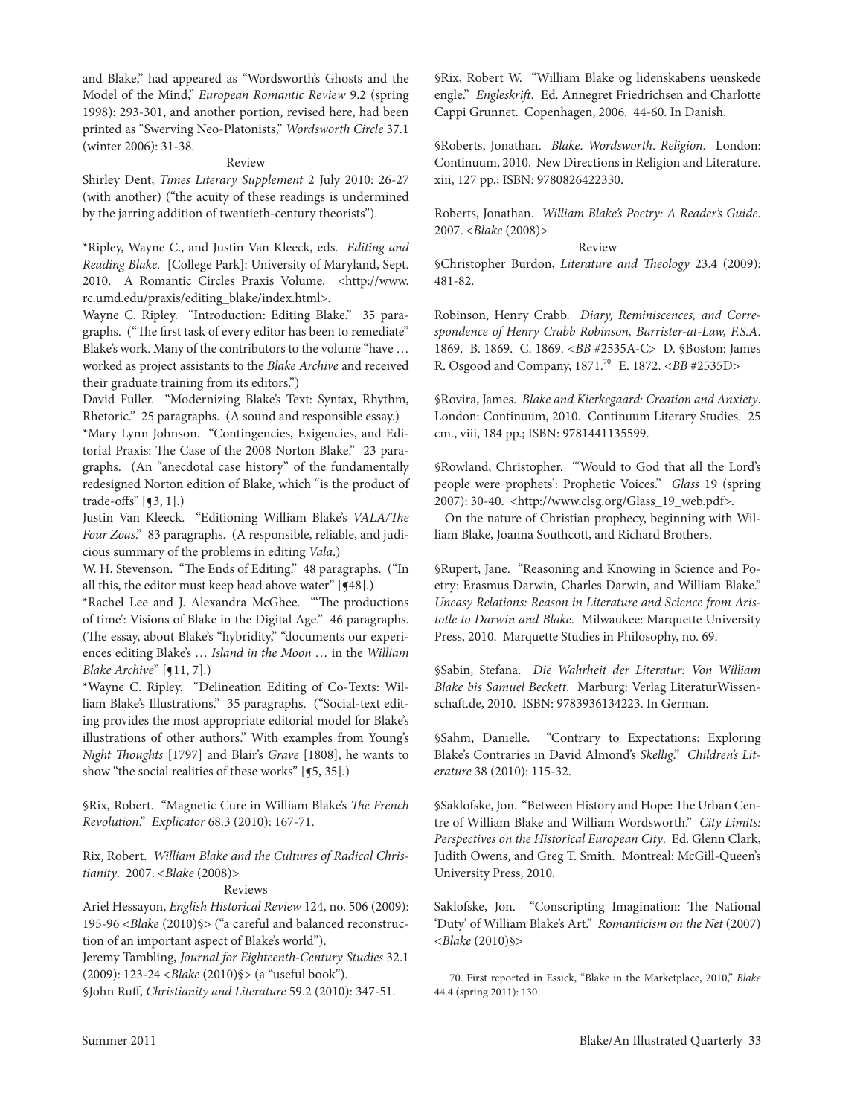and Blake," had appeared as "Wordsworth's Ghosts and the Model of the Mind," *European Romantic Review* 9.2 (spring 1998): 293-301, and another portion, revised here, had been printed as "Swerving Neo-Platonists," *Wordsworth Circle* 37.1 (winter 2006): 31-38.

#### Review

Shirley Dent, *Times Literary Supplement* 2 July 2010: 26-27 (with another) ("the acuity of these readings is undermined by the jarring addition of twentieth-century theorists").

\*ripley, Wayne c., and Justin Van Kleeck, eds. *Editing and Reading Blake*. [college Park]: University of Maryland, Sept. 2010. A Romantic Circles Praxis Volume. <http://www. rc.umd.edu/praxis/editing\_blake/index.html>.

Wayne C. Ripley. "Introduction: Editing Blake." 35 paragraphs. ("The first task of every editor has been to remediate" Blake's work. Many of the contributors to the volume "have … worked as project assistants to the *Blake Archive* and received their graduate training from its editors.")

David Fuller. "Modernizing Blake's Text: Syntax, Rhythm, Rhetoric." 25 paragraphs. (A sound and responsible essay.)

\*Mary lynn Johnson. "contingencies, exigencies, and editorial Praxis: The case of the 2008 Norton Blake." 23 paragraphs. (An "anecdotal case history" of the fundamentally redesigned Norton edition of Blake, which "is the product of trade-offs" [¶3, 1].)

Justin Van Kleeck. "editioning William Blake's *VALA/The Four Zoas*." 83 paragraphs. (A responsible, reliable, and judicious summary of the problems in editing *Vala*.)

W. H. Stevenson. "The Ends of Editing." 48 paragraphs. ("In all this, the editor must keep head above water"  $[$   $[$ 48].)

\*rachel lee and J. Alexandra McGhee. "'The productions of time': Visions of Blake in the Digital Age." 46 paragraphs. (The essay, about Blake's "hybridity," "documents our experiences editing Blake's … *Island in the Moon* … in the *William Blake Archive*" [**[11, 7].**)

\*Wayne C. Ripley. "Delineation Editing of Co-Texts: William Blake's Illustrations." 35 paragraphs. ("Social-text editing provides the most appropriate editorial model for Blake's illustrations of other authors." With examples from Young's *Night Thoughts* [1797] and Blair's *Grave* [1808], he wants to show "the social realities of these works" [5, 35].)

§rix, robert. "Magnetic cure in William Blake's *The French Revolution*." *Explicator* 68.3 (2010): 167-71.

Rix, Robert. William Blake and the Cultures of Radical Chris*tianity*. 2007. <*Blake* (2008)>

## Reviews

Ariel Hessayon, *English Historical Review* 124, no. 506 (2009): 195-96 <*Blake* (2010)§> ("a careful and balanced reconstruction of an important aspect of Blake's world").

Jeremy Tambling, *Journal for Eighteenth-Century Studies* 32.1 (2009): 123-24 <*Blake* (2010)§> (a "useful book").

§John Ruff, *Christianity and Literature* 59.2 (2010): 347-51.

§rix, robert W. "William Blake og lidenskabens uønskede engle." *Engleskrift*. Ed. Annegret Friedrichsen and Charlotte cappi Grunnet. copenhagen, 2006. 44-60. In Danish.

§roberts, Jonathan. *Blake*. *Wordsworth*. *Religion*. london: Continuum, 2010. New Directions in Religion and Literature. xiii, 127 pp.; ISBN: 9780826422330.

roberts, Jonathan. *William Blake's Poetry: A Reader's Guide*. 2007. <*Blake* (2008)>

Review

§christopher Burdon, *Literature and Theology* 23.4 (2009): 481-82.

Robinson, Henry Crabb. Diary, Reminiscences, and Corre*spondence of Henry Crabb Robinson, Barrister-at-Law, F.S.A*. 1869. B. 1869. c. 1869. *<BB* #2535A-c> D. §Boston: James R. Osgood and Company, 1871.<sup>70</sup> E. 1872. <BB #2535D>

§rovira, James. *Blake and Kierkegaard: Creation and Anxiety*. London: Continuum, 2010. Continuum Literary Studies. 25 cm., viii, 184 pp.; ISBN: 9781441135599.

§Rowland, Christopher. "'Would to God that all the Lord's people were prophets': Prophetic Voices." *Glass* 19 (spring 2007): 30-40. <http://www.clsg.org/Glass\_19\_web.pdf>.

On the nature of christian prophecy, beginning with William Blake, Joanna Southcott, and Richard Brothers.

§Rupert, Jane. "Reasoning and Knowing in Science and Poetry: Erasmus Darwin, Charles Darwin, and William Blake." *Uneasy Relations: Reason in Literature and Science from Aristotle to Darwin and Blake*. Milwaukee: Marquette University Press, 2010. Marquette Studies in Philosophy, no. 69.

§Sabin, Stefana. *Die Wahrheit der Literatur: Von William Blake bis Samuel Beckett*.Marburg: Verlag literaturWissenschaft.de, 2010. ISBN: 9783936134223. In German.

§Sahm, Danielle. "Contrary to Expectations: Exploring Blake's contraries in David Almond's *Skellig*." *Children's Literature* 38 (2010): 115-32.

§Saklofske, Jon. "Between History and Hope: The Urban centre of William Blake and William Wordsworth." *City Limits:*  Perspectives on the Historical European City. Ed. Glenn Clark, Judith Owens, and Greg T. Smith. Montreal: McGill-Queen's University Press, 2010.

Saklofske, Jon. "conscripting Imagination: The National 'Duty' of William Blake's Art." *Romanticism on the Net* (2007) *<Blake* (2010)§>

70. First reported in Essick, "Blake in the Marketplace, 2010," *Blake* 44.4 (spring 2011): 130.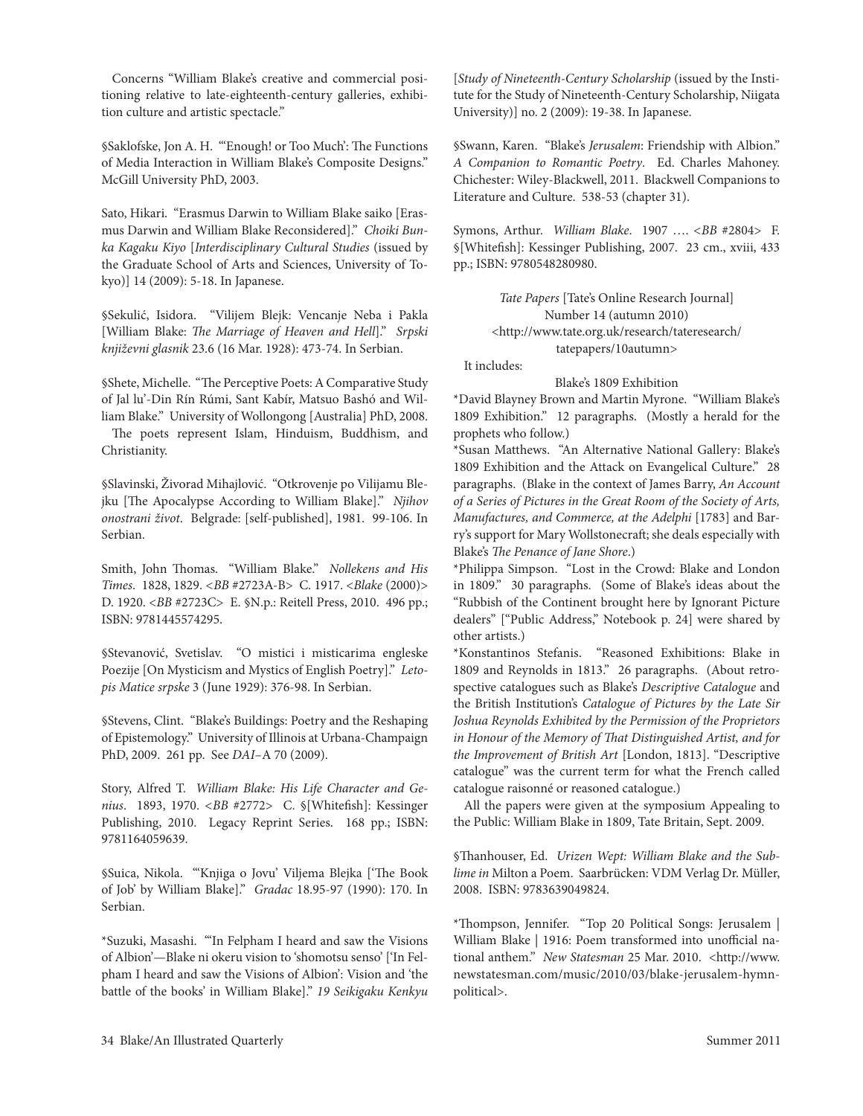concerns "William Blake's creative and commercial positioning relative to late-eighteenth-century galleries, exhibition culture and artistic spectacle."

§Saklofske, Jon A. H. "'enough! or too Much': The Functions of Media Interaction in William Blake's composite Designs." McGill University PhD, 2003.

Sato, Hikari. "Erasmus Darwin to William Blake saiko [Erasmus Darwin and William Blake reconsidered]." *Choiki Bunka Kagaku Kiyo* [*Interdisciplinary Cultural Studies* (issued by the Graduate School of Arts and Sciences, University of Tokyo)] 14 (2009): 5-18. In Japanese.

§Sekulić, Isidora. "Vilijem Blejk: Vencanje Neba i Pakla [William Blake: *The Marriage of Heaven and Hell*]." *Srpski književni glasnik* 23.6 (16 Mar. 1928): 473-74. In Serbian.

§Shete, Michelle. "The Perceptive Poets: A comparative Study of Jal lu'-Din Rín Rúmi, Sant Kabír, Matsuo Bashó and William Blake." University of Wollongong [Australia] PhD, 2008.

The poets represent Islam, Hinduism, Buddhism, and christianity.

§Slavinski, Živorad Mihajlović. "Otkrovenje po Vilijamu Blejku [The Apocalypse According to William Blake]." *Njihov onostrani život*.Belgrade: [self-published], 1981. 99-106. In Serbian.

Smith, John Thomas. "William Blake." *Nollekens and His Times*. 1828, 1829. *<BB* #2723A-B> c. 1917. <*Blake* (2000)> D. 1920. <*BB* #2723C> E. §N.p.: Reitell Press, 2010. 496 pp.; ISBN: 9781445574295.

§Stevanović, Svetislav. "O mistici i misticarima engleske Poezije [On Mysticism and Mystics of English Poetry]." *Letopis Matice srpske* 3 (June 1929): 376-98. In Serbian.

§Stevens, Clint. "Blake's Buildings: Poetry and the Reshaping of Epistemology." University of Illinois at Urbana-Champaign PhD, 2009. 261 pp. See *DAI*–A 70 (2009).

Story, Alfred T. William Blake: His Life Character and Ge*nius*. 1893, 1970. *<BB* #2772> c. §[Whitefish]: Kessinger Publishing, 2010. Legacy Reprint Series. 168 pp.; ISBN: 9781164059639.

§Suica, Nikola. "'Knjiga o Jovu' Viljema Blejka ['The Book of Job' by William Blake]." *Gradac* 18.95-97 (1990): 170. In Serbian.

\*Suzuki, Masashi. "'In Felpham I heard and saw the Visions of Albion'—Blake ni okeru vision to 'shomotsu senso' ['In Felpham I heard and saw the Visions of Albion': Vision and 'the battle of the books' in William Blake]." *19 Seikigaku Kenkyu* 

[*Study of Nineteenth-Century Scholarship* (issued by the Institute for the Study of Nineteenth-century Scholarship, Niigata University)] no. 2 (2009): 19-38. In Japanese.

§Swann, Karen. "Blake's *Jerusalem*: Friendship with Albion." A Companion to Romantic Poetry. Ed. Charles Mahoney. chichester: Wiley-Blackwell, 2011. Blackwell companions to Literature and Culture. 538-53 (chapter 31).

Symons, Arthur. *William Blake*. 1907 …. *<BB* #2804> F. §[Whitefish]: Kessinger Publishing, 2007. 23 cm., xviii, 433 pp.; ISBN: 9780548280980.

> Tate Papers [Tate's Online Research Journal] Number 14 (autumn 2010) <http://www.tate.org.uk/research/tateresearch/ tatepapers/10autumn>

It includes:

Blake's 1809 Exhibition

\*David Blayney Brown and Martin Myrone. "William Blake's 1809 Exhibition." 12 paragraphs. (Mostly a herald for the prophets who follow.)

\*Susan Matthews. "An Alternative National Gallery: Blake's 1809 Exhibition and the Attack on Evangelical Culture." 28 paragraphs. (Blake in the context of James Barry, *An Account of a Series of Pictures in the Great Room of the Society of Arts, Manufactures, and Commerce, at the Adelphi* [1783] and Barry's support for Mary Wollstonecraft; she deals especially with Blake's *The Penance of Jane Shore*.)

\*Philippa Simpson. "lost in the crowd: Blake and london in 1809." 30 paragraphs. (Some of Blake's ideas about the "Rubbish of the Continent brought here by Ignorant Picture dealers" ["Public Address," Notebook p. 24] were shared by other artists.)

\*Konstantinos Stefanis. "Reasoned Exhibitions: Blake in 1809 and Reynolds in 1813." 26 paragraphs. (About retrospective catalogues such as Blake's *Descriptive Catalogue* and the British Institution's *Catalogue of Pictures by the Late Sir Joshua Reynolds Exhibited by the Permission of the Proprietors in Honour of the Memory of That Distinguished Artist, and for the Improvement of British Art* [london, 1813]. "Descriptive catalogue" was the current term for what the French called catalogue raisonné or reasoned catalogue.)

All the papers were given at the symposium Appealing to the Public: William Blake in 1809, Tate Britain, Sept. 2009.

§Thanhouser, ed. *Urizen Wept: William Blake and the Sublime in* Milton a Poem. Saarbrücken: VDM Verlag Dr. Müller, 2008. ISBN: 9783639049824.

\*Thompson, Jennifer. "top 20 Political Songs: Jerusalem | William Blake | 1916: Poem transformed into unofficial national anthem." *New Statesman* 25 Mar. 2010. <http://www. newstatesman.com/music/2010/03/blake-jerusalem-hymnpolitical>.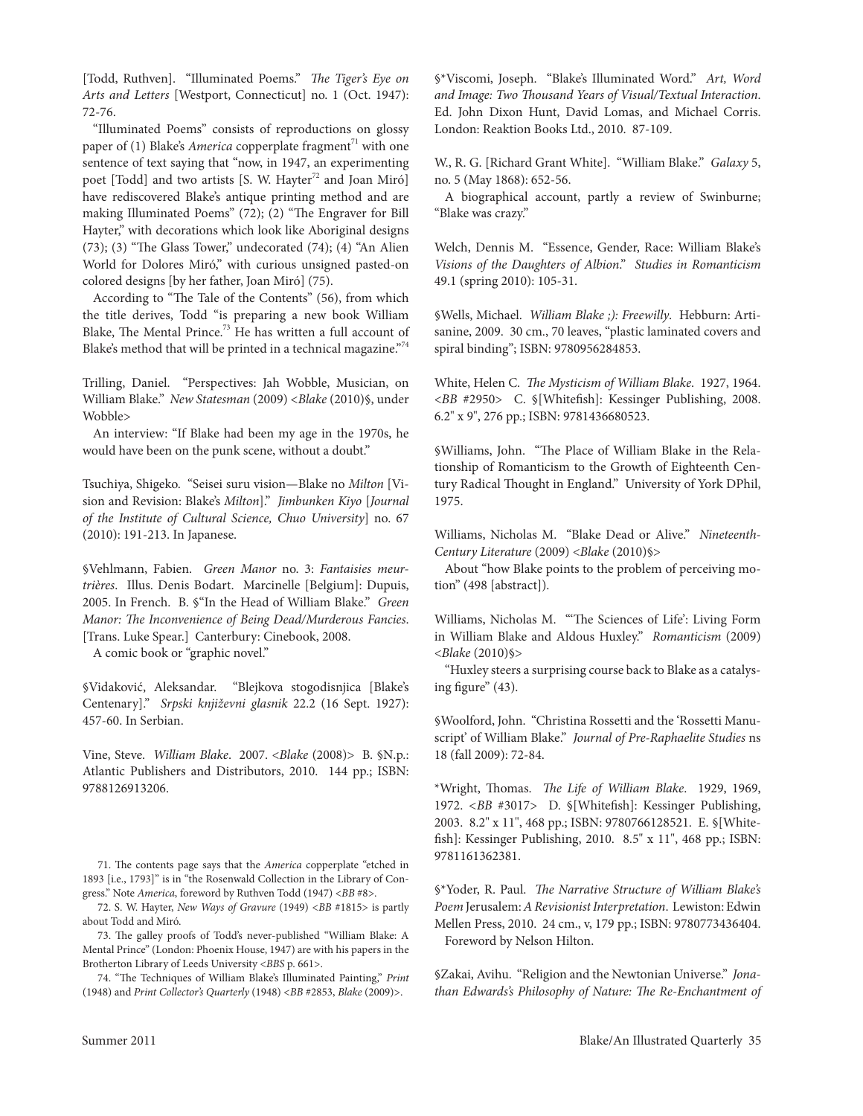[Todd, Ruthven]. "Illuminated Poems." *The Tiger's Eye on Arts and Letters* [Westport, connecticut] no. 1 (Oct. 1947): 72-76.

"Illuminated Poems" consists of reproductions on glossy paper of (1) Blake's *America* copperplate fragment<sup> $71$ </sup> with one sentence of text saying that "now, in 1947, an experimenting poet [Todd] and two artists [S. W. Hayter<sup>72</sup> and Joan Miró] have rediscovered Blake's antique printing method and are making Illuminated Poems" (72); (2) "The Engraver for Bill Hayter," with decorations which look like Aboriginal designs  $(73)$ ;  $(3)$  "The Glass Tower," undecorated  $(74)$ ;  $(4)$  "An Alien World for Dolores Miró," with curious unsigned pasted-on colored designs [by her father, Joan Miró] (75).

According to "The Tale of the Contents" (56), from which the title derives, Todd "is preparing a new book William Blake, The Mental Prince.<sup>73</sup> He has written a full account of Blake's method that will be printed in a technical magazine."<sup>74</sup>

trilling, Daniel. "Perspectives: Jah Wobble, Musician, on William Blake." *New Statesman* (2009) <*Blake* (2010)§, under Wobble>

An interview: "If Blake had been my age in the 1970s, he would have been on the punk scene, without a doubt."

tsuchiya, Shigeko. "Seisei suru vision—Blake no *Milton* [Vision and Revision: Blake's *Milton*]." *Jimbunken Kiyo [Journal of the Institute of Cultural Science, Chuo University*] no. 67 (2010): 191-213. In Japanese.

§Vehlmann, Fabien. *Green Manor* no. 3: *Fantaisies meurtrières*. Illus. Denis Bodart. Marcinelle [Belgium]: Dupuis, 2005. In French. B. §"In the Head of William Blake." *Green Manor: The Inconvenience of Being Dead/Murderous Fancies*. [Trans. Luke Spear.] Canterbury: Cinebook, 2008.

A comic book or "graphic novel."

§Vidaković, Aleksandar. "Blejkova stogodisnjica [Blake's centenary]." *Srpski književni glasnik* 22.2 (16 Sept. 1927): 457-60. In Serbian.

Vine, Steve. *William Blake*. 2007. <*Blake* (2008)> B. §N.p.: Atlantic Publishers and Distributors, 2010. 144 pp.; ISBN: 9788126913206.

71. The contents page says that the *America* copperplate "etched in 1893 [i.e., 1793]" is in "the Rosenwald Collection in the Library of Congress." Note *America*, foreword by Ruthven Todd (1947) < $BB$  #8>.

72. S. W. Hayter, *New Ways of Gravure* (1949) <*BB* #1815> is partly about Todd and Miró.

73. The galley proofs of todd's never-published "William Blake: A Mental Prince" (london: Phoenix House, 1947) are with his papers in the Brotherton library of leeds University <*BBS* p. 661>.

74. "The techniques of William Blake's Illuminated Painting," *Print* (1948) and *Print Collector's Quarterly* (1948) <*BB* #2853, *Blake* (2009)>.

§\*Viscomi, Joseph. "Blake's Illuminated Word." *Art, Word and Image: Two Thousand Years of Visual/Textual Interaction*. Ed. John Dixon Hunt, David Lomas, and Michael Corris. London: Reaktion Books Ltd., 2010. 87-109.

W., R. G. [Richard Grant White]. "William Blake." *Galaxy* 5, no. 5 (May 1868): 652-56.

A biographical account, partly a review of Swinburne; "Blake was crazy."

Welch, Dennis M. "Essence, Gender, Race: William Blake's *Visions of the Daughters of Albion*." *Studies in Romanticism* 49.1 (spring 2010): 105-31.

§Wells, Michael. *William Blake ;): Freewilly*.Hebburn: Artisanine, 2009. 30 cm., 70 leaves, "plastic laminated covers and spiral binding"; ISBN: 9780956284853.

White, Helen c. *The Mysticism of William Blake*. 1927, 1964. <*BB* #2950> c. §[Whitefish]: Kessinger Publishing, 2008. 6.2" x 9", 276 pp.; ISBN: 9781436680523.

§Williams, John. "The Place of William Blake in the Relationship of Romanticism to the Growth of Eighteenth Century Radical Thought in England." University of York DPhil, 1975.

Williams, Nicholas M. "Blake Dead or Alive." *Nineteenth-Century Literature* (2009) <*Blake* (2010)§>

About "how Blake points to the problem of perceiving motion" (498 [abstract]).

Williams, Nicholas M. "The Sciences of Life': Living Form in William Blake and Aldous Huxley." *Romanticism* (2009) <*Blake* (2010)§>

"Huxley steers a surprising course back to Blake as a catalysing figure" (43).

§Woolford, John. "Christina Rossetti and the 'Rossetti Manuscript' of William Blake." *Journal of Pre-Raphaelite Studies* ns 18 (fall 2009): 72-84.

\*Wright, Thomas. *The Life of William Blake*. 1929, 1969, 1972. *<BB* #3017> D. §[Whitefish]: Kessinger Publishing, 2003. 8.2" x 11", 468 pp.; ISBN: 9780766128521. e. §[Whitefish]: Kessinger Publishing, 2010. 8.5" x 11", 468 pp.; ISBN: 9781161362381.

§\*Yoder, R. Paul. *The Narrative Structure of William Blake's Poem* Jerusalem: *A Revisionist Interpretation*. lewiston: edwin Mellen Press, 2010. 24 cm., v, 179 pp.; ISBN: 9780773436404. Foreword by Nelson Hilton.

§Zakai, Avihu. "Religion and the Newtonian Universe." *Jonathan Edwards's Philosophy of Nature: The Re-Enchantment of*